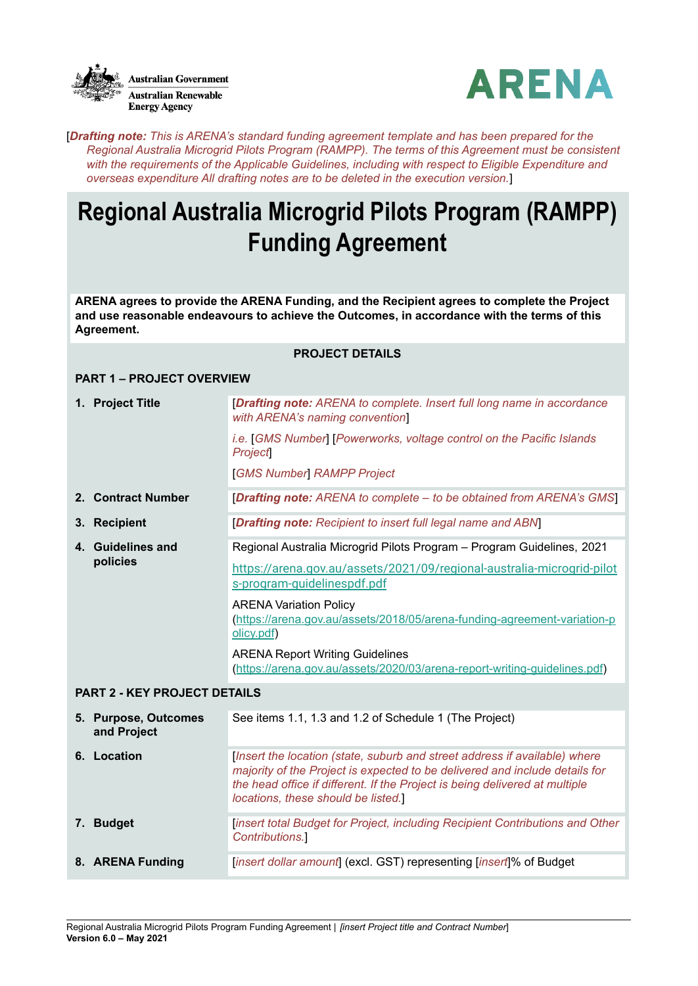



[*Drafting note: This is ARENA's standard funding agreement template and has been prepared for the Regional Australia Microgrid Pilots Program (RAMPP). The terms of this Agreement must be consistent with the requirements of the Applicable Guidelines, including with respect to Eligible Expenditure and overseas expenditure All drafting notes are to be deleted in the execution version.*]

## **Regional Australia Microgrid Pilots Program (RAMPP) Funding Agreement**

**ARENA agrees to provide the ARENA Funding, and the Recipient agrees to complete the Project and use reasonable endeavours to achieve the Outcomes, in accordance with the terms of this Agreement.**

#### **PROJECT DETAILS**

#### **PART 1 – PROJECT OVERVIEW**

|             | 1. Project Title                    | [Drafting note: ARENA to complete. Insert full long name in accordance<br>with ARENA's naming convention                                                                                                                                                                        |
|-------------|-------------------------------------|---------------------------------------------------------------------------------------------------------------------------------------------------------------------------------------------------------------------------------------------------------------------------------|
|             |                                     | <i>i.e.</i> [GMS Number] [Powerworks, voltage control on the Pacific Islands<br><b>Project</b>                                                                                                                                                                                  |
|             |                                     | <b>[GMS Number] RAMPP Project</b>                                                                                                                                                                                                                                               |
|             | 2. Contract Number                  | [Drafting note: ARENA to complete – to be obtained from ARENA's GMS]                                                                                                                                                                                                            |
|             | 3. Recipient                        | [Drafting note: Recipient to insert full legal name and ABN]                                                                                                                                                                                                                    |
|             | 4. Guidelines and                   | Regional Australia Microgrid Pilots Program - Program Guidelines, 2021                                                                                                                                                                                                          |
|             | policies                            | https://arena.gov.au/assets/2021/09/regional-australia-microgrid-pilot<br>s-program-guidelinespdf.pdf                                                                                                                                                                           |
|             |                                     | <b>ARENA Variation Policy</b><br>(https://arena.gov.au/assets/2018/05/arena-funding-agreement-variation-p<br>olicy.pdf)                                                                                                                                                         |
|             |                                     | <b>ARENA Report Writing Guidelines</b><br>(https://arena.gov.au/assets/2020/03/arena-report-writing-guidelines.pdf)                                                                                                                                                             |
|             | <b>PART 2 - KEY PROJECT DETAILS</b> |                                                                                                                                                                                                                                                                                 |
|             | 5. Purpose, Outcomes<br>and Project | See items 1.1, 1.3 and 1.2 of Schedule 1 (The Project)                                                                                                                                                                                                                          |
| 6. Location |                                     | [Insert the location (state, suburb and street address if available) where<br>majority of the Project is expected to be delivered and include details for<br>the head office if different. If the Project is being delivered at multiple<br>locations, these should be listed.] |
|             | 7. Budget                           | [insert total Budget for Project, including Recipient Contributions and Other<br>Contributions.                                                                                                                                                                                 |
|             | 8. ARENA Funding                    | [insert dollar amount] (excl. GST) representing [insert]% of Budget                                                                                                                                                                                                             |
|             |                                     |                                                                                                                                                                                                                                                                                 |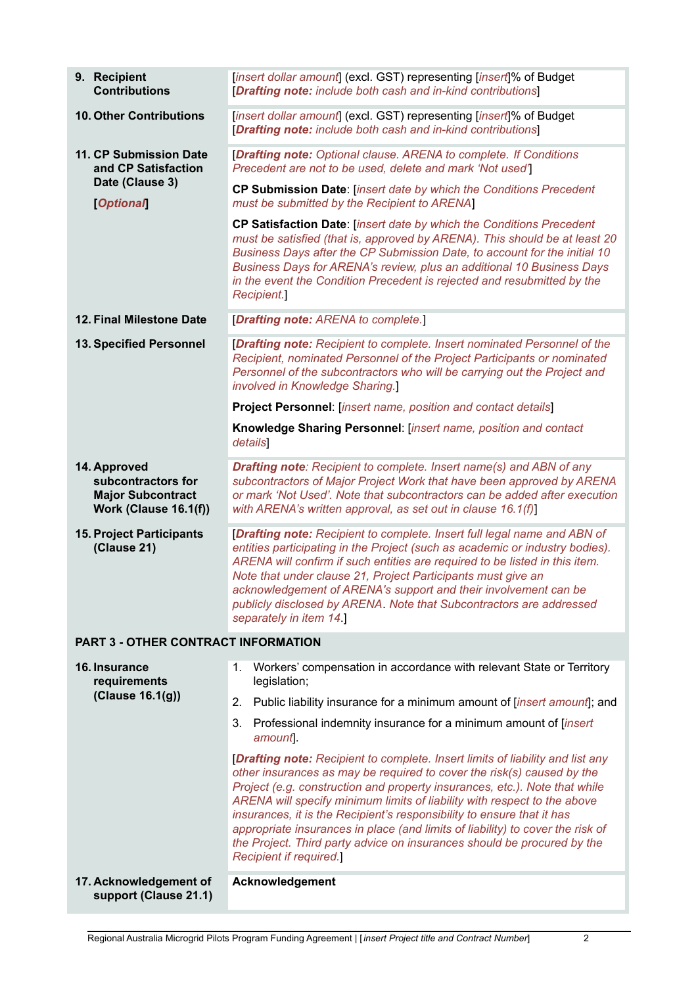| 9. Recipient<br><b>Contributions</b>                                                    | [insert dollar amount] (excl. GST) representing [insert]% of Budget<br>[Drafting note: include both cash and in-kind contributions]                                                                                                                                                                                                                                                                                                                                                                                                                                                        |  |  |
|-----------------------------------------------------------------------------------------|--------------------------------------------------------------------------------------------------------------------------------------------------------------------------------------------------------------------------------------------------------------------------------------------------------------------------------------------------------------------------------------------------------------------------------------------------------------------------------------------------------------------------------------------------------------------------------------------|--|--|
| 10. Other Contributions                                                                 | [insert dollar amount] (excl. GST) representing [insert]% of Budget<br>[Drafting note: include both cash and in-kind contributions]                                                                                                                                                                                                                                                                                                                                                                                                                                                        |  |  |
| 11. CP Submission Date<br>and CP Satisfaction                                           | [Drafting note: Optional clause. ARENA to complete. If Conditions<br>Precedent are not to be used, delete and mark 'Not used']                                                                                                                                                                                                                                                                                                                                                                                                                                                             |  |  |
| Date (Clause 3)<br><b>Optional</b>                                                      | CP Submission Date: [insert date by which the Conditions Precedent<br>must be submitted by the Recipient to ARENA]                                                                                                                                                                                                                                                                                                                                                                                                                                                                         |  |  |
|                                                                                         | CP Satisfaction Date: [insert date by which the Conditions Precedent<br>must be satisfied (that is, approved by ARENA). This should be at least 20<br>Business Days after the CP Submission Date, to account for the initial 10<br>Business Days for ARENA's review, plus an additional 10 Business Days<br>in the event the Condition Precedent is rejected and resubmitted by the<br>Recipient.]                                                                                                                                                                                         |  |  |
| 12. Final Milestone Date                                                                | [Drafting note: ARENA to complete.]                                                                                                                                                                                                                                                                                                                                                                                                                                                                                                                                                        |  |  |
| 13. Specified Personnel                                                                 | [Drafting note: Recipient to complete. Insert nominated Personnel of the<br>Recipient, nominated Personnel of the Project Participants or nominated<br>Personnel of the subcontractors who will be carrying out the Project and<br>involved in Knowledge Sharing.]                                                                                                                                                                                                                                                                                                                         |  |  |
|                                                                                         | Project Personnel: [insert name, position and contact details]                                                                                                                                                                                                                                                                                                                                                                                                                                                                                                                             |  |  |
|                                                                                         | Knowledge Sharing Personnel: [insert name, position and contact<br>details                                                                                                                                                                                                                                                                                                                                                                                                                                                                                                                 |  |  |
| 14. Approved<br>subcontractors for<br><b>Major Subcontract</b><br>Work (Clause 16.1(f)) | <b>Drafting note:</b> Recipient to complete. Insert name(s) and ABN of any<br>subcontractors of Major Project Work that have been approved by ARENA<br>or mark 'Not Used'. Note that subcontractors can be added after execution<br>with ARENA's written approval, as set out in clause 16.1(f)]                                                                                                                                                                                                                                                                                           |  |  |
| <b>15. Project Participants</b><br>(Clause 21)                                          | [Drafting note: Recipient to complete. Insert full legal name and ABN of<br>entities participating in the Project (such as academic or industry bodies).<br>ARENA will confirm if such entities are required to be listed in this item.<br>Note that under clause 21, Project Participants must give an<br>acknowledgement of ARENA's support and their involvement can be<br>publicly disclosed by ARENA. Note that Subcontractors are addressed<br>separately in item 14.                                                                                                                |  |  |
| PART 3 - OTHER CONTRACT INFORMATION                                                     |                                                                                                                                                                                                                                                                                                                                                                                                                                                                                                                                                                                            |  |  |
| 16. Insurance<br>requirements                                                           | Workers' compensation in accordance with relevant State or Territory<br>1.<br>legislation;                                                                                                                                                                                                                                                                                                                                                                                                                                                                                                 |  |  |
| (Clause 16.1(g))                                                                        | Public liability insurance for a minimum amount of [insert amount]; and<br>2.                                                                                                                                                                                                                                                                                                                                                                                                                                                                                                              |  |  |
|                                                                                         | Professional indemnity insurance for a minimum amount of <i>linsert</i><br>3.<br>amount.                                                                                                                                                                                                                                                                                                                                                                                                                                                                                                   |  |  |
|                                                                                         | [Drafting note: Recipient to complete. Insert limits of liability and list any<br>other insurances as may be required to cover the risk(s) caused by the<br>Project (e.g. construction and property insurances, etc.). Note that while<br>ARENA will specify minimum limits of liability with respect to the above<br>insurances, it is the Recipient's responsibility to ensure that it has<br>appropriate insurances in place (and limits of liability) to cover the risk of<br>the Project. Third party advice on insurances should be procured by the<br><b>Recipient if required.</b> |  |  |
| 17. Acknowledgement of<br>support (Clause 21.1)                                         | Acknowledgement                                                                                                                                                                                                                                                                                                                                                                                                                                                                                                                                                                            |  |  |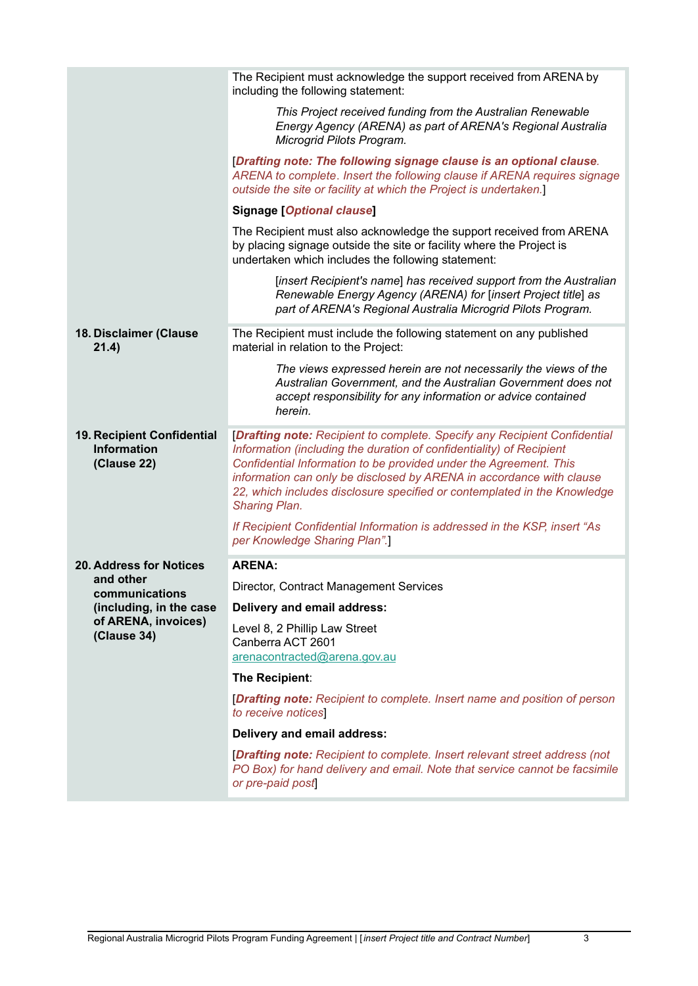|                                                                 | The Recipient must acknowledge the support received from ARENA by<br>including the following statement:                                                                                                                                                                                                                                                                                            |
|-----------------------------------------------------------------|----------------------------------------------------------------------------------------------------------------------------------------------------------------------------------------------------------------------------------------------------------------------------------------------------------------------------------------------------------------------------------------------------|
|                                                                 | This Project received funding from the Australian Renewable<br>Energy Agency (ARENA) as part of ARENA's Regional Australia<br>Microgrid Pilots Program.                                                                                                                                                                                                                                            |
|                                                                 | [Drafting note: The following signage clause is an optional clause.<br>ARENA to complete. Insert the following clause if ARENA requires signage<br>outside the site or facility at which the Project is undertaken.]                                                                                                                                                                               |
|                                                                 | <b>Signage [Optional clause]</b>                                                                                                                                                                                                                                                                                                                                                                   |
|                                                                 | The Recipient must also acknowledge the support received from ARENA<br>by placing signage outside the site or facility where the Project is<br>undertaken which includes the following statement:                                                                                                                                                                                                  |
|                                                                 | [insert Recipient's name] has received support from the Australian<br>Renewable Energy Agency (ARENA) for [insert Project title] as<br>part of ARENA's Regional Australia Microgrid Pilots Program.                                                                                                                                                                                                |
| 18. Disclaimer (Clause<br>21.4)                                 | The Recipient must include the following statement on any published<br>material in relation to the Project:                                                                                                                                                                                                                                                                                        |
|                                                                 | The views expressed herein are not necessarily the views of the<br>Australian Government, and the Australian Government does not<br>accept responsibility for any information or advice contained<br>herein.                                                                                                                                                                                       |
| 19. Recipient Confidential<br><b>Information</b><br>(Clause 22) | [Drafting note: Recipient to complete. Specify any Recipient Confidential<br>Information (including the duration of confidentiality) of Recipient<br>Confidential Information to be provided under the Agreement. This<br>information can only be disclosed by ARENA in accordance with clause<br>22, which includes disclosure specified or contemplated in the Knowledge<br><b>Sharing Plan.</b> |
|                                                                 | If Recipient Confidential Information is addressed in the KSP, insert "As<br>per Knowledge Sharing Plan".]                                                                                                                                                                                                                                                                                         |
| <b>20. Address for Notices</b>                                  | <b>ARENA:</b>                                                                                                                                                                                                                                                                                                                                                                                      |
| and other<br>communications                                     | Director, Contract Management Services                                                                                                                                                                                                                                                                                                                                                             |
| (including, in the case                                         | Delivery and email address:                                                                                                                                                                                                                                                                                                                                                                        |
| of ARENA, invoices)<br>(Clause 34)                              | Level 8, 2 Phillip Law Street<br>Canberra ACT 2601<br>arenacontracted@arena.gov.au                                                                                                                                                                                                                                                                                                                 |
|                                                                 | The Recipient:                                                                                                                                                                                                                                                                                                                                                                                     |
|                                                                 | <b>[Drafting note:</b> Recipient to complete. Insert name and position of person<br>to receive notices                                                                                                                                                                                                                                                                                             |
|                                                                 | Delivery and email address:                                                                                                                                                                                                                                                                                                                                                                        |
|                                                                 | <b>[Drafting note:</b> Recipient to complete. Insert relevant street address (not<br>PO Box) for hand delivery and email. Note that service cannot be facsimile<br>or pre-paid post                                                                                                                                                                                                                |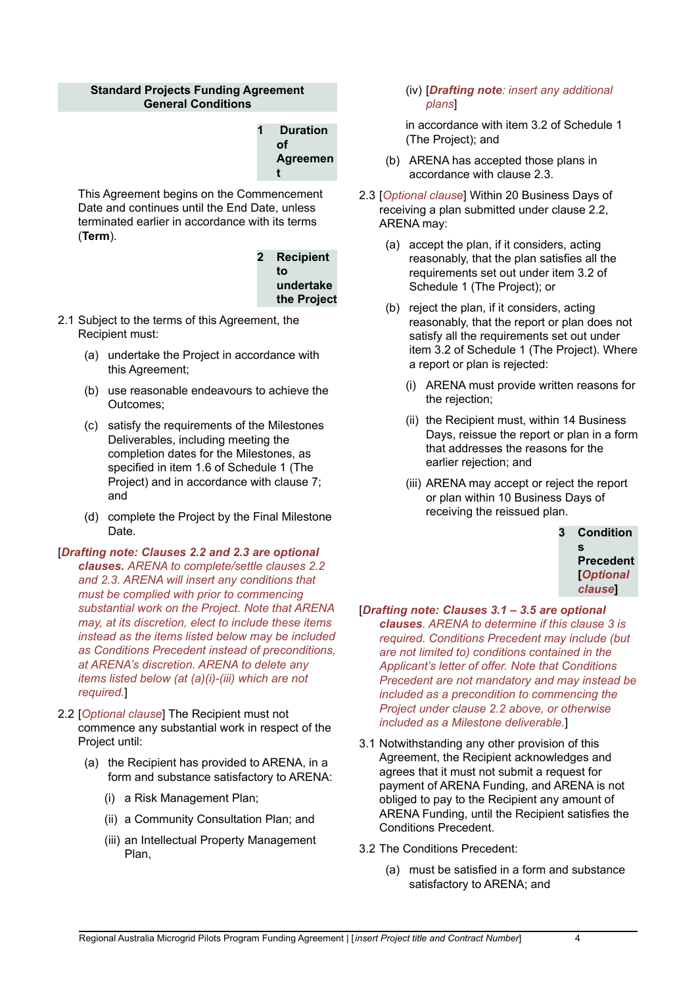#### **Standard Projects Funding Agreement General Conditions**

| 1 | <b>Duration</b> |
|---|-----------------|
|   | Οf              |
|   | Agreemen        |
|   | t               |

This Agreement begins on the Commencement Date and continues until the End Date, unless terminated earlier in accordance with its terms (**Term**).

> **2 Recipient to undertake the Project**

- 2.1 Subject to the terms of this Agreement, the Recipient must:
	- (a) undertake the Project in accordance with this Agreement;
	- (b) use reasonable endeavours to achieve the Outcomes;
	- (c) satisfy the requirements of the Milestones Deliverables, including meeting the completion dates for the Milestones, as specified in item 1.6 of Schedule 1 (The Project) and in accordance with clause 7; and
	- (d) complete the Project by the Final Milestone Date.
- [*Drafting note: Clauses 2.2 and 2.3 are optional clauses. ARENA to complete/settle clauses 2.2 and 2.3. ARENA will insert any conditions that must be complied with prior to commencing substantial work on the Project. Note that ARENA may, at its discretion, elect to include these items instead as the items listed below may be included as Conditions Precedent instead of preconditions, at ARENA's discretion. ARENA to delete any items listed below (at (a)(i)-(iii) which are not required.*]
- 2.2 [*Optional clause*] The Recipient must not commence any substantial work in respect of the Project until:
	- (a) the Recipient has provided to ARENA, in a form and substance satisfactory to ARENA:
		- (i) a Risk Management Plan;
		- (ii) a Community Consultation Plan; and
		- (iii) an Intellectual Property Management Plan,

#### (iv) [*Drafting note: insert any additional plans*]

in accordance with item 3.2 of Schedule 1 (The Project); and

- (b) ARENA has accepted those plans in accordance with clause 2.3.
- 2.3 [*Optional clause*] Within 20 Business Days of receiving a plan submitted under clause 2.2, ARENA may:
	- (a) accept the plan, if it considers, acting reasonably, that the plan satisfies all the requirements set out under item 3.2 of Schedule 1 (The Project); or
	- (b) reject the plan, if it considers, acting reasonably, that the report or plan does not satisfy all the requirements set out under item 3.2 of Schedule 1 (The Project). Where a report or plan is rejected:
		- (i) ARENA must provide written reasons for the rejection;
		- (ii) the Recipient must, within 14 Business Days, reissue the report or plan in a form that addresses the reasons for the earlier rejection; and
		- (iii) ARENA may accept or reject the report or plan within 10 Business Days of receiving the reissued plan.

| 3 | <b>Condition</b> |
|---|------------------|
|   | S                |
|   | <b>Precedent</b> |
|   | <b>Optional</b>  |
|   | clause           |
|   |                  |

- [*Drafting note: Clauses 3.1 – 3.5 are optional clauses. ARENA to determine if this clause 3 is required. Conditions Precedent may include (but are not limited to) conditions contained in the Applicant's letter of offer. Note that Conditions Precedent are not mandatory and may instead be included as a precondition to commencing the Project under clause 2.2 above, or otherwise included as a Milestone deliverable.*]
- 3.1 Notwithstanding any other provision of this Agreement, the Recipient acknowledges and agrees that it must not submit a request for payment of ARENA Funding, and ARENA is not obliged to pay to the Recipient any amount of ARENA Funding, until the Recipient satisfies the Conditions Precedent.
- 3.2 The Conditions Precedent:
	- (a) must be satisfied in a form and substance satisfactory to ARENA; and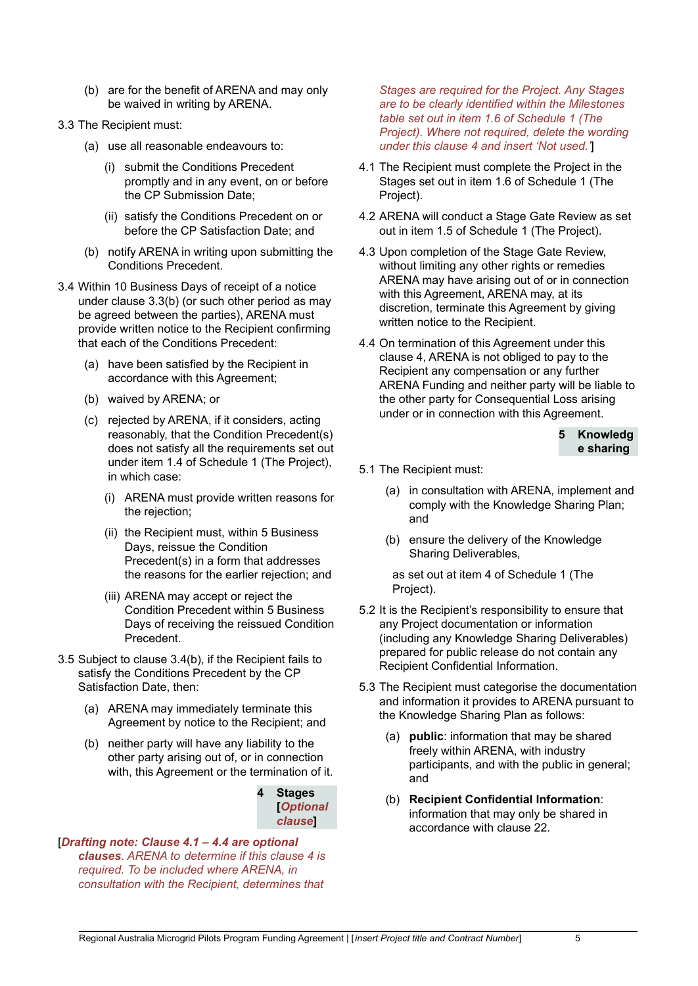- (b) are for the benefit of ARENA and may only be waived in writing by ARENA.
- 3.3 The Recipient must:
	- (a) use all reasonable endeavours to:
		- (i) submit the Conditions Precedent promptly and in any event, on or before the CP Submission Date;
		- (ii) satisfy the Conditions Precedent on or before the CP Satisfaction Date; and
	- (b) notify ARENA in writing upon submitting the Conditions Precedent.
- 3.4 Within 10 Business Days of receipt of a notice under clause 3.3(b) (or such other period as may be agreed between the parties), ARENA must provide written notice to the Recipient confirming that each of the Conditions Precedent:
	- (a) have been satisfied by the Recipient in accordance with this Agreement;
	- (b) waived by ARENA; or
	- (c) rejected by ARENA, if it considers, acting reasonably, that the Condition Precedent(s) does not satisfy all the requirements set out under item 1.4 of Schedule 1 (The Project), in which case:
		- (i) ARENA must provide written reasons for the rejection;
		- (ii) the Recipient must, within 5 Business Days, reissue the Condition Precedent(s) in a form that addresses the reasons for the earlier rejection; and
		- (iii) ARENA may accept or reject the Condition Precedent within 5 Business Days of receiving the reissued Condition Precedent.
- 3.5 Subject to clause 3.4(b), if the Recipient fails to satisfy the Conditions Precedent by the CP Satisfaction Date, then:
	- (a) ARENA may immediately terminate this Agreement by notice to the Recipient; and
	- (b) neither party will have any liability to the other party arising out of, or in connection with, this Agreement or the termination of it.



[*Drafting note: Clause 4.1 – 4.4 are optional clauses. ARENA to determine if this clause 4 is required. To be included where ARENA, in consultation with the Recipient, determines that*

*Stages are required for the Project. Any Stages are to be clearly identified within the Milestones table set out in item 1.6 of Schedule 1 (The Project). Where not required, delete the wording under this clause 4 and insert 'Not used.'*]

- 4.1 The Recipient must complete the Project in the Stages set out in item 1.6 of Schedule 1 (The Project).
- 4.2 ARENA will conduct a Stage Gate Review as set out in item 1.5 of Schedule 1 (The Project).
- 4.3 Upon completion of the Stage Gate Review, without limiting any other rights or remedies ARENA may have arising out of or in connection with this Agreement, ARENA may, at its discretion, terminate this Agreement by giving written notice to the Recipient.
- 4.4 On termination of this Agreement under this clause 4, ARENA is not obliged to pay to the Recipient any compensation or any further ARENA Funding and neither party will be liable to the other party for Consequential Loss arising under or in connection with this Agreement.

**5 Knowledg e sharing**

- 5.1 The Recipient must:
	- (a) in consultation with ARENA, implement and comply with the Knowledge Sharing Plan; and
	- (b) ensure the delivery of the Knowledge Sharing Deliverables,

as set out at item 4 of Schedule 1 (The Project).

- 5.2 It is the Recipient's responsibility to ensure that any Project documentation or information (including any Knowledge Sharing Deliverables) prepared for public release do not contain any Recipient Confidential Information.
- 5.3 The Recipient must categorise the documentation and information it provides to ARENA pursuant to the Knowledge Sharing Plan as follows:
	- (a) **public**: information that may be shared freely within ARENA, with industry participants, and with the public in general; and
	- (b) **Recipient Confidential Information**: information that may only be shared in accordance with clause 22.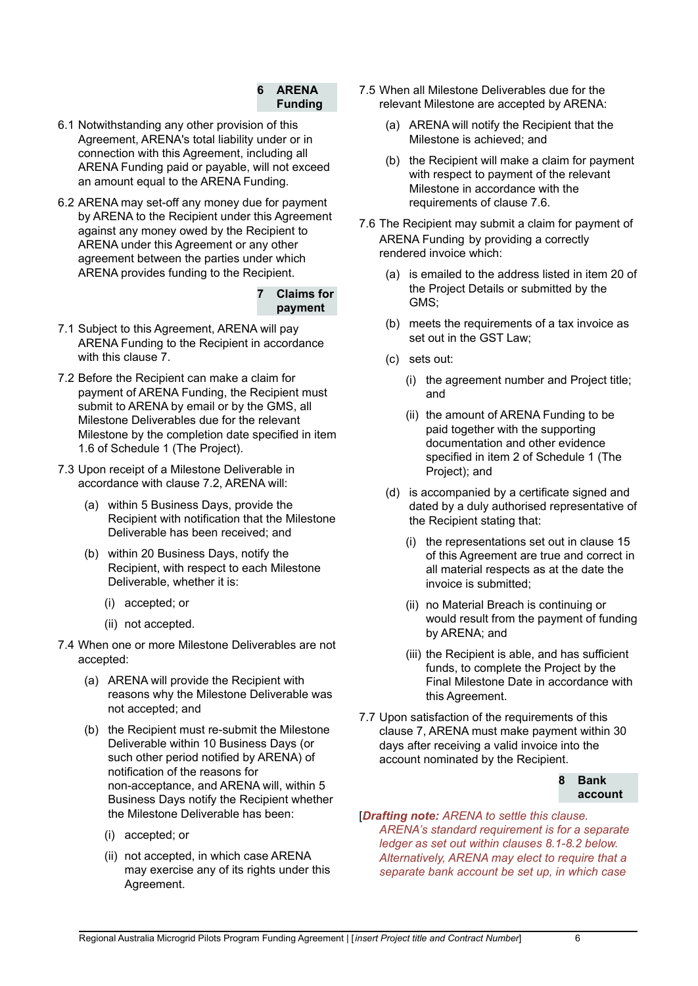### **6 ARENA Funding**

- 6.1 Notwithstanding any other provision of this Agreement, ARENA's total liability under or in connection with this Agreement, including all ARENA Funding paid or payable, will not exceed an amount equal to the ARENA Funding.
- 6.2 ARENA may set-off any money due for payment by ARENA to the Recipient under this Agreement against any money owed by the Recipient to ARENA under this Agreement or any other agreement between the parties under which ARENA provides funding to the Recipient.

### **7 Claims for payment**

- 7.1 Subject to this Agreement, ARENA will pay ARENA Funding to the Recipient in accordance with this clause 7.
- 7.2 Before the Recipient can make a claim for payment of ARENA Funding, the Recipient must submit to ARENA by email or by the GMS, all Milestone Deliverables due for the relevant Milestone by the completion date specified in item 1.6 of Schedule 1 (The Project).
- 7.3 Upon receipt of a Milestone Deliverable in accordance with clause 7.2, ARENA will:
	- (a) within 5 Business Days, provide the Recipient with notification that the Milestone Deliverable has been received; and
	- (b) within 20 Business Days, notify the Recipient, with respect to each Milestone Deliverable, whether it is:
		- (i) accepted; or
		- (ii) not accepted.
- 7.4 When one or more Milestone Deliverables are not accepted:
	- (a) ARENA will provide the Recipient with reasons why the Milestone Deliverable was not accepted; and
	- (b) the Recipient must re-submit the Milestone Deliverable within 10 Business Days (or such other period notified by ARENA) of notification of the reasons for non-acceptance, and ARENA will, within 5 Business Days notify the Recipient whether the Milestone Deliverable has been:
		- (i) accepted; or
		- (ii) not accepted, in which case ARENA may exercise any of its rights under this Agreement.
- 7.5 When all Milestone Deliverables due for the relevant Milestone are accepted by ARENA:
	- (a) ARENA will notify the Recipient that the Milestone is achieved; and
	- (b) the Recipient will make a claim for payment with respect to payment of the relevant Milestone in accordance with the requirements of clause 7.6.
- 7.6 The Recipient may submit a claim for payment of ARENA Funding by providing a correctly rendered invoice which:
	- (a) is emailed to the address listed in item 20 of the Project Details or submitted by the GMS;
	- (b) meets the requirements of a tax invoice as set out in the GST Law;
	- (c) sets out:
		- (i) the agreement number and Project title; and
		- (ii) the amount of ARENA Funding to be paid together with the supporting documentation and other evidence specified in item 2 of Schedule 1 (The Project); and
	- (d) is accompanied by a certificate signed and dated by a duly authorised representative of the Recipient stating that:
		- (i) the representations set out in clause 15 of this Agreement are true and correct in all material respects as at the date the invoice is submitted;
		- (ii) no Material Breach is continuing or would result from the payment of funding by ARENA; and
		- (iii) the Recipient is able, and has sufficient funds, to complete the Project by the Final Milestone Date in accordance with this Agreement.
- 7.7 Upon satisfaction of the requirements of this clause 7, ARENA must make payment within 30 days after receiving a valid invoice into the account nominated by the Recipient.

#### **8 Bank account**

#### [*Drafting note: ARENA to settle this clause. ARENA's standard requirement is for a separate ledger as set out within clauses 8.1-8.2 below. Alternatively, ARENA may elect to require that a separate bank account be set up, in which case*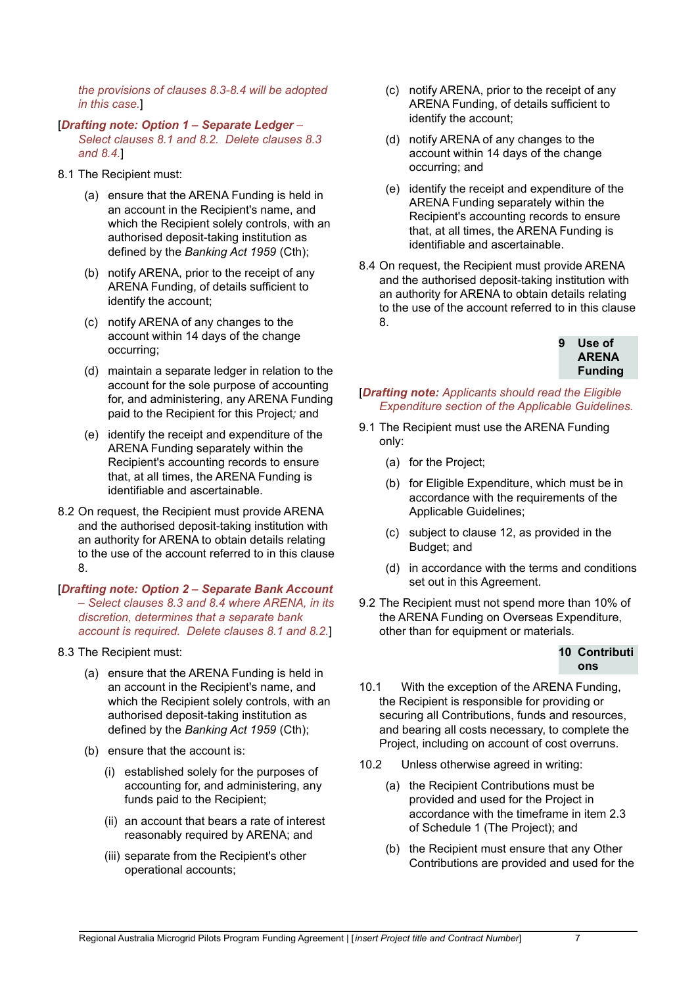*the provisions of clauses 8.3-8.4 will be adopted in this case.*]

- [*Drafting note: Option 1 – Separate Ledger – Select clauses 8.1 and 8.2. Delete clauses 8.3 and 8.4.*]
- 8.1 The Recipient must:
	- (a) ensure that the ARENA Funding is held in an account in the Recipient's name, and which the Recipient solely controls, with an authorised deposit-taking institution as defined by the *Banking Act 1959* (Cth);
	- (b) notify ARENA, prior to the receipt of any ARENA Funding, of details sufficient to identify the account;
	- (c) notify ARENA of any changes to the account within 14 days of the change occurring;
	- (d) maintain a separate ledger in relation to the account for the sole purpose of accounting for, and administering, any ARENA Funding paid to the Recipient for this Project*;* and
	- (e) identify the receipt and expenditure of the ARENA Funding separately within the Recipient's accounting records to ensure that, at all times, the ARENA Funding is identifiable and ascertainable.
- 8.2 On request, the Recipient must provide ARENA and the authorised deposit-taking institution with an authority for ARENA to obtain details relating to the use of the account referred to in this clause 8.
- [*Drafting note: Option 2 – Separate Bank Account – Select clauses 8.3 and 8.4 where ARENA, in its discretion, determines that a separate bank account is required. Delete clauses 8.1 and 8.2.*]
- 8.3 The Recipient must:
	- (a) ensure that the ARENA Funding is held in an account in the Recipient's name, and which the Recipient solely controls, with an authorised deposit-taking institution as defined by the *Banking Act 1959* (Cth);
	- (b) ensure that the account is:
		- (i) established solely for the purposes of accounting for, and administering, any funds paid to the Recipient;
		- (ii) an account that bears a rate of interest reasonably required by ARENA; and
		- (iii) separate from the Recipient's other operational accounts;
- (c) notify ARENA, prior to the receipt of any ARENA Funding, of details sufficient to identify the account;
- (d) notify ARENA of any changes to the account within 14 days of the change occurring; and
- (e) identify the receipt and expenditure of the ARENA Funding separately within the Recipient's accounting records to ensure that, at all times, the ARENA Funding is identifiable and ascertainable.
- 8.4 On request, the Recipient must provide ARENA and the authorised deposit-taking institution with an authority for ARENA to obtain details relating to the use of the account referred to in this clause 8.



[*Drafting note: Applicants should read the Eligible Expenditure section of the Applicable Guidelines.*

- 9.1 The Recipient must use the ARENA Funding only:
	- (a) for the Project;
	- (b) for Eligible Expenditure, which must be in accordance with the requirements of the Applicable Guidelines;
	- (c) subject to clause 12, as provided in the Budget; and
	- (d) in accordance with the terms and conditions set out in this Agreement.
- 9.2 The Recipient must not spend more than 10% of the ARENA Funding on Overseas Expenditure, other than for equipment or materials.

#### **10 Contributi ons**

- 10.1 With the exception of the ARENA Funding, the Recipient is responsible for providing or securing all Contributions, funds and resources, and bearing all costs necessary, to complete the Project, including on account of cost overruns.
- 10.2 Unless otherwise agreed in writing:
	- (a) the Recipient Contributions must be provided and used for the Project in accordance with the timeframe in item 2.3 of Schedule 1 (The Project); and
	- (b) the Recipient must ensure that any Other Contributions are provided and used for the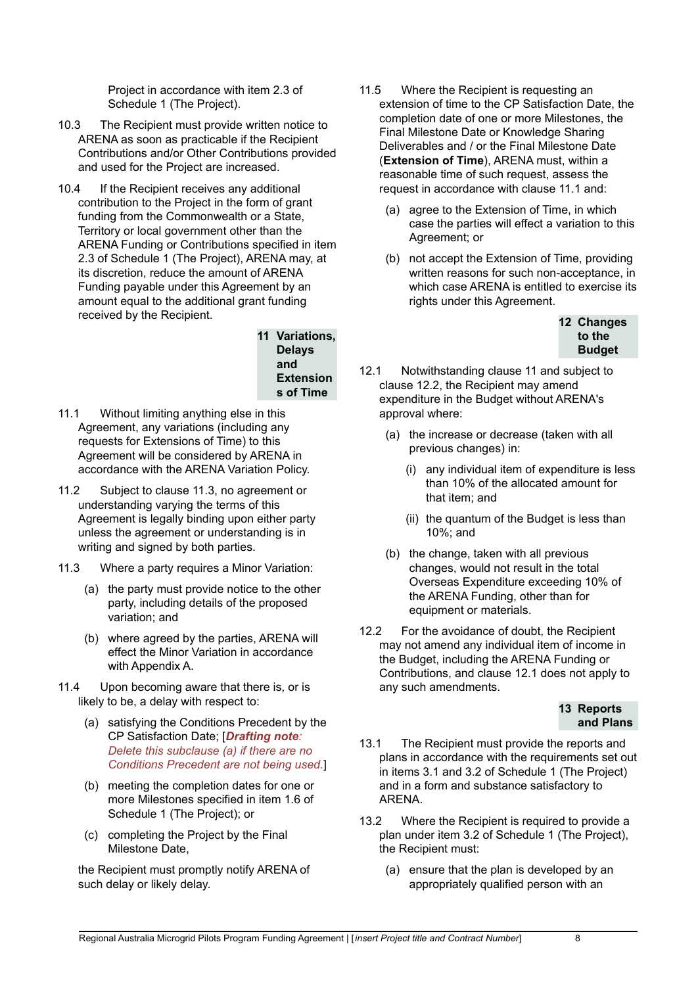Project in accordance with item 2.3 of Schedule 1 (The Project).

- 10.3 The Recipient must provide written notice to ARENA as soon as practicable if the Recipient Contributions and/or Other Contributions provided and used for the Project are increased.
- 10.4 If the Recipient receives any additional contribution to the Project in the form of grant funding from the Commonwealth or a State, Territory or local government other than the ARENA Funding or Contributions specified in item 2.3 of Schedule 1 (The Project), ARENA may, at its discretion, reduce the amount of ARENA Funding payable under this Agreement by an amount equal to the additional grant funding received by the Recipient.

**11 Variations, Delays and Extension s of Time**

- 11.1 Without limiting anything else in this Agreement, any variations (including any requests for Extensions of Time) to this Agreement will be considered by ARENA in accordance with the ARENA Variation Policy.
- 11.2 Subject to clause 11.3, no agreement or understanding varying the terms of this Agreement is legally binding upon either party unless the agreement or understanding is in writing and signed by both parties.
- 11.3 Where a party requires a Minor Variation:
	- (a) the party must provide notice to the other party, including details of the proposed variation; and
	- (b) where agreed by the parties, ARENA will effect the Minor Variation in accordance with Appendix A.
- 11.4 Upon becoming aware that there is, or is likely to be, a delay with respect to:
	- (a) satisfying the Conditions Precedent by the CP Satisfaction Date; [*Drafting note: Delete this subclause (a) if there are no Conditions Precedent are not being used.*]
	- (b) meeting the completion dates for one or more Milestones specified in item 1.6 of Schedule 1 (The Project); or
	- (c) completing the Project by the Final Milestone Date,

the Recipient must promptly notify ARENA of such delay or likely delay.

- 11.5 Where the Recipient is requesting an extension of time to the CP Satisfaction Date, the completion date of one or more Milestones, the Final Milestone Date or Knowledge Sharing Deliverables and / or the Final Milestone Date (**Extension of Time**), ARENA must, within a reasonable time of such request, assess the request in accordance with clause 11.1 and:
	- (a) agree to the Extension of Time, in which case the parties will effect a variation to this Agreement; or
	- (b) not accept the Extension of Time, providing written reasons for such non-acceptance, in which case ARENA is entitled to exercise its rights under this Agreement.



- 12.1 Notwithstanding clause 11 and subject to clause 12.2, the Recipient may amend expenditure in the Budget without ARENA's approval where:
	- (a) the increase or decrease (taken with all previous changes) in:
		- (i) any individual item of expenditure is less than 10% of the allocated amount for that item; and
		- (ii) the quantum of the Budget is less than 10%; and
	- (b) the change, taken with all previous changes, would not result in the total Overseas Expenditure exceeding 10% of the ARENA Funding, other than for equipment or materials.
- 12.2 For the avoidance of doubt, the Recipient may not amend any individual item of income in the Budget, including the ARENA Funding or Contributions, and clause 12.1 does not apply to any such amendments.

**13 Reports and Plans**

- 13.1 The Recipient must provide the reports and plans in accordance with the requirements set out in items 3.1 and 3.2 of Schedule 1 (The Project) and in a form and substance satisfactory to ARENA.
- 13.2 Where the Recipient is required to provide a plan under item 3.2 of Schedule 1 (The Project), the Recipient must:
	- (a) ensure that the plan is developed by an appropriately qualified person with an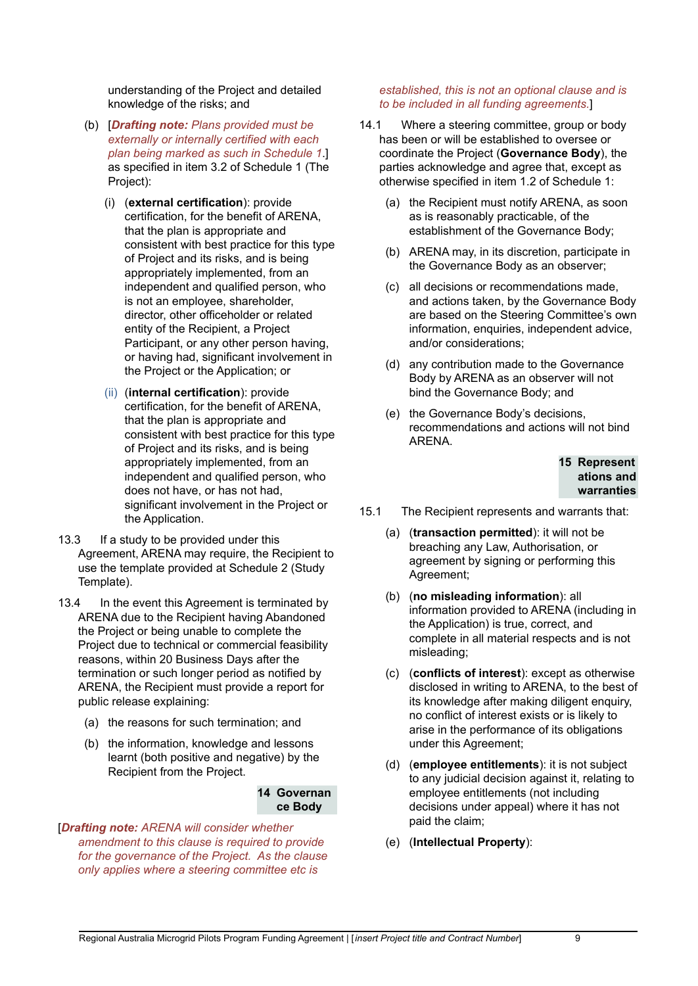understanding of the Project and detailed knowledge of the risks; and

- (b) [*Drafting note: Plans provided must be externally or internally certified with each plan being marked as such in Schedule 1*.] as specified in item 3.2 of Schedule 1 (The Project):
	- (i) (**external certification**): provide certification, for the benefit of ARENA, that the plan is appropriate and consistent with best practice for this type of Project and its risks, and is being appropriately implemented, from an independent and qualified person, who is not an employee, shareholder, director, other officeholder or related entity of the Recipient, a Project Participant, or any other person having, or having had, significant involvement in the Project or the Application; or
	- (ii) (**internal certification**): provide certification, for the benefit of ARENA, that the plan is appropriate and consistent with best practice for this type of Project and its risks, and is being appropriately implemented, from an independent and qualified person, who does not have, or has not had, significant involvement in the Project or the Application.
- 13.3 If a study to be provided under this Agreement, ARENA may require, the Recipient to use the template provided at Schedule 2 (Study Template).
- 13.4 In the event this Agreement is terminated by ARENA due to the Recipient having Abandoned the Project or being unable to complete the Project due to technical or commercial feasibility reasons, within 20 Business Days after the termination or such longer period as notified by ARENA, the Recipient must provide a report for public release explaining:
	- (a) the reasons for such termination; and
	- (b) the information, knowledge and lessons learnt (both positive and negative) by the Recipient from the Project.

#### **14 Governan ce Body**

[*Drafting note: ARENA will consider whether amendment to this clause is required to provide for the governance of the Project. As the clause only applies where a steering committee etc is*

#### *established, this is not an optional clause and is to be included in all funding agreements.*]

- 14.1 Where a steering committee, group or body has been or will be established to oversee or coordinate the Project (**Governance Body**), the parties acknowledge and agree that, except as otherwise specified in item 1.2 of Schedule 1:
	- (a) the Recipient must notify ARENA, as soon as is reasonably practicable, of the establishment of the Governance Body;
	- (b) ARENA may, in its discretion, participate in the Governance Body as an observer;
	- (c) all decisions or recommendations made, and actions taken, by the Governance Body are based on the Steering Committee's own information, enquiries, independent advice. and/or considerations;
	- (d) any contribution made to the Governance Body by ARENA as an observer will not bind the Governance Body; and
	- (e) the Governance Body's decisions, recommendations and actions will not bind ARENA.

#### **15 Represent ations and warranties**

- 15.1 The Recipient represents and warrants that:
	- (a) (**transaction permitted**): it will not be breaching any Law, Authorisation, or agreement by signing or performing this Agreement;
	- (b) (**no misleading information**): all information provided to ARENA (including in the Application) is true, correct, and complete in all material respects and is not misleading;
	- (c) (**conflicts of interest**): except as otherwise disclosed in writing to ARENA, to the best of its knowledge after making diligent enquiry, no conflict of interest exists or is likely to arise in the performance of its obligations under this Agreement;
	- (d) (**employee entitlements**): it is not subject to any judicial decision against it, relating to employee entitlements (not including decisions under appeal) where it has not paid the claim;
	- (e) (**Intellectual Property**):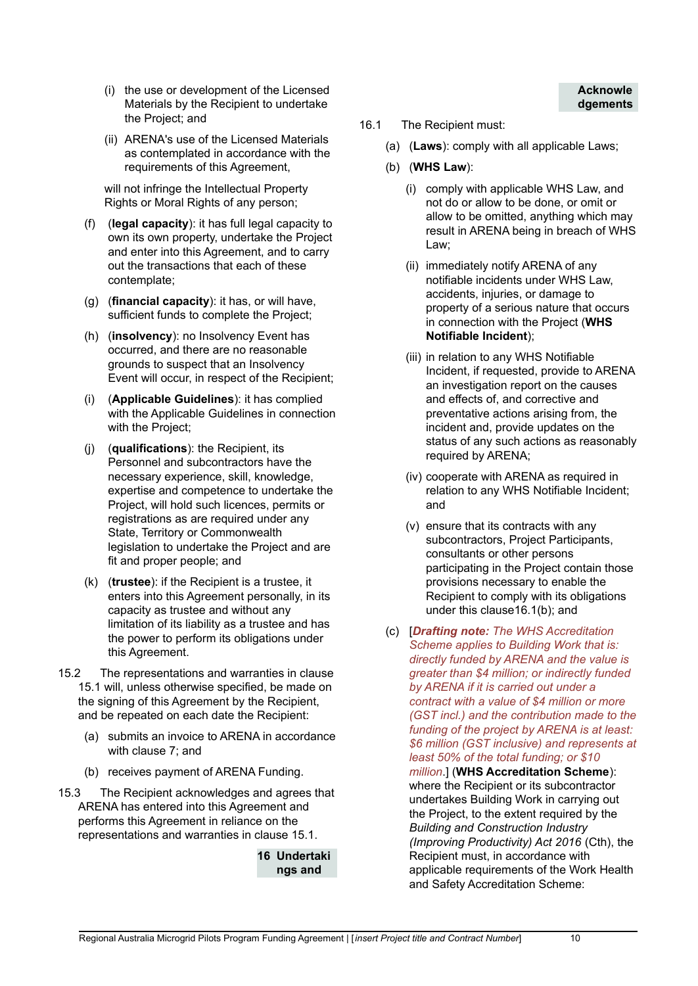- (i) the use or development of the Licensed Materials by the Recipient to undertake the Project; and
- (ii) ARENA's use of the Licensed Materials as contemplated in accordance with the requirements of this Agreement,

will not infringe the Intellectual Property Rights or Moral Rights of any person;

- (f) (**legal capacity**): it has full legal capacity to own its own property, undertake the Project and enter into this Agreement, and to carry out the transactions that each of these contemplate;
- (g) (**financial capacity**): it has, or will have, sufficient funds to complete the Project;
- (h) (**insolvency**): no Insolvency Event has occurred, and there are no reasonable grounds to suspect that an Insolvency Event will occur, in respect of the Recipient;
- (i) (**Applicable Guidelines**): it has complied with the Applicable Guidelines in connection with the Project:
- (j) (**qualifications**): the Recipient, its Personnel and subcontractors have the necessary experience, skill, knowledge, expertise and competence to undertake the Project, will hold such licences, permits or registrations as are required under any State, Territory or Commonwealth legislation to undertake the Project and are fit and proper people; and
- (k) (**trustee**): if the Recipient is a trustee, it enters into this Agreement personally, in its capacity as trustee and without any limitation of its liability as a trustee and has the power to perform its obligations under this Agreement.
- 15.2 The representations and warranties in clause 15.1 will, unless otherwise specified, be made on the signing of this Agreement by the Recipient, and be repeated on each date the Recipient:
	- (a) submits an invoice to ARENA in accordance with clause 7; and
	- (b) receives payment of ARENA Funding.
- 15.3 The Recipient acknowledges and agrees that ARENA has entered into this Agreement and performs this Agreement in reliance on the representations and warranties in clause 15.1.

**16 Undertaki ngs and**

- 16.1 The Recipient must:
	- (a) (**Laws**): comply with all applicable Laws;
	- (b) (**WHS Law**):
		- (i) comply with applicable WHS Law, and not do or allow to be done, or omit or allow to be omitted, anything which may result in ARENA being in breach of WHS Law;

**Acknowle dgements**

- (ii) immediately notify ARENA of any notifiable incidents under WHS Law, accidents, injuries, or damage to property of a serious nature that occurs in connection with the Project (**WHS Notifiable Incident**);
- (iii) in relation to any WHS Notifiable Incident, if requested, provide to ARENA an investigation report on the causes and effects of, and corrective and preventative actions arising from, the incident and, provide updates on the status of any such actions as reasonably required by ARENA;
- (iv) cooperate with ARENA as required in relation to any WHS Notifiable Incident; and
- (v) ensure that its contracts with any subcontractors, Project Participants, consultants or other persons participating in the Project contain those provisions necessary to enable the Recipient to comply with its obligations under this clause16.1(b); and
- (c) [*Drafting note: The WHS Accreditation Scheme applies to Building Work that is: directly funded by ARENA and the value is greater than \$4 million; or indirectly funded by ARENA if it is carried out under a contract with a value of \$4 million or more (GST incl.) and the contribution made to the funding of the project by ARENA is at least: \$6 million (GST inclusive) and represents at least 50% of the total funding; or \$10 million*.] (**WHS Accreditation Scheme**): where the Recipient or its subcontractor undertakes Building Work in carrying out the Project, to the extent required by the *Building and Construction Industry (Improving Productivity) Act 2016* (Cth), the Recipient must, in accordance with applicable requirements of the Work Health

and Safety Accreditation Scheme: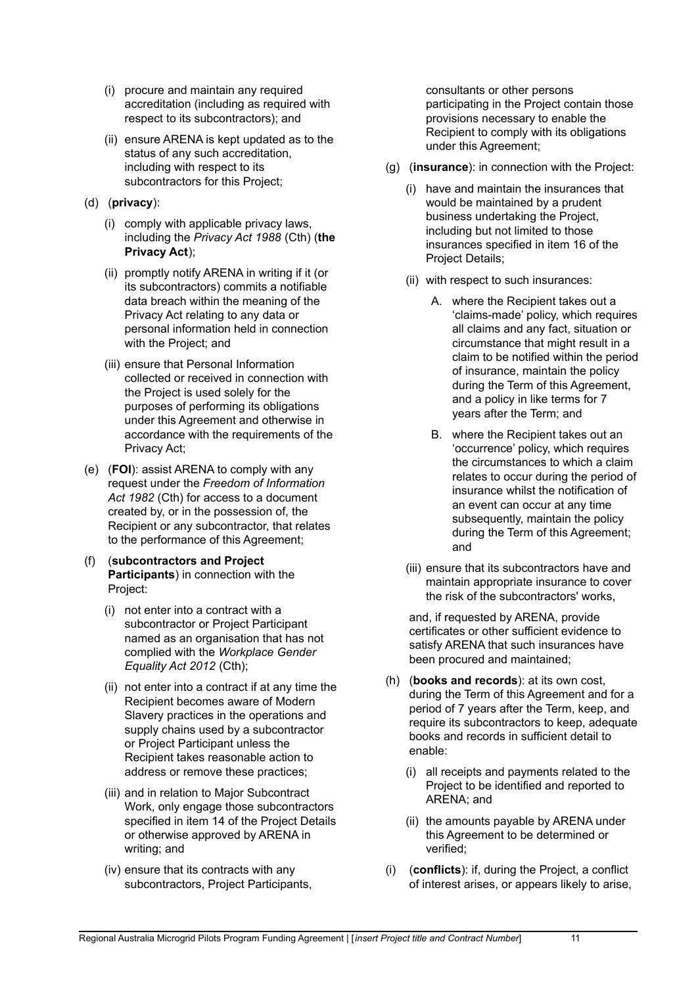- (i) procure and maintain any required accreditation (including as required with respect to its subcontractors); and
- (ii) ensure ARENA is kept updated as to the status of any such accreditation, including with respect to its subcontractors for this Project:
- (d) (**privacy**):
	- (i) comply with applicable privacy laws, including the *Privacy Act 1988* (Cth) (**the Privacy Act**);
	- (ii) promptly notify ARENA in writing if it (or its subcontractors) commits a notifiable data breach within the meaning of the Privacy Act relating to any data or personal information held in connection with the Project; and
	- (iii) ensure that Personal Information collected or received in connection with the Project is used solely for the purposes of performing its obligations under this Agreement and otherwise in accordance with the requirements of the Privacy Act;
- (e) (**FOI**): assist ARENA to comply with any request under the *Freedom of Information Act 1982* (Cth) for access to a document created by, or in the possession of, the Recipient or any subcontractor, that relates to the performance of this Agreement;
- (f) (**subcontractors and Project Participants**) in connection with the Project:
	- (i) not enter into a contract with a subcontractor or Project Participant named as an organisation that has not complied with the *Workplace Gender Equality Act 2012* (Cth);
	- (ii) not enter into a contract if at any time the Recipient becomes aware of Modern Slavery practices in the operations and supply chains used by a subcontractor or Project Participant unless the Recipient takes reasonable action to address or remove these practices;
	- (iii) and in relation to Major Subcontract Work, only engage those subcontractors specified in item 14 of the Project Details or otherwise approved by ARENA in writing; and
	- (iv) ensure that its contracts with any subcontractors, Project Participants,

consultants or other persons participating in the Project contain those provisions necessary to enable the Recipient to comply with its obligations under this Agreement;

- (g) (**insurance**): in connection with the Project:
	- (i) have and maintain the insurances that would be maintained by a prudent business undertaking the Project, including but not limited to those insurances specified in item 16 of the Project Details;
	- (ii) with respect to such insurances:
		- A. where the Recipient takes out a 'claims-made' policy, which requires all claims and any fact, situation or circumstance that might result in a claim to be notified within the period of insurance, maintain the policy during the Term of this Agreement, and a policy in like terms for 7 years after the Term; and
		- B. where the Recipient takes out an 'occurrence' policy, which requires the circumstances to which a claim relates to occur during the period of insurance whilst the notification of an event can occur at any time subsequently, maintain the policy during the Term of this Agreement; and
	- (iii) ensure that its subcontractors have and maintain appropriate insurance to cover the risk of the subcontractors' works,

and, if requested by ARENA, provide certificates or other sufficient evidence to satisfy ARENA that such insurances have been procured and maintained;

- (h) (**books and records**): at its own cost, during the Term of this Agreement and for a period of 7 years after the Term, keep, and require its subcontractors to keep, adequate books and records in sufficient detail to enable:
	- (i) all receipts and payments related to the Project to be identified and reported to ARENA; and
	- (ii) the amounts payable by ARENA under this Agreement to be determined or verified;
- (i) (**conflicts**): if, during the Project, a conflict of interest arises, or appears likely to arise,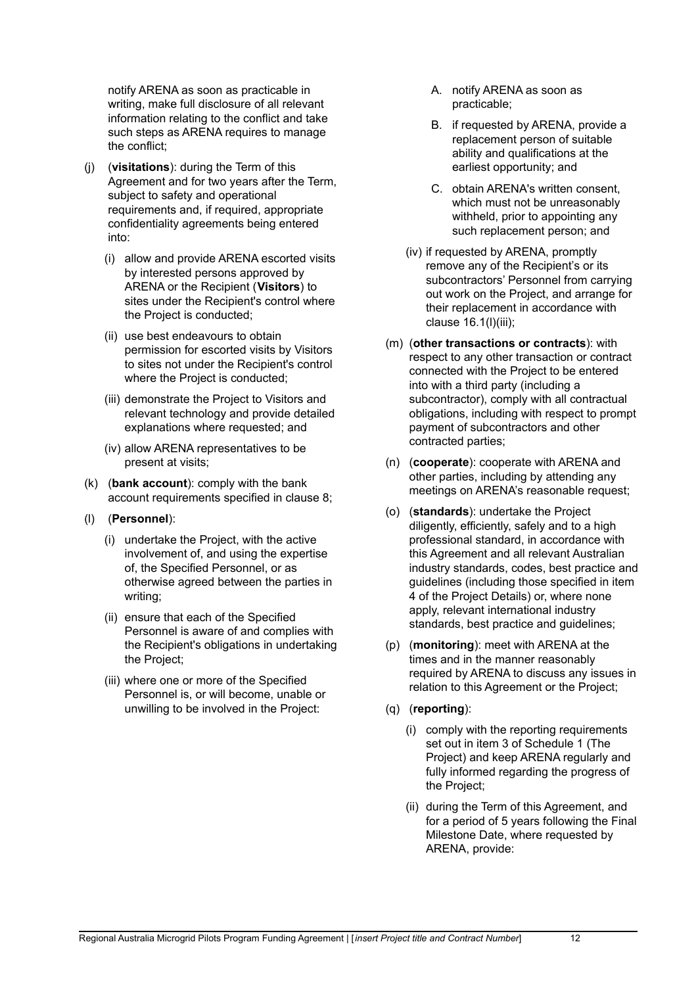notify ARENA as soon as practicable in writing, make full disclosure of all relevant information relating to the conflict and take such steps as ARENA requires to manage the conflict;

- (j) (**visitations**): during the Term of this Agreement and for two years after the Term, subject to safety and operational requirements and, if required, appropriate confidentiality agreements being entered into:
	- (i) allow and provide ARENA escorted visits by interested persons approved by ARENA or the Recipient (**Visitors**) to sites under the Recipient's control where the Project is conducted;
	- (ii) use best endeavours to obtain permission for escorted visits by Visitors to sites not under the Recipient's control where the Project is conducted;
	- (iii) demonstrate the Project to Visitors and relevant technology and provide detailed explanations where requested; and
	- (iv) allow ARENA representatives to be present at visits;
- (k) (**bank account**): comply with the bank account requirements specified in clause 8;
- (l) (**Personnel**):
	- (i) undertake the Project, with the active involvement of, and using the expertise of, the Specified Personnel, or as otherwise agreed between the parties in writing;
	- (ii) ensure that each of the Specified Personnel is aware of and complies with the Recipient's obligations in undertaking the Project;
	- (iii) where one or more of the Specified Personnel is, or will become, unable or unwilling to be involved in the Project:
- A. notify ARENA as soon as practicable;
- B. if requested by ARENA, provide a replacement person of suitable ability and qualifications at the earliest opportunity; and
- C. obtain ARENA's written consent, which must not be unreasonably withheld, prior to appointing any such replacement person; and
- (iv) if requested by ARENA, promptly remove any of the Recipient's or its subcontractors' Personnel from carrying out work on the Project, and arrange for their replacement in accordance with clause 16.1(l)(iii);
- (m) (**other transactions or contracts**): with respect to any other transaction or contract connected with the Project to be entered into with a third party (including a subcontractor), comply with all contractual obligations, including with respect to prompt payment of subcontractors and other contracted parties;
- (n) (**cooperate**): cooperate with ARENA and other parties, including by attending any meetings on ARENA's reasonable request;
- (o) (**standards**): undertake the Project diligently, efficiently, safely and to a high professional standard, in accordance with this Agreement and all relevant Australian industry standards, codes, best practice and guidelines (including those specified in item 4 of the Project Details) or, where none apply, relevant international industry standards, best practice and guidelines;
- (p) (**monitoring**): meet with ARENA at the times and in the manner reasonably required by ARENA to discuss any issues in relation to this Agreement or the Project;
- (q) (**reporting**):
	- (i) comply with the reporting requirements set out in item 3 of Schedule 1 (The Project) and keep ARENA regularly and fully informed regarding the progress of the Project;
	- (ii) during the Term of this Agreement, and for a period of 5 years following the Final Milestone Date, where requested by ARENA, provide: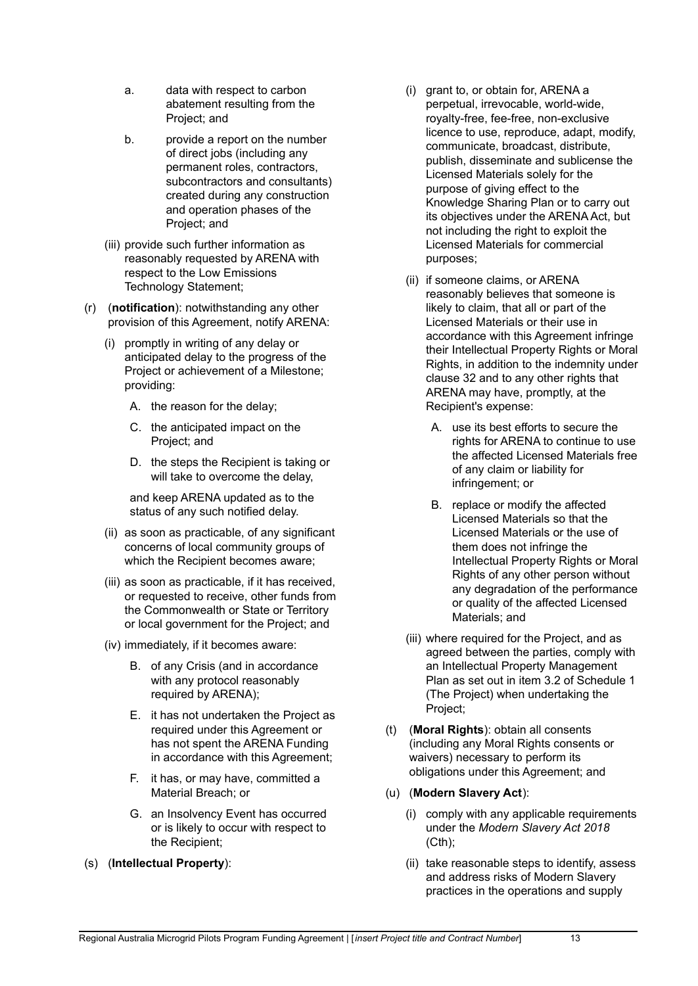- a. data with respect to carbon abatement resulting from the Project; and
- b. provide a report on the number of direct jobs (including any permanent roles, contractors, subcontractors and consultants) created during any construction and operation phases of the Project; and
- (iii) provide such further information as reasonably requested by ARENA with respect to the Low Emissions Technology Statement;
- (r) (**notification**): notwithstanding any other provision of this Agreement, notify ARENA:
	- (i) promptly in writing of any delay or anticipated delay to the progress of the Project or achievement of a Milestone; providing:
		- A. the reason for the delay;
		- C. the anticipated impact on the Project; and
		- D. the steps the Recipient is taking or will take to overcome the delay,

and keep ARENA updated as to the status of any such notified delay.

- (ii) as soon as practicable, of any significant concerns of local community groups of which the Recipient becomes aware;
- (iii) as soon as practicable, if it has received, or requested to receive, other funds from the Commonwealth or State or Territory or local government for the Project; and
- (iv) immediately, if it becomes aware:
	- B. of any Crisis (and in accordance with any protocol reasonably required by ARENA);
	- E. it has not undertaken the Project as required under this Agreement or has not spent the ARENA Funding in accordance with this Agreement;
	- F. it has, or may have, committed a Material Breach; or
	- G. an Insolvency Event has occurred or is likely to occur with respect to the Recipient;
- (s) (**Intellectual Property**):
- (i) grant to, or obtain for, ARENA a perpetual, irrevocable, world-wide, royalty-free, fee-free, non-exclusive licence to use, reproduce, adapt, modify, communicate, broadcast, distribute, publish, disseminate and sublicense the Licensed Materials solely for the purpose of giving effect to the Knowledge Sharing Plan or to carry out its objectives under the ARENA Act, but not including the right to exploit the Licensed Materials for commercial purposes;
- (ii) if someone claims, or ARENA reasonably believes that someone is likely to claim, that all or part of the Licensed Materials or their use in accordance with this Agreement infringe their Intellectual Property Rights or Moral Rights, in addition to the indemnity under clause 32 and to any other rights that ARENA may have, promptly, at the Recipient's expense:
	- A. use its best efforts to secure the rights for ARENA to continue to use the affected Licensed Materials free of any claim or liability for infringement; or
	- B. replace or modify the affected Licensed Materials so that the Licensed Materials or the use of them does not infringe the Intellectual Property Rights or Moral Rights of any other person without any degradation of the performance or quality of the affected Licensed Materials; and
- (iii) where required for the Project, and as agreed between the parties, comply with an Intellectual Property Management Plan as set out in item 3.2 of Schedule 1 (The Project) when undertaking the Project;
- (t) (**Moral Rights**): obtain all consents (including any Moral Rights consents or waivers) necessary to perform its obligations under this Agreement; and
- (u) (**Modern Slavery Act**):
	- (i) comply with any applicable requirements under the *Modern Slavery Act 2018*  $(Cth)$ ;
	- (ii) take reasonable steps to identify, assess and address risks of Modern Slavery practices in the operations and supply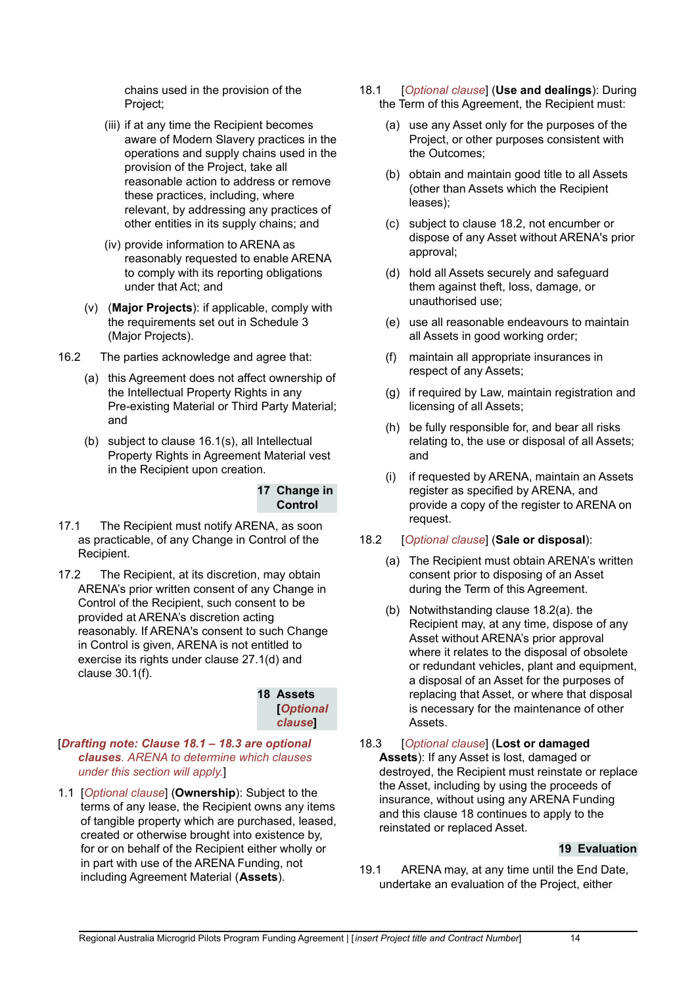chains used in the provision of the Project;

- (iii) if at any time the Recipient becomes aware of Modern Slavery practices in the operations and supply chains used in the provision of the Project, take all reasonable action to address or remove these practices, including, where relevant, by addressing any practices of other entities in its supply chains; and
- (iv) provide information to ARENA as reasonably requested to enable ARENA to comply with its reporting obligations under that Act; and
- (v) (**Major Projects**): if applicable, comply with the requirements set out in Schedule 3 (Major Projects).
- 16.2 The parties acknowledge and agree that:
	- (a) this Agreement does not affect ownership of the Intellectual Property Rights in any Pre-existing Material or Third Party Material; and
	- (b) subject to clause 16.1(s), all Intellectual Property Rights in Agreement Material vest in the Recipient upon creation.

## **17 Change in Control**

- 17.1 The Recipient must notify ARENA, as soon as practicable, of any Change in Control of the Recipient.
- 17.2 The Recipient, at its discretion, may obtain ARENA's prior written consent of any Change in Control of the Recipient, such consent to be provided at ARENA's discretion acting reasonably. If ARENA's consent to such Change in Control is given, ARENA is not entitled to exercise its rights under clause 27.1(d) and clause 30.1(f).

**18 Assets [***Optional clause***]**

#### [*Drafting note: Clause 18.1 – 18.3 are optional clauses. ARENA to determine which clauses under this section will apply.*]

1.1 [*Optional clause*] (**Ownership**): Subject to the terms of any lease, the Recipient owns any items of tangible property which are purchased, leased, created or otherwise brought into existence by, for or on behalf of the Recipient either wholly or in part with use of the ARENA Funding, not including Agreement Material (**Assets**).

- 18.1 [*Optional clause*] (**Use and dealings**): During the Term of this Agreement, the Recipient must:
	- (a) use any Asset only for the purposes of the Project, or other purposes consistent with the Outcomes;
	- (b) obtain and maintain good title to all Assets (other than Assets which the Recipient leases);
	- (c) subject to clause 18.2, not encumber or dispose of any Asset without ARENA's prior approval;
	- (d) hold all Assets securely and safeguard them against theft, loss, damage, or unauthorised use;
	- (e) use all reasonable endeavours to maintain all Assets in good working order;
	- (f) maintain all appropriate insurances in respect of any Assets;
	- (g) if required by Law, maintain registration and licensing of all Assets;
	- (h) be fully responsible for, and bear all risks relating to, the use or disposal of all Assets; and
	- (i) if requested by ARENA, maintain an Assets register as specified by ARENA, and provide a copy of the register to ARENA on request.

## 18.2 [*Optional clause*] (**Sale or disposal**):

- (a) The Recipient must obtain ARENA's written consent prior to disposing of an Asset during the Term of this Agreement.
- (b) Notwithstanding clause 18.2(a). the Recipient may, at any time, dispose of any Asset without ARENA's prior approval where it relates to the disposal of obsolete or redundant vehicles, plant and equipment, a disposal of an Asset for the purposes of replacing that Asset, or where that disposal is necessary for the maintenance of other Assets.

#### 18.3 [*Optional clause*] (**Lost or damaged Assets**): If any Asset is lost, damaged or destroyed, the Recipient must reinstate or replace the Asset, including by using the proceeds of insurance, without using any ARENA Funding and this clause 18 continues to apply to the reinstated or replaced Asset.

## **19 Evaluation**

19.1 ARENA may, at any time until the End Date, undertake an evaluation of the Project, either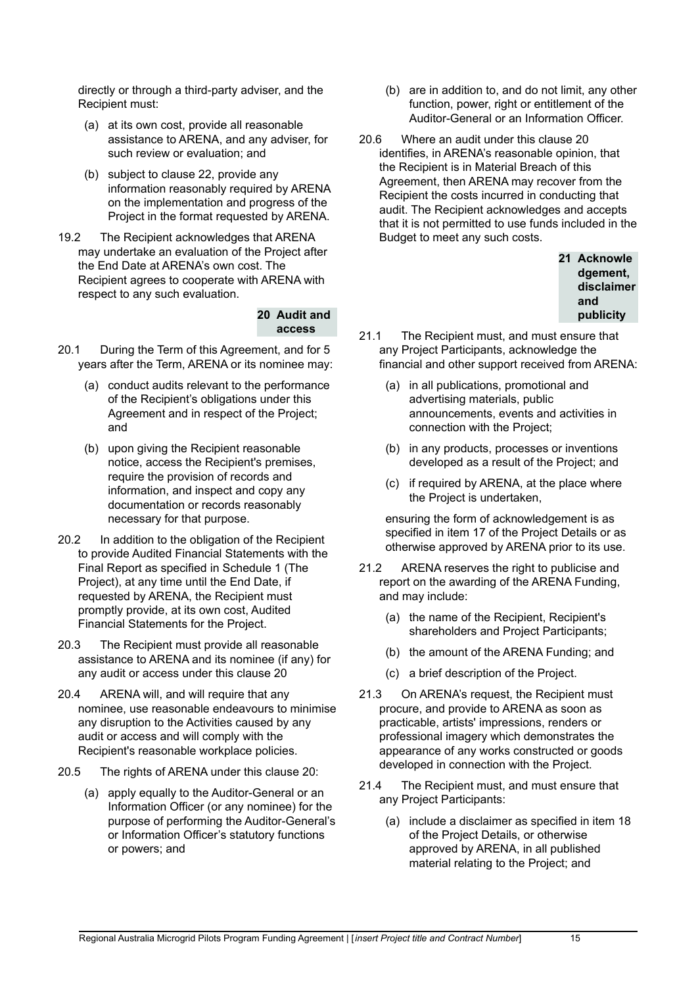directly or through a third-party adviser, and the Recipient must:

- (a) at its own cost, provide all reasonable assistance to ARENA, and any adviser, for such review or evaluation; and
- (b) subject to clause 22, provide any information reasonably required by ARENA on the implementation and progress of the Project in the format requested by ARENA.
- 19.2 The Recipient acknowledges that ARENA may undertake an evaluation of the Project after the End Date at ARENA's own cost. The Recipient agrees to cooperate with ARENA with respect to any such evaluation.

#### **20 Audit and access**

- 20.1 During the Term of this Agreement, and for 5 years after the Term, ARENA or its nominee may:
	- (a) conduct audits relevant to the performance of the Recipient's obligations under this Agreement and in respect of the Project; and
	- (b) upon giving the Recipient reasonable notice, access the Recipient's premises, require the provision of records and information, and inspect and copy any documentation or records reasonably necessary for that purpose.
- 20.2 In addition to the obligation of the Recipient to provide Audited Financial Statements with the Final Report as specified in Schedule 1 (The Project), at any time until the End Date, if requested by ARENA, the Recipient must promptly provide, at its own cost, Audited Financial Statements for the Project.
- 20.3 The Recipient must provide all reasonable assistance to ARENA and its nominee (if any) for any audit or access under this clause 20
- 20.4 ARENA will, and will require that any nominee, use reasonable endeavours to minimise any disruption to the Activities caused by any audit or access and will comply with the Recipient's reasonable workplace policies.
- 20.5 The rights of ARENA under this clause 20:
	- (a) apply equally to the Auditor-General or an Information Officer (or any nominee) for the purpose of performing the Auditor-General's or Information Officer's statutory functions or powers; and
- (b) are in addition to, and do not limit, any other function, power, right or entitlement of the Auditor-General or an Information Officer.
- 20.6 Where an audit under this clause 20 identifies, in ARENA's reasonable opinion, that the Recipient is in Material Breach of this Agreement, then ARENA may recover from the Recipient the costs incurred in conducting that audit. The Recipient acknowledges and accepts that it is not permitted to use funds included in the Budget to meet any such costs.



- 21.1 The Recipient must, and must ensure that any Project Participants, acknowledge the financial and other support received from ARENA:
	- (a) in all publications, promotional and advertising materials, public announcements, events and activities in connection with the Project;
	- (b) in any products, processes or inventions developed as a result of the Project; and
	- (c) if required by ARENA, at the place where the Project is undertaken,

ensuring the form of acknowledgement is as specified in item 17 of the Project Details or as otherwise approved by ARENA prior to its use.

- 21.2 ARENA reserves the right to publicise and report on the awarding of the ARENA Funding, and may include:
	- (a) the name of the Recipient, Recipient's shareholders and Project Participants;
	- (b) the amount of the ARENA Funding; and
	- (c) a brief description of the Project.
- 21.3 On ARENA's request, the Recipient must procure, and provide to ARENA as soon as practicable, artists' impressions, renders or professional imagery which demonstrates the appearance of any works constructed or goods developed in connection with the Project.
- 21.4 The Recipient must, and must ensure that any Project Participants:
	- (a) include a disclaimer as specified in item 18 of the Project Details, or otherwise approved by ARENA, in all published material relating to the Project; and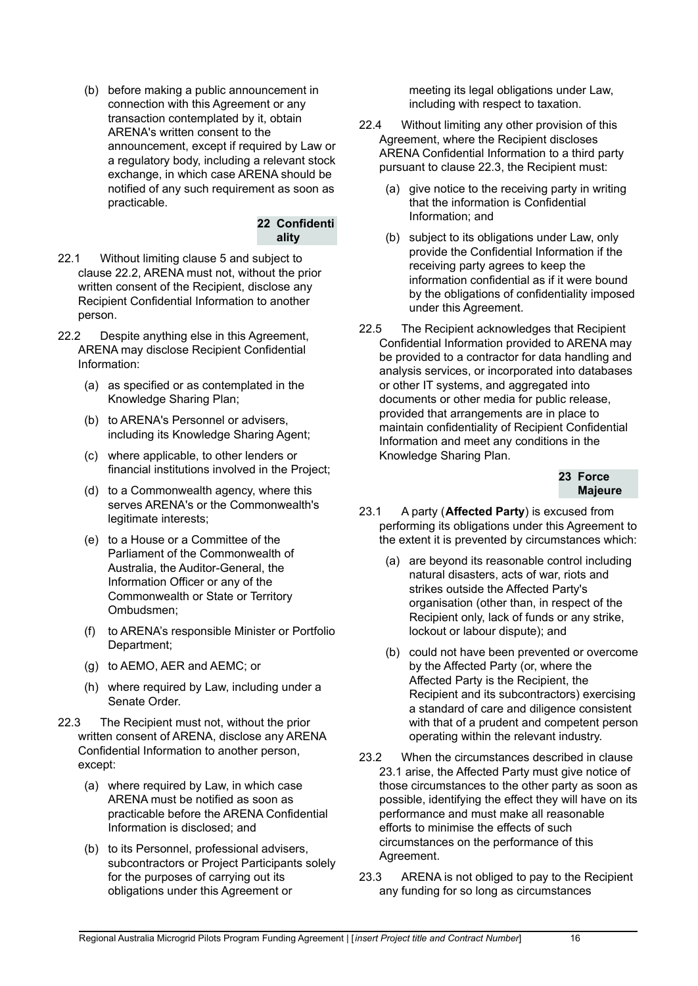(b) before making a public announcement in connection with this Agreement or any transaction contemplated by it, obtain ARENA's written consent to the announcement, except if required by Law or a regulatory body, including a relevant stock exchange, in which case ARENA should be notified of any such requirement as soon as practicable.

#### **22 Confidenti ality**

- 22.1 Without limiting clause 5 and subject to clause 22.2, ARENA must not, without the prior written consent of the Recipient, disclose any Recipient Confidential Information to another person.
- 22.2 Despite anything else in this Agreement, ARENA may disclose Recipient Confidential Information:
	- (a) as specified or as contemplated in the Knowledge Sharing Plan;
	- (b) to ARENA's Personnel or advisers, including its Knowledge Sharing Agent;
	- (c) where applicable, to other lenders or financial institutions involved in the Project;
	- (d) to a Commonwealth agency, where this serves ARENA's or the Commonwealth's legitimate interests;
	- (e) to a House or a Committee of the Parliament of the Commonwealth of Australia, the Auditor-General, the Information Officer or any of the Commonwealth or State or Territory Ombudsmen;
	- (f) to ARENA's responsible Minister or Portfolio Department;
	- (g) to AEMO, AER and AEMC; or
	- (h) where required by Law, including under a Senate Order.
- 22.3 The Recipient must not, without the prior written consent of ARENA, disclose any ARENA Confidential Information to another person, except:
	- (a) where required by Law, in which case ARENA must be notified as soon as practicable before the ARENA Confidential Information is disclosed; and
	- (b) to its Personnel, professional advisers, subcontractors or Project Participants solely for the purposes of carrying out its obligations under this Agreement or

meeting its legal obligations under Law. including with respect to taxation.

- 22.4 Without limiting any other provision of this Agreement, where the Recipient discloses ARENA Confidential Information to a third party pursuant to clause 22.3, the Recipient must:
	- (a) give notice to the receiving party in writing that the information is Confidential Information; and
	- (b) subject to its obligations under Law, only provide the Confidential Information if the receiving party agrees to keep the information confidential as if it were bound by the obligations of confidentiality imposed under this Agreement.
- 22.5 The Recipient acknowledges that Recipient Confidential Information provided to ARENA may be provided to a contractor for data handling and analysis services, or incorporated into databases or other IT systems, and aggregated into documents or other media for public release, provided that arrangements are in place to maintain confidentiality of Recipient Confidential Information and meet any conditions in the Knowledge Sharing Plan.



- 23.1 A party (**Affected Party**) is excused from performing its obligations under this Agreement to the extent it is prevented by circumstances which:
	- (a) are beyond its reasonable control including natural disasters, acts of war, riots and strikes outside the Affected Party's organisation (other than, in respect of the Recipient only, lack of funds or any strike, lockout or labour dispute); and
	- (b) could not have been prevented or overcome by the Affected Party (or, where the Affected Party is the Recipient, the Recipient and its subcontractors) exercising a standard of care and diligence consistent with that of a prudent and competent person operating within the relevant industry.
- 23.2 When the circumstances described in clause 23.1 arise, the Affected Party must give notice of those circumstances to the other party as soon as possible, identifying the effect they will have on its performance and must make all reasonable efforts to minimise the effects of such circumstances on the performance of this Agreement.
- 23.3 ARENA is not obliged to pay to the Recipient any funding for so long as circumstances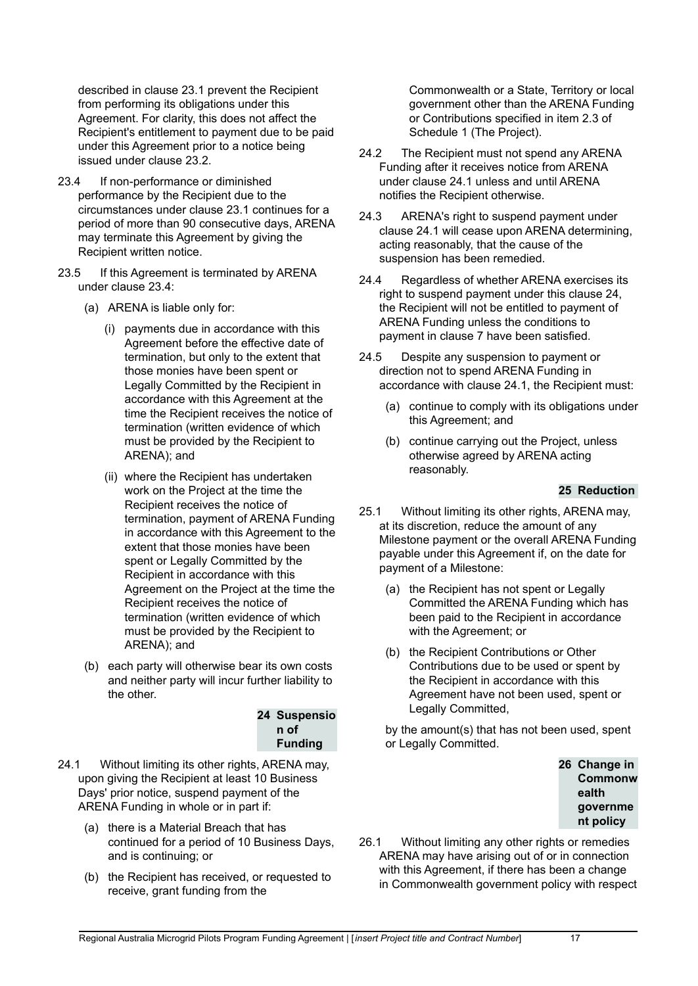described in clause 23.1 prevent the Recipient from performing its obligations under this Agreement. For clarity, this does not affect the Recipient's entitlement to payment due to be paid under this Agreement prior to a notice being issued under clause 23.2.

- 23.4 If non-performance or diminished performance by the Recipient due to the circumstances under clause 23.1 continues for a period of more than 90 consecutive days, ARENA may terminate this Agreement by giving the Recipient written notice.
- 23.5 If this Agreement is terminated by ARENA under clause 23.4:
	- (a) ARENA is liable only for:
		- (i) payments due in accordance with this Agreement before the effective date of termination, but only to the extent that those monies have been spent or Legally Committed by the Recipient in accordance with this Agreement at the time the Recipient receives the notice of termination (written evidence of which must be provided by the Recipient to ARENA); and
		- (ii) where the Recipient has undertaken work on the Project at the time the Recipient receives the notice of termination, payment of ARENA Funding in accordance with this Agreement to the extent that those monies have been spent or Legally Committed by the Recipient in accordance with this Agreement on the Project at the time the Recipient receives the notice of termination (written evidence of which must be provided by the Recipient to ARENA); and
	- (b) each party will otherwise bear its own costs and neither party will incur further liability to the other.

#### **24 Suspensio n of Funding**

- 24.1 Without limiting its other rights, ARENA may, upon giving the Recipient at least 10 Business Days' prior notice, suspend payment of the ARENA Funding in whole or in part if:
	- (a) there is a Material Breach that has continued for a period of 10 Business Days, and is continuing; or
	- (b) the Recipient has received, or requested to receive, grant funding from the

Commonwealth or a State, Territory or local government other than the ARENA Funding or Contributions specified in item 2.3 of Schedule 1 (The Project).

- 24.2 The Recipient must not spend any ARENA Funding after it receives notice from ARENA under clause 24.1 unless and until ARENA notifies the Recipient otherwise.
- 24.3 ARENA's right to suspend payment under clause 24.1 will cease upon ARENA determining, acting reasonably, that the cause of the suspension has been remedied.
- 24.4 Regardless of whether ARENA exercises its right to suspend payment under this clause 24, the Recipient will not be entitled to payment of ARENA Funding unless the conditions to payment in clause 7 have been satisfied.
- 24.5 Despite any suspension to payment or direction not to spend ARENA Funding in accordance with clause 24.1, the Recipient must:
	- (a) continue to comply with its obligations under this Agreement; and
	- (b) continue carrying out the Project, unless otherwise agreed by ARENA acting reasonably.

#### **25 Reduction**

- 25.1 Without limiting its other rights, ARENA may, at its discretion, reduce the amount of any Milestone payment or the overall ARENA Funding payable under this Agreement if, on the date for payment of a Milestone:
	- (a) the Recipient has not spent or Legally Committed the ARENA Funding which has been paid to the Recipient in accordance with the Agreement; or
	- (b) the Recipient Contributions or Other Contributions due to be used or spent by the Recipient in accordance with this Agreement have not been used, spent or Legally Committed,

by the amount(s) that has not been used, spent or Legally Committed.



26.1 Without limiting any other rights or remedies ARENA may have arising out of or in connection with this Agreement, if there has been a change in Commonwealth government policy with respect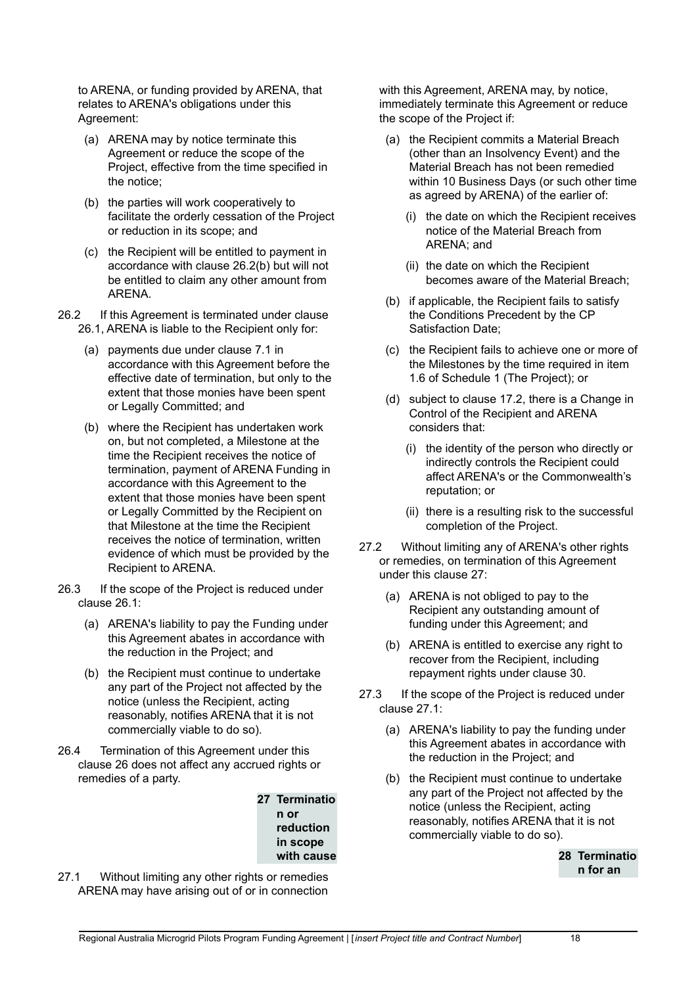to ARENA, or funding provided by ARENA, that relates to ARENA's obligations under this Agreement:

- (a) ARENA may by notice terminate this Agreement or reduce the scope of the Project, effective from the time specified in the notice;
- (b) the parties will work cooperatively to facilitate the orderly cessation of the Project or reduction in its scope; and
- (c) the Recipient will be entitled to payment in accordance with clause 26.2(b) but will not be entitled to claim any other amount from ARENA.
- 26.2 If this Agreement is terminated under clause 26.1, ARENA is liable to the Recipient only for:
	- (a) payments due under clause 7.1 in accordance with this Agreement before the effective date of termination, but only to the extent that those monies have been spent or Legally Committed; and
	- (b) where the Recipient has undertaken work on, but not completed, a Milestone at the time the Recipient receives the notice of termination, payment of ARENA Funding in accordance with this Agreement to the extent that those monies have been spent or Legally Committed by the Recipient on that Milestone at the time the Recipient receives the notice of termination, written evidence of which must be provided by the Recipient to ARENA.
- 26.3 If the scope of the Project is reduced under clause 26.1:
	- (a) ARENA's liability to pay the Funding under this Agreement abates in accordance with the reduction in the Project; and
	- (b) the Recipient must continue to undertake any part of the Project not affected by the notice (unless the Recipient, acting reasonably, notifies ARENA that it is not commercially viable to do so).
- 26.4 Termination of this Agreement under this clause 26 does not affect any accrued rights or remedies of a party.

**27 Terminatio n or reduction in scope with cause**

27.1 Without limiting any other rights or remedies ARENA may have arising out of or in connection with this Agreement, ARENA may, by notice, immediately terminate this Agreement or reduce the scope of the Project if:

- (a) the Recipient commits a Material Breach (other than an Insolvency Event) and the Material Breach has not been remedied within 10 Business Days (or such other time as agreed by ARENA) of the earlier of:
	- (i) the date on which the Recipient receives notice of the Material Breach from ARENA; and
	- (ii) the date on which the Recipient becomes aware of the Material Breach;
- (b) if applicable, the Recipient fails to satisfy the Conditions Precedent by the CP Satisfaction Date;
- (c) the Recipient fails to achieve one or more of the Milestones by the time required in item 1.6 of Schedule 1 (The Project); or
- (d) subject to clause 17.2, there is a Change in Control of the Recipient and ARENA considers that:
	- (i) the identity of the person who directly or indirectly controls the Recipient could affect ARENA's or the Commonwealth's reputation; or
	- (ii) there is a resulting risk to the successful completion of the Project.
- 27.2 Without limiting any of ARENA's other rights or remedies, on termination of this Agreement under this clause 27:
	- (a) ARENA is not obliged to pay to the Recipient any outstanding amount of funding under this Agreement; and
	- (b) ARENA is entitled to exercise any right to recover from the Recipient, including repayment rights under clause 30.
- 27.3 If the scope of the Project is reduced under clause 27.1:
	- (a) ARENA's liability to pay the funding under this Agreement abates in accordance with the reduction in the Project; and
	- (b) the Recipient must continue to undertake any part of the Project not affected by the notice (unless the Recipient, acting reasonably, notifies ARENA that it is not commercially viable to do so).

**28 Terminatio n for an**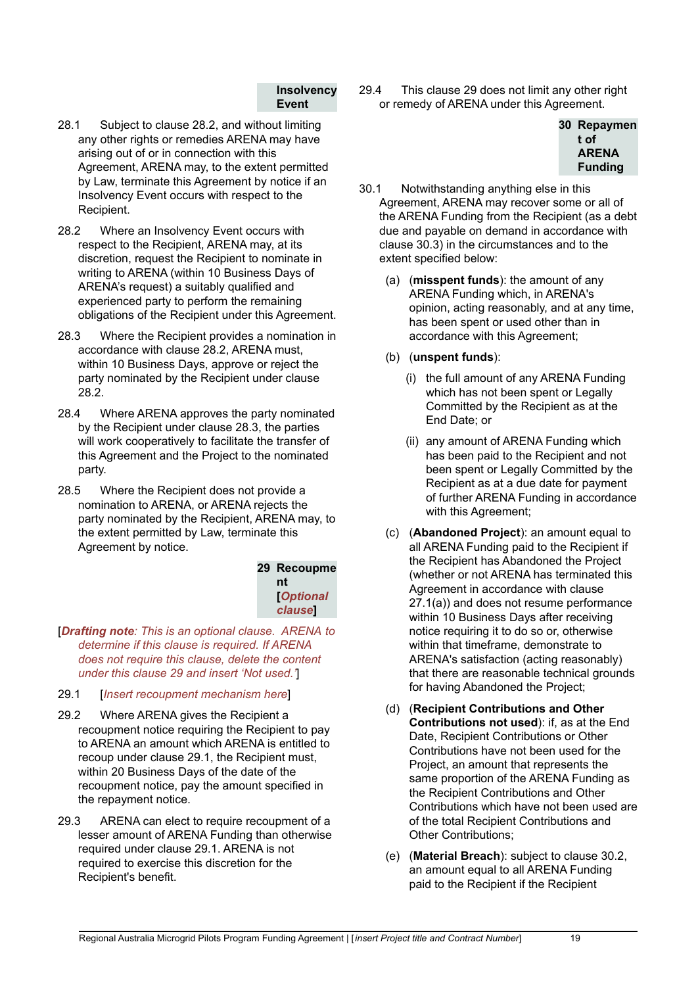#### **Insolvency Event**

- 28.1 Subject to clause 28.2, and without limiting any other rights or remedies ARENA may have arising out of or in connection with this Agreement, ARENA may, to the extent permitted by Law, terminate this Agreement by notice if an Insolvency Event occurs with respect to the Recipient.
- 28.2 Where an Insolvency Event occurs with respect to the Recipient, ARENA may, at its discretion, request the Recipient to nominate in writing to ARENA (within 10 Business Days of ARENA's request) a suitably qualified and experienced party to perform the remaining obligations of the Recipient under this Agreement.
- 28.3 Where the Recipient provides a nomination in accordance with clause 28.2, ARENA must, within 10 Business Days, approve or reject the party nominated by the Recipient under clause 28.2.
- 28.4 Where ARENA approves the party nominated by the Recipient under clause 28.3, the parties will work cooperatively to facilitate the transfer of this Agreement and the Project to the nominated party.
- 28.5 Where the Recipient does not provide a nomination to ARENA, or ARENA rejects the party nominated by the Recipient, ARENA may, to the extent permitted by Law, terminate this Agreement by notice.

**29 Recoupme nt [***Optional clause***]**

[*Drafting note: This is an optional clause. ARENA to determine if this clause is required. If ARENA does not require this clause, delete the content under this clause 29 and insert 'Not used.'*]

- 29.1 [*Insert recoupment mechanism here*]
- 29.2 Where ARENA gives the Recipient a recoupment notice requiring the Recipient to pay to ARENA an amount which ARENA is entitled to recoup under clause 29.1, the Recipient must, within 20 Business Days of the date of the recoupment notice, pay the amount specified in the repayment notice.
- 29.3 ARENA can elect to require recoupment of a lesser amount of ARENA Funding than otherwise required under clause 29.1. ARENA is not required to exercise this discretion for the Recipient's benefit.

29.4 This clause 29 does not limit any other right or remedy of ARENA under this Agreement.



- 30.1 Notwithstanding anything else in this Agreement, ARENA may recover some or all of the ARENA Funding from the Recipient (as a debt due and payable on demand in accordance with clause 30.3) in the circumstances and to the extent specified below:
	- (a) (**misspent funds**): the amount of any ARENA Funding which, in ARENA's opinion, acting reasonably, and at any time, has been spent or used other than in accordance with this Agreement;
	- (b) (**unspent funds**):
		- (i) the full amount of any ARENA Funding which has not been spent or Legally Committed by the Recipient as at the End Date; or
		- (ii) any amount of ARENA Funding which has been paid to the Recipient and not been spent or Legally Committed by the Recipient as at a due date for payment of further ARENA Funding in accordance with this Agreement;
	- (c) (**Abandoned Project**): an amount equal to all ARENA Funding paid to the Recipient if the Recipient has Abandoned the Project (whether or not ARENA has terminated this Agreement in accordance with clause 27.1(a)) and does not resume performance within 10 Business Days after receiving notice requiring it to do so or, otherwise within that timeframe, demonstrate to ARENA's satisfaction (acting reasonably) that there are reasonable technical grounds for having Abandoned the Project;
	- (d) (**Recipient Contributions and Other Contributions not used**): if, as at the End Date, Recipient Contributions or Other Contributions have not been used for the Project, an amount that represents the same proportion of the ARENA Funding as the Recipient Contributions and Other Contributions which have not been used are of the total Recipient Contributions and Other Contributions;
	- (e) (**Material Breach**): subject to clause 30.2, an amount equal to all ARENA Funding paid to the Recipient if the Recipient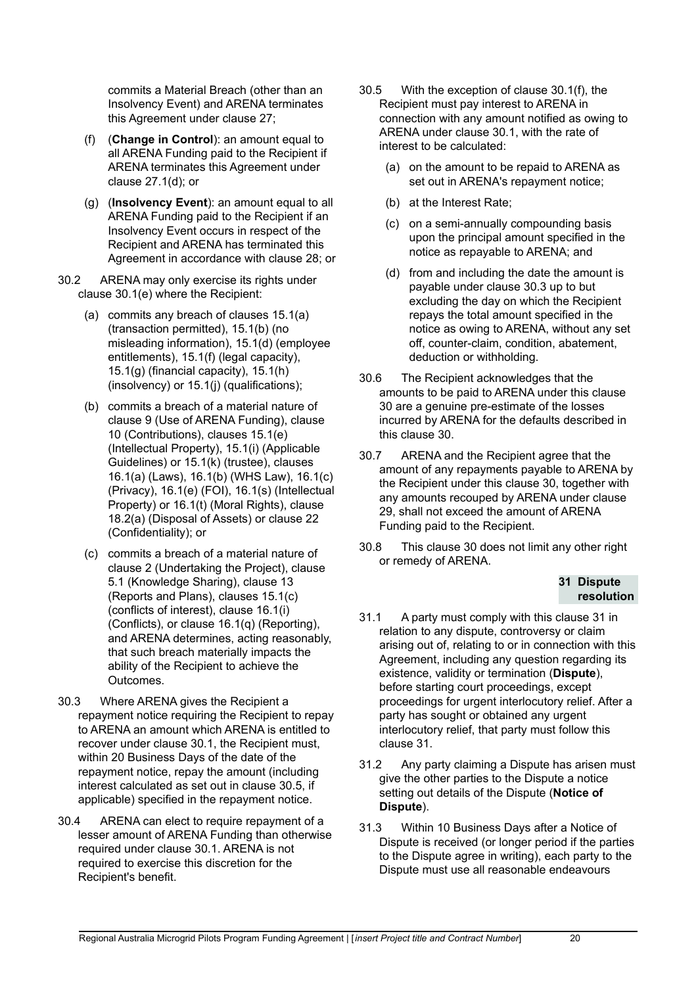commits a Material Breach (other than an Insolvency Event) and ARENA terminates this Agreement under clause 27;

- (f) (**Change in Control**): an amount equal to all ARENA Funding paid to the Recipient if ARENA terminates this Agreement under clause 27.1(d); or
- (g) (**Insolvency Event**): an amount equal to all ARENA Funding paid to the Recipient if an Insolvency Event occurs in respect of the Recipient and ARENA has terminated this Agreement in accordance with clause 28; or
- 30.2 ARENA may only exercise its rights under clause 30.1(e) where the Recipient:
	- (a) commits any breach of clauses 15.1(a) (transaction permitted), 15.1(b) (no misleading information), 15.1(d) (employee entitlements), 15.1(f) (legal capacity), 15.1(g) (financial capacity), 15.1(h) (insolvency) or 15.1(j) (qualifications);
	- (b) commits a breach of a material nature of clause 9 (Use of ARENA Funding), clause 10 (Contributions), clauses 15.1(e) (Intellectual Property), 15.1(i) (Applicable Guidelines) or 15.1(k) (trustee), clauses 16.1(a) (Laws), 16.1(b) (WHS Law), 16.1(c) (Privacy), 16.1(e) (FOI), 16.1(s) (Intellectual Property) or 16.1(t) (Moral Rights), clause 18.2(a) (Disposal of Assets) or clause 22 (Confidentiality); or
	- (c) commits a breach of a material nature of clause 2 (Undertaking the Project), clause 5.1 (Knowledge Sharing), clause 13 (Reports and Plans), clauses 15.1(c) (conflicts of interest), clause 16.1(i) (Conflicts), or clause 16.1(q) (Reporting), and ARENA determines, acting reasonably, that such breach materially impacts the ability of the Recipient to achieve the Outcomes.
- 30.3 Where ARENA gives the Recipient a repayment notice requiring the Recipient to repay to ARENA an amount which ARENA is entitled to recover under clause 30.1, the Recipient must, within 20 Business Days of the date of the repayment notice, repay the amount (including interest calculated as set out in clause 30.5, if applicable) specified in the repayment notice.
- 30.4 ARENA can elect to require repayment of a lesser amount of ARENA Funding than otherwise required under clause 30.1. ARENA is not required to exercise this discretion for the Recipient's benefit.
- 30.5 With the exception of clause 30.1(f), the Recipient must pay interest to ARENA in connection with any amount notified as owing to ARENA under clause 30.1, with the rate of interest to be calculated:
	- (a) on the amount to be repaid to ARENA as set out in ARENA's repayment notice;
	- (b) at the Interest Rate;
	- (c) on a semi-annually compounding basis upon the principal amount specified in the notice as repayable to ARENA; and
	- (d) from and including the date the amount is payable under clause 30.3 up to but excluding the day on which the Recipient repays the total amount specified in the notice as owing to ARENA, without any set off, counter-claim, condition, abatement, deduction or withholding.
- 30.6 The Recipient acknowledges that the amounts to be paid to ARENA under this clause 30 are a genuine pre-estimate of the losses incurred by ARENA for the defaults described in this clause 30.
- 30.7 ARENA and the Recipient agree that the amount of any repayments payable to ARENA by the Recipient under this clause 30, together with any amounts recouped by ARENA under clause 29, shall not exceed the amount of ARENA Funding paid to the Recipient.
- 30.8 This clause 30 does not limit any other right or remedy of ARENA.

#### **31 Dispute resolution**

- 31.1 A party must comply with this clause 31 in relation to any dispute, controversy or claim arising out of, relating to or in connection with this Agreement, including any question regarding its existence, validity or termination (**Dispute**), before starting court proceedings, except proceedings for urgent interlocutory relief. After a party has sought or obtained any urgent interlocutory relief, that party must follow this clause 31.
- 31.2 Any party claiming a Dispute has arisen must give the other parties to the Dispute a notice setting out details of the Dispute (**Notice of Dispute**).
- 31.3 Within 10 Business Days after a Notice of Dispute is received (or longer period if the parties to the Dispute agree in writing), each party to the Dispute must use all reasonable endeavours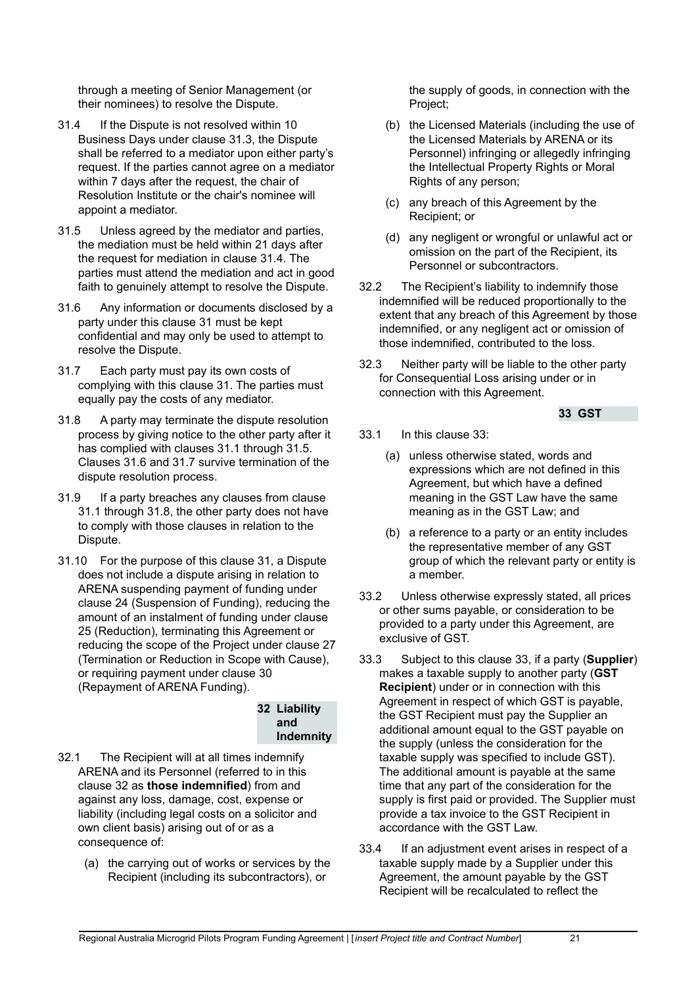through a meeting of Senior Management (or their nominees) to resolve the Dispute.

- 31.4 If the Dispute is not resolved within 10 Business Days under clause 31.3, the Dispute shall be referred to a mediator upon either party's request. If the parties cannot agree on a mediator within 7 days after the request, the chair of Resolution Institute or the chair's nominee will appoint a mediator.
- 31.5 Unless agreed by the mediator and parties, the mediation must be held within 21 days after the request for mediation in clause 31.4. The parties must attend the mediation and act in good faith to genuinely attempt to resolve the Dispute.
- 31.6 Any information or documents disclosed by a party under this clause 31 must be kept confidential and may only be used to attempt to resolve the Dispute.
- 31.7 Each party must pay its own costs of complying with this clause 31. The parties must equally pay the costs of any mediator.
- 31.8 A party may terminate the dispute resolution process by giving notice to the other party after it has complied with clauses 31.1 through 31.5. Clauses 31.6 and 31.7 survive termination of the dispute resolution process.
- 31.9 If a party breaches any clauses from clause 31.1 through 31.8, the other party does not have to comply with those clauses in relation to the Dispute.
- 31.10 For the purpose of this clause 31, a Dispute does not include a dispute arising in relation to ARENA suspending payment of funding under clause 24 (Suspension of Funding), reducing the amount of an instalment of funding under clause 25 (Reduction), terminating this Agreement or reducing the scope of the Project under clause 27 (Termination or Reduction in Scope with Cause), or requiring payment under clause 30 (Repayment of ARENA Funding).

#### **32 Liability and Indemnity**

- 32.1 The Recipient will at all times indemnify ARENA and its Personnel (referred to in this clause 32 as **those indemnified**) from and against any loss, damage, cost, expense or liability (including legal costs on a solicitor and own client basis) arising out of or as a consequence of:
	- (a) the carrying out of works or services by the Recipient (including its subcontractors), or

the supply of goods, in connection with the Project;

- (b) the Licensed Materials (including the use of the Licensed Materials by ARENA or its Personnel) infringing or allegedly infringing the Intellectual Property Rights or Moral Rights of any person;
- (c) any breach of this Agreement by the Recipient; or
- (d) any negligent or wrongful or unlawful act or omission on the part of the Recipient, its Personnel or subcontractors.
- 32.2 The Recipient's liability to indemnify those indemnified will be reduced proportionally to the extent that any breach of this Agreement by those indemnified, or any negligent act or omission of those indemnified, contributed to the loss.
- 32.3 Neither party will be liable to the other party for Consequential Loss arising under or in connection with this Agreement.

## **33 GST**

- 33.1 In this clause 33:
	- (a) unless otherwise stated, words and expressions which are not defined in this Agreement, but which have a defined meaning in the GST Law have the same meaning as in the GST Law; and
	- (b) a reference to a party or an entity includes the representative member of any GST group of which the relevant party or entity is a member.
- 33.2 Unless otherwise expressly stated, all prices or other sums payable, or consideration to be provided to a party under this Agreement, are exclusive of GST.
- 33.3 Subject to this clause 33, if a party (**Supplier**) makes a taxable supply to another party (**GST Recipient**) under or in connection with this Agreement in respect of which GST is payable, the GST Recipient must pay the Supplier an additional amount equal to the GST payable on the supply (unless the consideration for the taxable supply was specified to include GST). The additional amount is payable at the same time that any part of the consideration for the supply is first paid or provided. The Supplier must provide a tax invoice to the GST Recipient in accordance with the GST Law.
- 33.4 If an adjustment event arises in respect of a taxable supply made by a Supplier under this Agreement, the amount payable by the GST Recipient will be recalculated to reflect the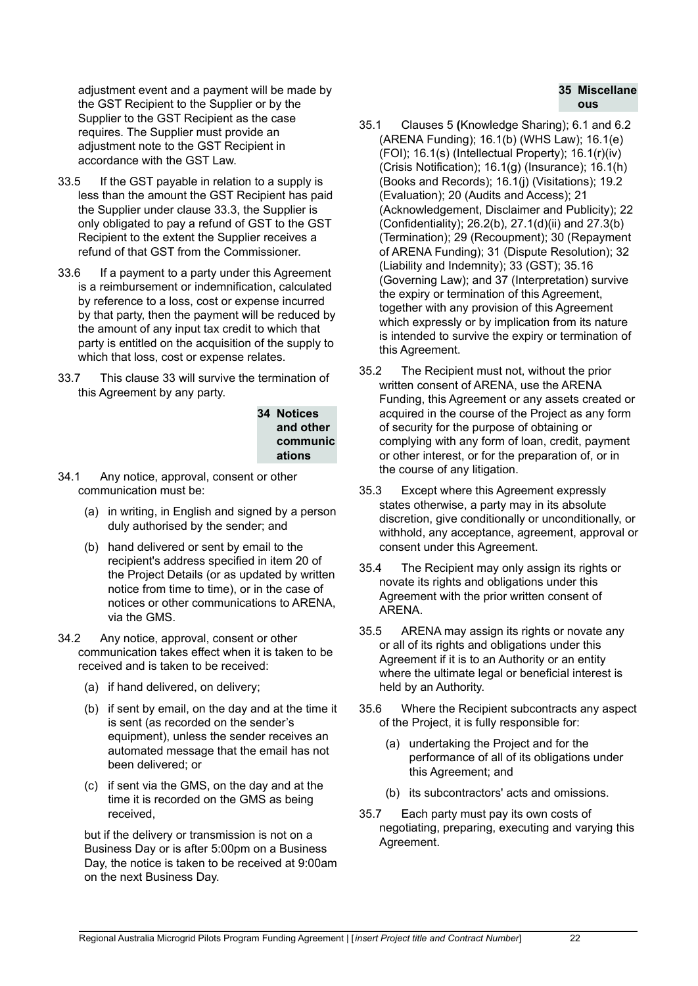adjustment event and a payment will be made by the GST Recipient to the Supplier or by the Supplier to the GST Recipient as the case requires. The Supplier must provide an adjustment note to the GST Recipient in accordance with the GST Law.

- 33.5 If the GST payable in relation to a supply is less than the amount the GST Recipient has paid the Supplier under clause 33.3, the Supplier is only obligated to pay a refund of GST to the GST Recipient to the extent the Supplier receives a refund of that GST from the Commissioner.
- 33.6 If a payment to a party under this Agreement is a reimbursement or indemnification, calculated by reference to a loss, cost or expense incurred by that party, then the payment will be reduced by the amount of any input tax credit to which that party is entitled on the acquisition of the supply to which that loss, cost or expense relates.
- 33.7 This clause 33 will survive the termination of this Agreement by any party.

**34 Notices and other communic ations**

- 34.1 Any notice, approval, consent or other communication must be:
	- (a) in writing, in English and signed by a person duly authorised by the sender; and
	- (b) hand delivered or sent by email to the recipient's address specified in item 20 of the Project Details (or as updated by written notice from time to time), or in the case of notices or other communications to ARENA, via the GMS.
- 34.2 Any notice, approval, consent or other communication takes effect when it is taken to be received and is taken to be received:
	- (a) if hand delivered, on delivery;
	- (b) if sent by email, on the day and at the time it is sent (as recorded on the sender's equipment), unless the sender receives an automated message that the email has not been delivered; or
	- (c) if sent via the GMS, on the day and at the time it is recorded on the GMS as being received,

but if the delivery or transmission is not on a Business Day or is after 5:00pm on a Business Day, the notice is taken to be received at 9:00am on the next Business Day.

- **35 Miscellane ous**
- 35.1 Clauses 5 **(**Knowledge Sharing); 6.1 and 6.2 (ARENA Funding); 16.1(b) (WHS Law); 16.1(e) (FOI); 16.1(s) (Intellectual Property); 16.1(r)(iv) (Crisis Notification); 16.1(g) (Insurance); 16.1(h) (Books and Records); 16.1(j) (Visitations); 19.2 (Evaluation); 20 (Audits and Access); 21 (Acknowledgement, Disclaimer and Publicity); 22 (Confidentiality); 26.2(b), 27.1(d)(ii) and 27.3(b) (Termination); 29 (Recoupment); 30 (Repayment of ARENA Funding); 31 (Dispute Resolution); 32 (Liability and Indemnity); 33 (GST); 35.16 (Governing Law); and 37 (Interpretation) survive the expiry or termination of this Agreement, together with any provision of this Agreement which expressly or by implication from its nature is intended to survive the expiry or termination of this Agreement.
- 35.2 The Recipient must not, without the prior written consent of ARENA, use the ARENA Funding, this Agreement or any assets created or acquired in the course of the Project as any form of security for the purpose of obtaining or complying with any form of loan, credit, payment or other interest, or for the preparation of, or in the course of any litigation.
- 35.3 Except where this Agreement expressly states otherwise, a party may in its absolute discretion, give conditionally or unconditionally, or withhold, any acceptance, agreement, approval or consent under this Agreement.
- 35.4 The Recipient may only assign its rights or novate its rights and obligations under this Agreement with the prior written consent of ARENA.
- 35.5 ARENA may assign its rights or novate any or all of its rights and obligations under this Agreement if it is to an Authority or an entity where the ultimate legal or beneficial interest is held by an Authority.
- 35.6 Where the Recipient subcontracts any aspect of the Project, it is fully responsible for:
	- (a) undertaking the Project and for the performance of all of its obligations under this Agreement; and
	- (b) its subcontractors' acts and omissions.
- 35.7 Each party must pay its own costs of negotiating, preparing, executing and varying this Agreement.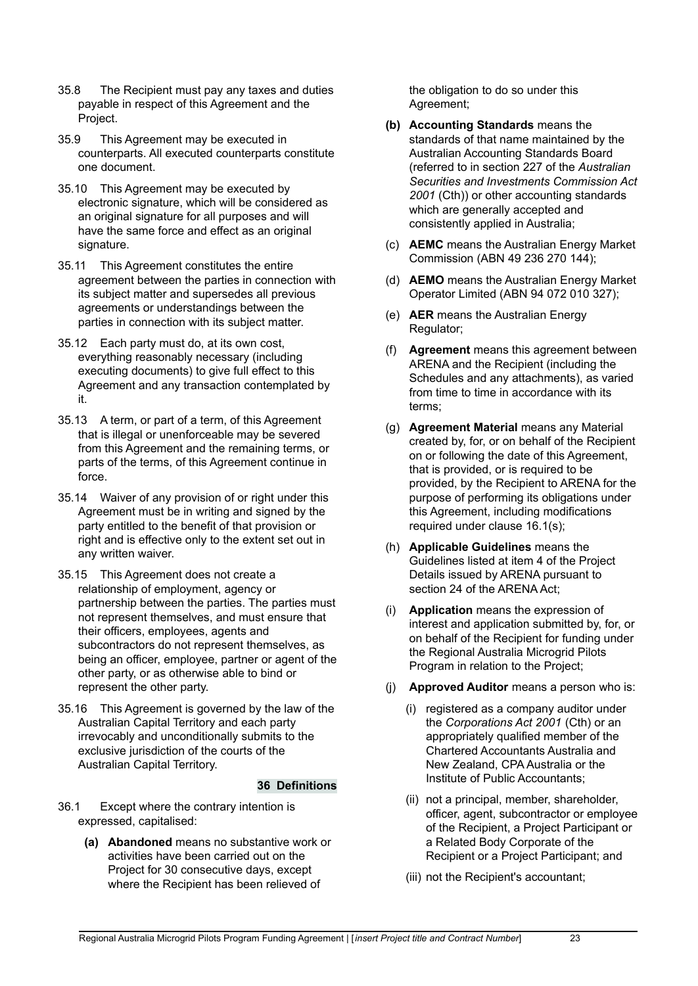- 35.8 The Recipient must pay any taxes and duties payable in respect of this Agreement and the Project.
- 35.9 This Agreement may be executed in counterparts. All executed counterparts constitute one document.
- 35.10 This Agreement may be executed by electronic signature, which will be considered as an original signature for all purposes and will have the same force and effect as an original signature.
- 35.11 This Agreement constitutes the entire agreement between the parties in connection with its subject matter and supersedes all previous agreements or understandings between the parties in connection with its subject matter.
- 35.12 Each party must do, at its own cost, everything reasonably necessary (including executing documents) to give full effect to this Agreement and any transaction contemplated by it.
- 35.13 A term, or part of a term, of this Agreement that is illegal or unenforceable may be severed from this Agreement and the remaining terms, or parts of the terms, of this Agreement continue in force.
- 35.14 Waiver of any provision of or right under this Agreement must be in writing and signed by the party entitled to the benefit of that provision or right and is effective only to the extent set out in any written waiver.
- 35.15 This Agreement does not create a relationship of employment, agency or partnership between the parties. The parties must not represent themselves, and must ensure that their officers, employees, agents and subcontractors do not represent themselves, as being an officer, employee, partner or agent of the other party, or as otherwise able to bind or represent the other party.
- 35.16 This Agreement is governed by the law of the Australian Capital Territory and each party irrevocably and unconditionally submits to the exclusive jurisdiction of the courts of the Australian Capital Territory.

#### **36 Definitions**

- 36.1 Except where the contrary intention is expressed, capitalised:
	- **(a) Abandoned** means no substantive work or activities have been carried out on the Project for 30 consecutive days, except where the Recipient has been relieved of

the obligation to do so under this Agreement;

- **(b) Accounting Standards** means the standards of that name maintained by the Australian Accounting Standards Board (referred to in section 227 of the *Australian Securities and Investments Commission Act 2001* (Cth)) or other accounting standards which are generally accepted and consistently applied in Australia;
- (c) **AEMC** means the Australian Energy Market Commission (ABN 49 236 270 144);
- (d) **AEMO** means the Australian Energy Market Operator Limited (ABN 94 072 010 327);
- (e) **AER** means the Australian Energy Regulator;
- (f) **Agreement** means this agreement between ARENA and the Recipient (including the Schedules and any attachments), as varied from time to time in accordance with its terms;
- (g) **Agreement Material** means any Material created by, for, or on behalf of the Recipient on or following the date of this Agreement, that is provided, or is required to be provided, by the Recipient to ARENA for the purpose of performing its obligations under this Agreement, including modifications required under clause 16.1(s);
- (h) **Applicable Guidelines** means the Guidelines listed at item 4 of the Project Details issued by ARENA pursuant to section 24 of the ARENA Act;
- (i) **Application** means the expression of interest and application submitted by, for, or on behalf of the Recipient for funding under the Regional Australia Microgrid Pilots Program in relation to the Project;
- (j) **Approved Auditor** means a person who is:
	- (i) registered as a company auditor under the *Corporations Act 2001* (Cth) or an appropriately qualified member of the Chartered Accountants Australia and New Zealand, CPA Australia or the Institute of Public Accountants;
	- (ii) not a principal, member, shareholder, officer, agent, subcontractor or employee of the Recipient, a Project Participant or a Related Body Corporate of the Recipient or a Project Participant; and
	- (iii) not the Recipient's accountant;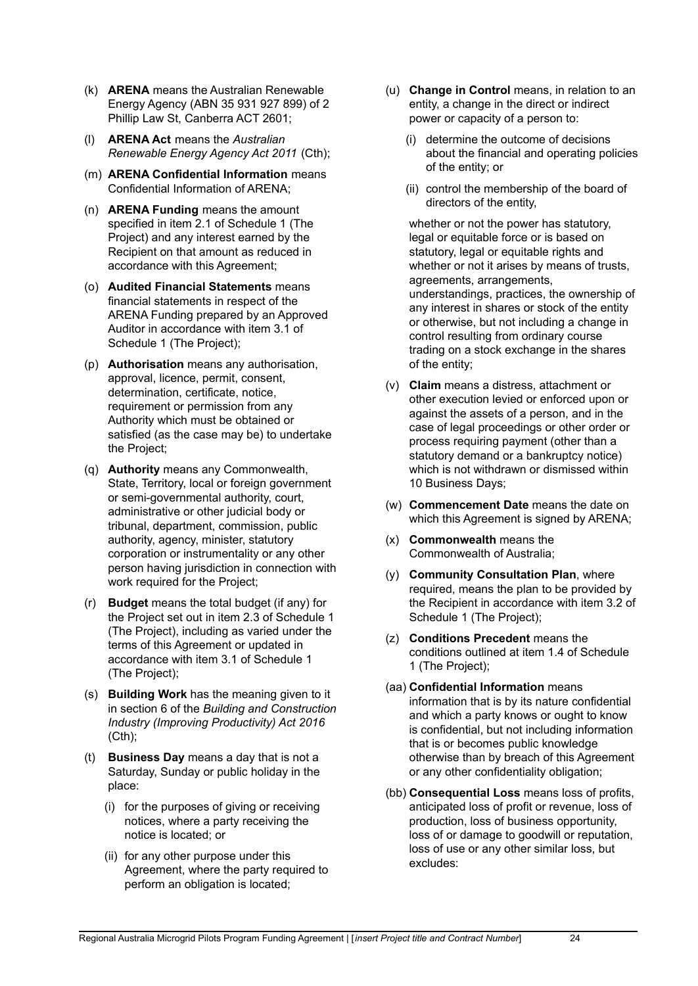- (k) **ARENA** means the Australian Renewable Energy Agency (ABN 35 931 927 899) of 2 Phillip Law St, Canberra ACT 2601;
- (l) **ARENA Act** means the *Australian Renewable Energy Agency Act 2011* (Cth);
- (m) **ARENA Confidential Information** means Confidential Information of ARENA;
- (n) **ARENA Funding** means the amount specified in item 2.1 of Schedule 1 (The Project) and any interest earned by the Recipient on that amount as reduced in accordance with this Agreement;
- (o) **Audited Financial Statements** means financial statements in respect of the ARENA Funding prepared by an Approved Auditor in accordance with item 3.1 of Schedule 1 (The Project);
- (p) **Authorisation** means any authorisation, approval, licence, permit, consent, determination, certificate, notice, requirement or permission from any Authority which must be obtained or satisfied (as the case may be) to undertake the Project;
- (q) **Authority** means any Commonwealth, State, Territory, local or foreign government or semi-governmental authority, court, administrative or other judicial body or tribunal, department, commission, public authority, agency, minister, statutory corporation or instrumentality or any other person having jurisdiction in connection with work required for the Project;
- (r) **Budget** means the total budget (if any) for the Project set out in item 2.3 of Schedule 1 (The Project), including as varied under the terms of this Agreement or updated in accordance with item 3.1 of Schedule 1 (The Project);
- (s) **Building Work** has the meaning given to it in section 6 of the *Building and Construction Industry (Improving Productivity) Act 2016*  $(Cth)$ ;
- (t) **Business Day** means a day that is not a Saturday, Sunday or public holiday in the place:
	- (i) for the purposes of giving or receiving notices, where a party receiving the notice is located; or
	- (ii) for any other purpose under this Agreement, where the party required to perform an obligation is located;
- (u) **Change in Control** means, in relation to an entity, a change in the direct or indirect power or capacity of a person to:
	- (i) determine the outcome of decisions about the financial and operating policies of the entity; or
	- (ii) control the membership of the board of directors of the entity,

whether or not the power has statutory, legal or equitable force or is based on statutory, legal or equitable rights and whether or not it arises by means of trusts. agreements, arrangements, understandings, practices, the ownership of any interest in shares or stock of the entity or otherwise, but not including a change in control resulting from ordinary course trading on a stock exchange in the shares of the entity;

- (v) **Claim** means a distress, attachment or other execution levied or enforced upon or against the assets of a person, and in the case of legal proceedings or other order or process requiring payment (other than a statutory demand or a bankruptcy notice) which is not withdrawn or dismissed within 10 Business Days;
- (w) **Commencement Date** means the date on which this Agreement is signed by ARENA;
- (x) **Commonwealth** means the Commonwealth of Australia;
- (y) **Community Consultation Plan**, where required, means the plan to be provided by the Recipient in accordance with item 3.2 of Schedule 1 (The Project);
- (z) **Conditions Precedent** means the conditions outlined at item 1.4 of Schedule 1 (The Project);
- (aa) **Confidential Information** means information that is by its nature confidential and which a party knows or ought to know is confidential, but not including information that is or becomes public knowledge otherwise than by breach of this Agreement or any other confidentiality obligation;
- (bb) **Consequential Loss** means loss of profits, anticipated loss of profit or revenue, loss of production, loss of business opportunity, loss of or damage to goodwill or reputation, loss of use or any other similar loss, but excludes: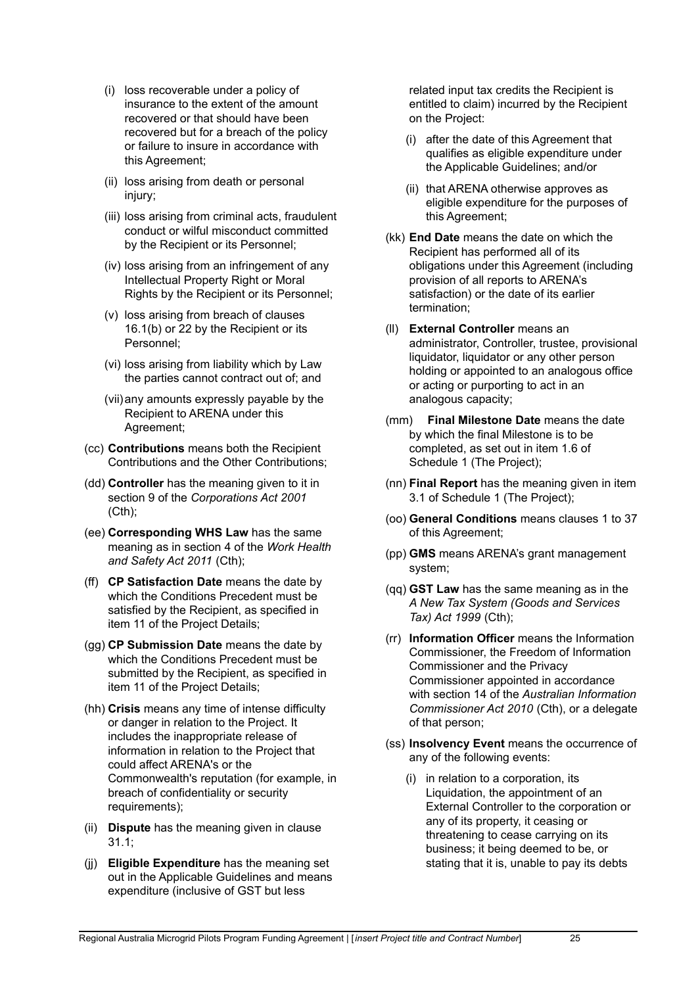- (i) loss recoverable under a policy of insurance to the extent of the amount recovered or that should have been recovered but for a breach of the policy or failure to insure in accordance with this Agreement;
- (ii) loss arising from death or personal injury;
- (iii) loss arising from criminal acts, fraudulent conduct or wilful misconduct committed by the Recipient or its Personnel;
- (iv) loss arising from an infringement of any Intellectual Property Right or Moral Rights by the Recipient or its Personnel;
- (v) loss arising from breach of clauses 16.1(b) or 22 by the Recipient or its Personnel;
- (vi) loss arising from liability which by Law the parties cannot contract out of; and
- (vii)any amounts expressly payable by the Recipient to ARENA under this Agreement;
- (cc) **Contributions** means both the Recipient Contributions and the Other Contributions;
- (dd) **Controller** has the meaning given to it in section 9 of the *Corporations Act 2001*  $(Cth)$ ;
- (ee) **Corresponding WHS Law** has the same meaning as in section 4 of the *Work Health and Safety Act 2011* (Cth);
- (ff) **CP Satisfaction Date** means the date by which the Conditions Precedent must be satisfied by the Recipient, as specified in item 11 of the Project Details;
- (gg) **CP Submission Date** means the date by which the Conditions Precedent must be submitted by the Recipient, as specified in item 11 of the Project Details;
- (hh) **Crisis** means any time of intense difficulty or danger in relation to the Project. It includes the inappropriate release of information in relation to the Project that could affect ARENA's or the Commonwealth's reputation (for example, in breach of confidentiality or security requirements);
- (ii) **Dispute** has the meaning given in clause 31.1;
- (jj) **Eligible Expenditure** has the meaning set out in the Applicable Guidelines and means expenditure (inclusive of GST but less

related input tax credits the Recipient is entitled to claim) incurred by the Recipient on the Project:

- (i) after the date of this Agreement that qualifies as eligible expenditure under the Applicable Guidelines; and/or
- (ii) that ARENA otherwise approves as eligible expenditure for the purposes of this Agreement;
- (kk) **End Date** means the date on which the Recipient has performed all of its obligations under this Agreement (including provision of all reports to ARENA's satisfaction) or the date of its earlier termination;
- (ll) **External Controller** means an administrator, Controller, trustee, provisional liquidator, liquidator or any other person holding or appointed to an analogous office or acting or purporting to act in an analogous capacity;
- (mm) **Final Milestone Date** means the date by which the final Milestone is to be completed, as set out in item 1.6 of Schedule 1 (The Project);
- (nn) **Final Report** has the meaning given in item 3.1 of Schedule 1 (The Project);
- (oo) **General Conditions** means clauses 1 to 37 of this Agreement;
- (pp) **GMS** means ARENA's grant management system;
- (qq) **GST Law** has the same meaning as in the *A New Tax System (Goods and Services Tax) Act 1999* (Cth);
- (rr) **Information Officer** means the Information Commissioner, the Freedom of Information Commissioner and the Privacy Commissioner appointed in accordance with section 14 of the *Australian Information Commissioner Act 2010* (Cth), or a delegate of that person;
- (ss) **Insolvency Event** means the occurrence of any of the following events:
	- (i) in relation to a corporation, its Liquidation, the appointment of an External Controller to the corporation or any of its property, it ceasing or threatening to cease carrying on its business; it being deemed to be, or stating that it is, unable to pay its debts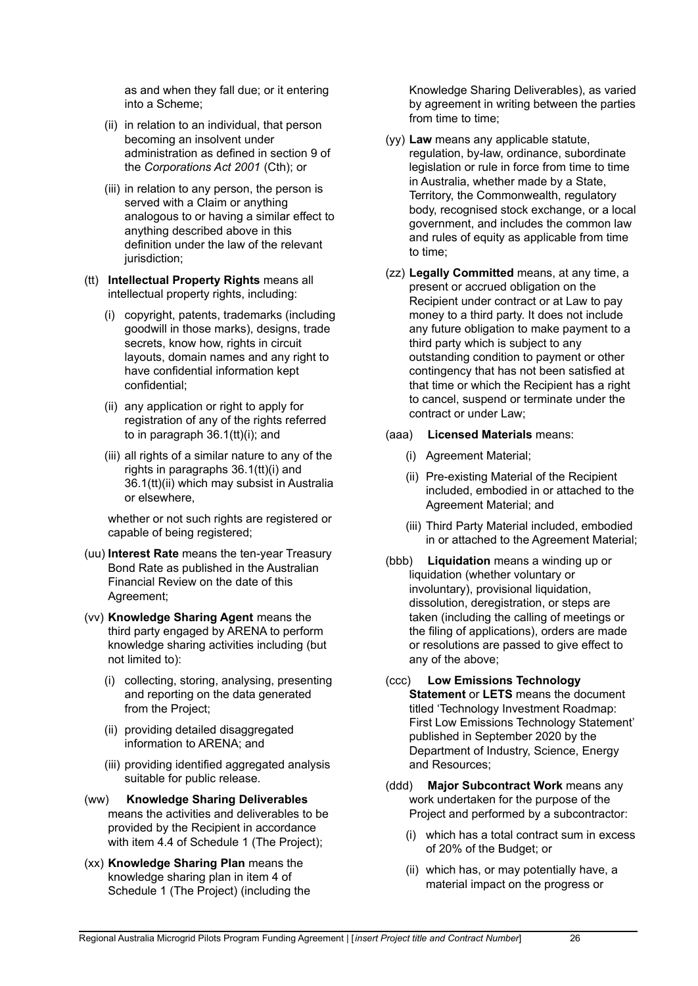as and when they fall due; or it entering into a Scheme;

- (ii) in relation to an individual, that person becoming an insolvent under administration as defined in section 9 of the *Corporations Act 2001* (Cth); or
- (iii) in relation to any person, the person is served with a Claim or anything analogous to or having a similar effect to anything described above in this definition under the law of the relevant jurisdiction:
- (tt) **Intellectual Property Rights** means all intellectual property rights, including:
	- (i) copyright, patents, trademarks (including goodwill in those marks), designs, trade secrets, know how, rights in circuit layouts, domain names and any right to have confidential information kept confidential;
	- (ii) any application or right to apply for registration of any of the rights referred to in paragraph 36.1(tt)(i); and
	- (iii) all rights of a similar nature to any of the rights in paragraphs 36.1(tt)(i) and 36.1(tt)(ii) which may subsist in Australia or elsewhere,

whether or not such rights are registered or capable of being registered;

- (uu) **Interest Rate** means the ten-year Treasury Bond Rate as published in the Australian Financial Review on the date of this Agreement;
- (vv) **Knowledge Sharing Agent** means the third party engaged by ARENA to perform knowledge sharing activities including (but not limited to):
	- (i) collecting, storing, analysing, presenting and reporting on the data generated from the Project;
	- (ii) providing detailed disaggregated information to ARENA; and
	- (iii) providing identified aggregated analysis suitable for public release.
- (ww) **Knowledge Sharing Deliverables** means the activities and deliverables to be provided by the Recipient in accordance with item 4.4 of Schedule 1 (The Project);
- (xx) **Knowledge Sharing Plan** means the knowledge sharing plan in item 4 of Schedule 1 (The Project) (including the

Knowledge Sharing Deliverables), as varied by agreement in writing between the parties from time to time:

- (yy) **Law** means any applicable statute, regulation, by-law, ordinance, subordinate legislation or rule in force from time to time in Australia, whether made by a State, Territory, the Commonwealth, regulatory body, recognised stock exchange, or a local government, and includes the common law and rules of equity as applicable from time to time;
- (zz) **Legally Committed** means, at any time, a present or accrued obligation on the Recipient under contract or at Law to pay money to a third party. It does not include any future obligation to make payment to a third party which is subject to any outstanding condition to payment or other contingency that has not been satisfied at that time or which the Recipient has a right to cancel, suspend or terminate under the contract or under Law;
- (aaa) **Licensed Materials** means:
	- (i) Agreement Material;
	- (ii) Pre-existing Material of the Recipient included, embodied in or attached to the Agreement Material; and
	- (iii) Third Party Material included, embodied in or attached to the Agreement Material;
- (bbb) **Liquidation** means a winding up or liquidation (whether voluntary or involuntary), provisional liquidation, dissolution, deregistration, or steps are taken (including the calling of meetings or the filing of applications), orders are made or resolutions are passed to give effect to any of the above;
- (ccc) **Low Emissions Technology Statement** or **LETS** means the document titled 'Technology Investment Roadmap: First Low Emissions Technology Statement' published in September 2020 by the Department of Industry, Science, Energy and Resources;
- (ddd) **Major Subcontract Work** means any work undertaken for the purpose of the Project and performed by a subcontractor:
	- (i) which has a total contract sum in excess of 20% of the Budget; or
	- (ii) which has, or may potentially have, a material impact on the progress or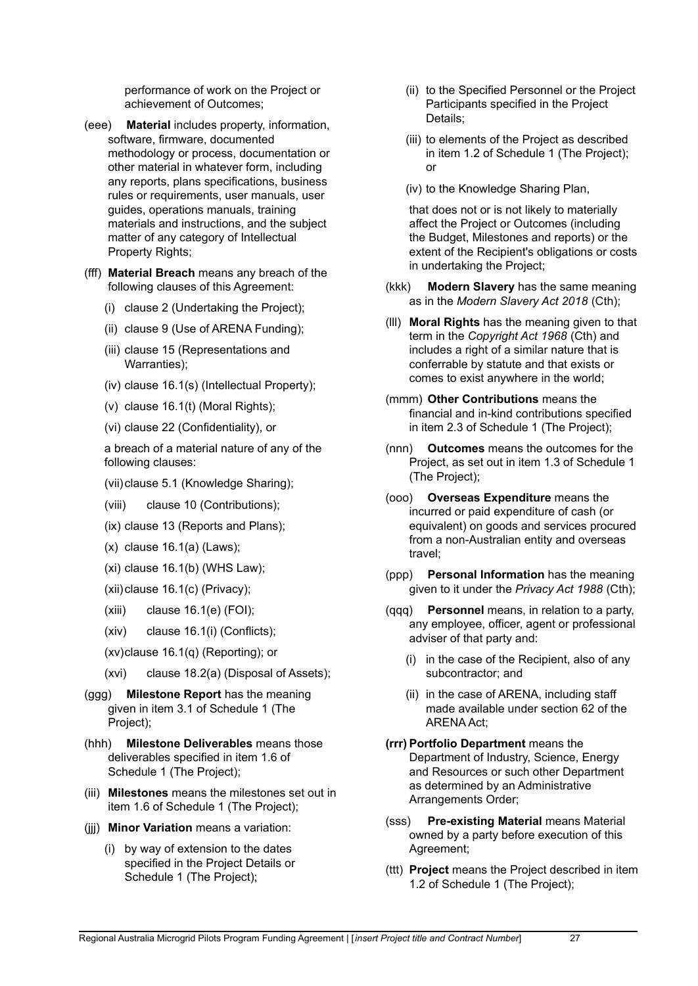performance of work on the Project or achievement of Outcomes;

- (eee) **Material** includes property, information, software, firmware, documented methodology or process, documentation or other material in whatever form, including any reports, plans specifications, business rules or requirements, user manuals, user guides, operations manuals, training materials and instructions, and the subject matter of any category of Intellectual Property Rights:
- (fff) **Material Breach** means any breach of the following clauses of this Agreement:
	- (i) clause 2 (Undertaking the Project);
	- (ii) clause 9 (Use of ARENA Funding);
	- (iii) clause 15 (Representations and Warranties);
	- (iv) clause 16.1(s) (Intellectual Property);
	- $(v)$  clause 16.1(t) (Moral Rights):
	- (vi) clause 22 (Confidentiality), or

a breach of a material nature of any of the following clauses:

- (vii)clause 5.1 (Knowledge Sharing);
- (viii) clause 10 (Contributions);
- (ix) clause 13 (Reports and Plans);
- (x) clause 16.1(a) (Laws);
- $(xi)$  clause 16.1 $(b)$  (WHS Law);
- (xii)clause 16.1(c) (Privacy);
- (xiii) clause 16.1(e) (FOI);
- (xiv) clause 16.1(i) (Conflicts);
- (xv)clause 16.1(q) (Reporting); or
- (xvi) clause 18.2(a) (Disposal of Assets);
- (ggg) **Milestone Report** has the meaning given in item 3.1 of Schedule 1 (The Project);
- (hhh) **Milestone Deliverables** means those deliverables specified in item 1.6 of Schedule 1 (The Project);
- (iii) **Milestones** means the milestones set out in item 1.6 of Schedule 1 (The Project);
- (jjj) **Minor Variation** means a variation:
	- (i) by way of extension to the dates specified in the Project Details or Schedule 1 (The Project);
- (ii) to the Specified Personnel or the Project Participants specified in the Project Details;
- (iii) to elements of the Project as described in item 1.2 of Schedule 1 (The Project); or
- (iv) to the Knowledge Sharing Plan,

that does not or is not likely to materially affect the Project or Outcomes (including the Budget, Milestones and reports) or the extent of the Recipient's obligations or costs in undertaking the Project;

- (kkk) **Modern Slavery** has the same meaning as in the *Modern Slavery Act 2018* (Cth);
- (lll) **Moral Rights** has the meaning given to that term in the *Copyright Act 1968* (Cth) and includes a right of a similar nature that is conferrable by statute and that exists or comes to exist anywhere in the world;
- (mmm) **Other Contributions** means the financial and in-kind contributions specified in item 2.3 of Schedule 1 (The Project);
- (nnn) **Outcomes** means the outcomes for the Project, as set out in item 1.3 of Schedule 1 (The Project);
- (ooo) **Overseas Expenditure** means the incurred or paid expenditure of cash (or equivalent) on goods and services procured from a non-Australian entity and overseas travel;
- (ppp) **Personal Information** has the meaning given to it under the *Privacy Act 1988* (Cth);
- (qqq) **Personnel** means, in relation to a party, any employee, officer, agent or professional adviser of that party and:
	- (i) in the case of the Recipient, also of any subcontractor; and
	- (ii) in the case of ARENA, including staff made available under section 62 of the ARENA Act;
- **(rrr) Portfolio Department** means the Department of Industry, Science, Energy and Resources or such other Department as determined by an Administrative Arrangements Order;
- (sss) **Pre-existing Material** means Material owned by a party before execution of this Agreement;
- (ttt) **Project** means the Project described in item 1.2 of Schedule 1 (The Project);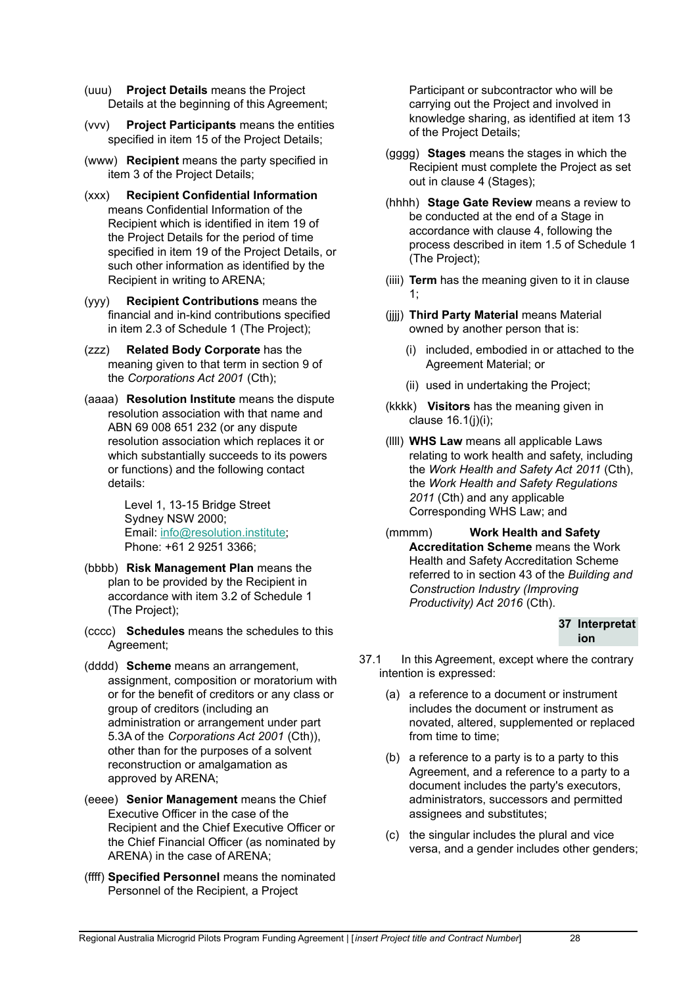- (uuu) **Project Details** means the Project Details at the beginning of this Agreement;
- (vvv) **Project Participants** means the entities specified in item 15 of the Project Details;
- (www) **Recipient** means the party specified in item 3 of the Project Details;
- (xxx) **Recipient Confidential Information** means Confidential Information of the Recipient which is identified in item 19 of the Project Details for the period of time specified in item 19 of the Project Details, or such other information as identified by the Recipient in writing to ARENA;
- (yyy) **Recipient Contributions** means the financial and in-kind contributions specified in item 2.3 of Schedule 1 (The Project);
- (zzz) **Related Body Corporate** has the meaning given to that term in section 9 of the *Corporations Act 2001* (Cth);
- (aaaa) **Resolution Institute** means the dispute resolution association with that name and ABN 69 008 651 232 (or any dispute resolution association which replaces it or which substantially succeeds to its powers or functions) and the following contact details:

Level 1, 13-15 Bridge Street Sydney NSW 2000; Email: [info@resolution.institute;](mailto:info@resolution.institute) Phone: +61 2 9251 3366;

- (bbbb) **Risk Management Plan** means the plan to be provided by the Recipient in accordance with item 3.2 of Schedule 1 (The Project);
- (cccc) **Schedules** means the schedules to this Agreement;
- (dddd) **Scheme** means an arrangement, assignment, composition or moratorium with or for the benefit of creditors or any class or group of creditors (including an administration or arrangement under part 5.3A of the *Corporations Act 2001* (Cth)), other than for the purposes of a solvent reconstruction or amalgamation as approved by ARENA;
- (eeee) **Senior Management** means the Chief Executive Officer in the case of the Recipient and the Chief Executive Officer or the Chief Financial Officer (as nominated by ARENA) in the case of ARENA;
- (ffff) **Specified Personnel** means the nominated Personnel of the Recipient, a Project

Participant or subcontractor who will be carrying out the Project and involved in knowledge sharing, as identified at item 13 of the Project Details;

- (gggg) **Stages** means the stages in which the Recipient must complete the Project as set out in clause 4 (Stages);
- (hhhh) **Stage Gate Review** means a review to be conducted at the end of a Stage in accordance with clause 4, following the process described in item 1.5 of Schedule 1 (The Project);
- (iiii) **Term** has the meaning given to it in clause 1;
- (jjjj) **Third Party Material** means Material owned by another person that is:
	- (i) included, embodied in or attached to the Agreement Material; or
	- (ii) used in undertaking the Project;
- (kkkk) **Visitors** has the meaning given in clause  $16.1(i)(i)$ ;
- (llll) **WHS Law** means all applicable Laws relating to work health and safety, including the *Work Health and Safety Act 2011* (Cth), the *Work Health and Safety Regulations 2011* (Cth) and any applicable Corresponding WHS Law; and
- (mmmm) **Work Health and Safety Accreditation Scheme** means the Work Health and Safety Accreditation Scheme referred to in section 43 of the *Building and Construction Industry (Improving Productivity) Act 2016* (Cth).

#### **37 Interpretat ion**

- 37.1 In this Agreement, except where the contrary intention is expressed:
	- (a) a reference to a document or instrument includes the document or instrument as novated, altered, supplemented or replaced from time to time;
	- (b) a reference to a party is to a party to this Agreement, and a reference to a party to a document includes the party's executors, administrators, successors and permitted assignees and substitutes;
	- (c) the singular includes the plural and vice versa, and a gender includes other genders;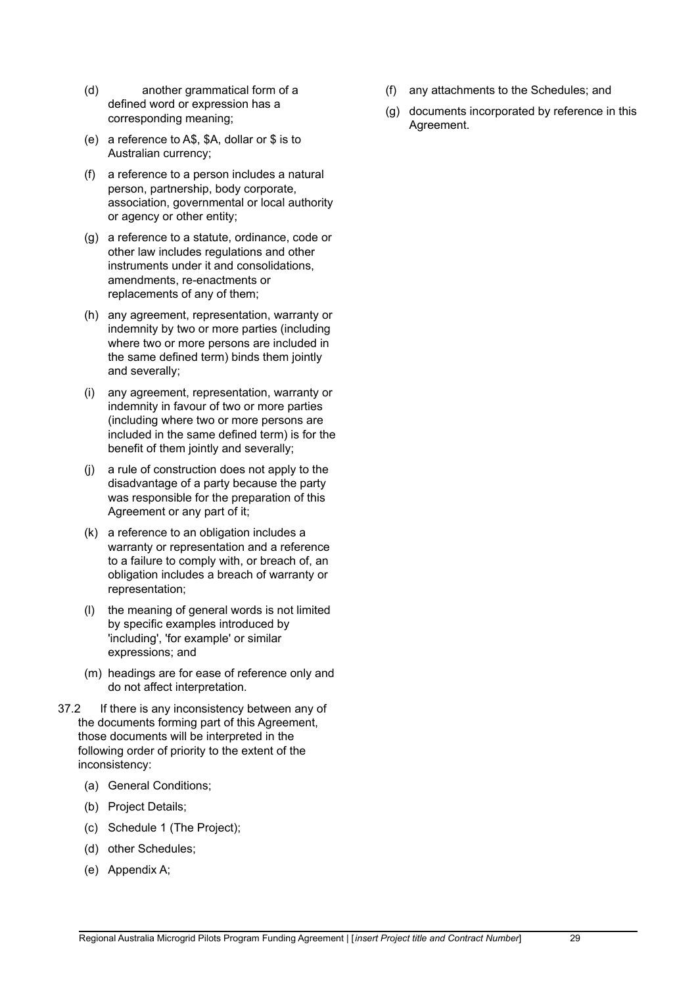- (d) another grammatical form of a defined word or expression has a corresponding meaning;
- (e) a reference to A\$, \$A, dollar or \$ is to Australian currency;
- (f) a reference to a person includes a natural person, partnership, body corporate, association, governmental or local authority or agency or other entity;
- (g) a reference to a statute, ordinance, code or other law includes regulations and other instruments under it and consolidations, amendments, re-enactments or replacements of any of them;
- (h) any agreement, representation, warranty or indemnity by two or more parties (including where two or more persons are included in the same defined term) binds them jointly and severally;
- (i) any agreement, representation, warranty or indemnity in favour of two or more parties (including where two or more persons are included in the same defined term) is for the benefit of them jointly and severally;
- (j) a rule of construction does not apply to the disadvantage of a party because the party was responsible for the preparation of this Agreement or any part of it;
- (k) a reference to an obligation includes a warranty or representation and a reference to a failure to comply with, or breach of, an obligation includes a breach of warranty or representation;
- (l) the meaning of general words is not limited by specific examples introduced by 'including', 'for example' or similar expressions; and
- (m) headings are for ease of reference only and do not affect interpretation.
- 37.2 If there is any inconsistency between any of the documents forming part of this Agreement, those documents will be interpreted in the following order of priority to the extent of the inconsistency:
	- (a) General Conditions;
	- (b) Project Details;
	- (c) Schedule 1 (The Project);
	- (d) other Schedules;
	- (e) Appendix A;
- (f) any attachments to the Schedules; and
- (g) documents incorporated by reference in this Agreement.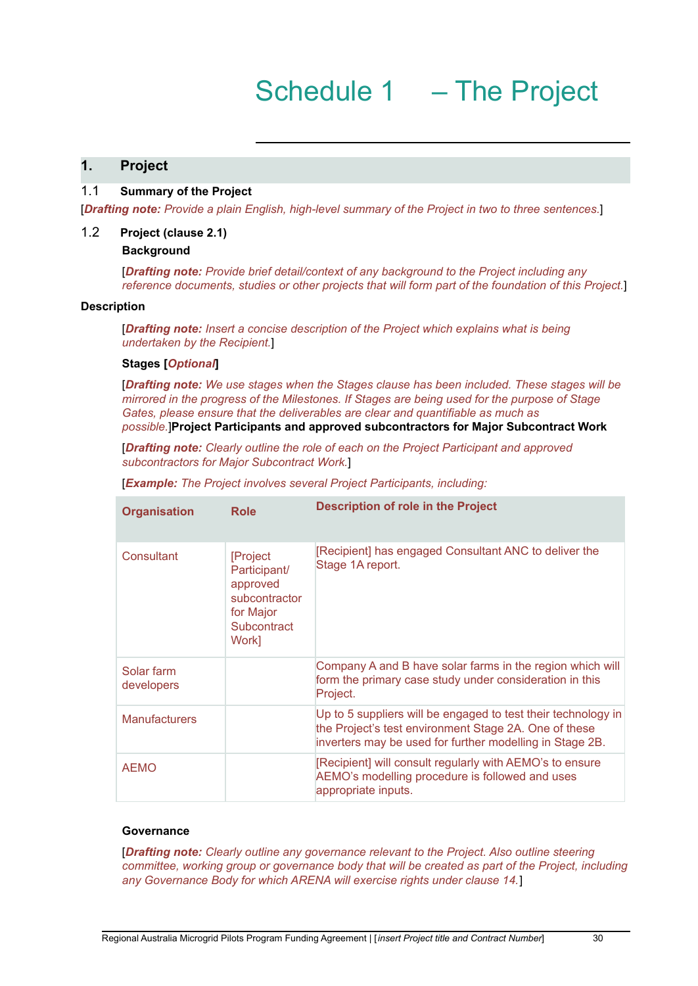## **1. Project**

#### 1.1 **Summary of the Project**

[*Drafting note: Provide a plain English, high-level summary of the Project in two to three sentences.*]

#### 1.2 **Project (clause 2.1)**

#### **Background**

[*Drafting note: Provide brief detail/context of any background to the Project including any reference documents, studies or other projects that will form part of the foundation of this Project.*]

#### **Description**

[*Drafting note: Insert a concise description of the Project which explains what is being undertaken by the Recipient.*]

#### **Stages [***Optional***]**

[*Drafting note: We use stages when the Stages clause has been included. These stages will be mirrored in the progress of the Milestones. If Stages are being used for the purpose of Stage Gates, please ensure that the deliverables are clear and quantifiable as much as possible.*]**Project Participants and approved subcontractors for Major Subcontract Work**

[*Drafting note: Clearly outline the role of each on the Project Participant and approved subcontractors for Major Subcontract Work.*]

[*Example: The Project involves several Project Participants, including:*

| <b>Organisation</b>      | <b>Role</b>                                                                                | <b>Description of role in the Project</b>                                                                                                                                          |
|--------------------------|--------------------------------------------------------------------------------------------|------------------------------------------------------------------------------------------------------------------------------------------------------------------------------------|
| Consultant               | [Project<br>Participant/<br>approved<br>subcontractor<br>for Major<br>Subcontract<br>Work] | [Recipient] has engaged Consultant ANC to deliver the<br>Stage 1A report.                                                                                                          |
| Solar farm<br>developers |                                                                                            | Company A and B have solar farms in the region which will<br>form the primary case study under consideration in this<br>Project.                                                   |
| <b>Manufacturers</b>     |                                                                                            | Up to 5 suppliers will be engaged to test their technology in<br>the Project's test environment Stage 2A. One of these<br>inverters may be used for further modelling in Stage 2B. |
| AEMO                     |                                                                                            | [Recipient] will consult regularly with AEMO's to ensure<br>AEMO's modelling procedure is followed and uses<br>appropriate inputs.                                                 |

#### **Governance**

[*Drafting note: Clearly outline any governance relevant to the Project. Also outline steering committee, working group or governance body that will be created as part of the Project, including any Governance Body for which ARENA will exercise rights under clause 14.*]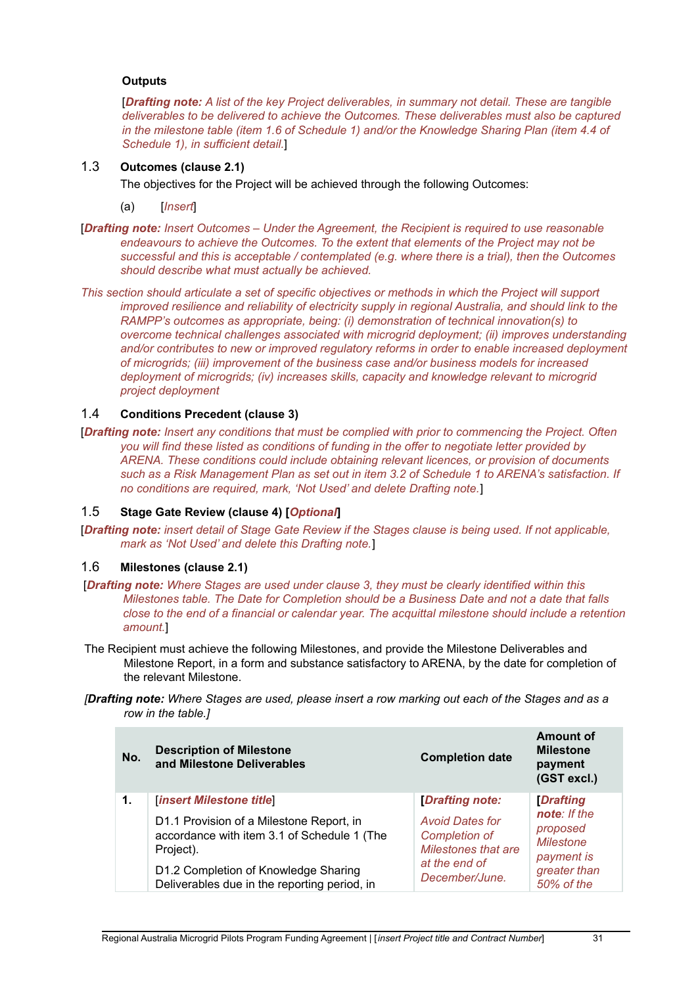#### **Outputs**

[*Drafting note: A list of the key Project deliverables, in summary not detail. These are tangible deliverables to be delivered to achieve the Outcomes. These deliverables must also be captured in the milestone table (item 1.6 of Schedule 1) and/or the Knowledge Sharing Plan (item 4.4 of Schedule 1), in sufficient detail.*]

## 1.3 **Outcomes (clause 2.1)**

The objectives for the Project will be achieved through the following Outcomes:

- (a) [*Insert*]
- [*Drafting note: Insert Outcomes – Under the Agreement, the Recipient is required to use reasonable endeavours to achieve the Outcomes. To the extent that elements of the Project may not be successful and this is acceptable / contemplated (e.g. where there is a trial), then the Outcomes should describe what must actually be achieved.*
- *This section should articulate a set of specific objectives or methods in which the Project will support improved resilience and reliability of electricity supply in regional Australia, and should link to the RAMPP's outcomes as appropriate, being: (i) demonstration of technical innovation(s) to overcome technical challenges associated with microgrid deployment; (ii) improves understanding and/or contributes to new or improved regulatory reforms in order to enable increased deployment of microgrids; (iii) improvement of the business case and/or business models for increased deployment of microgrids; (iv) increases skills, capacity and knowledge relevant to microgrid project deployment*

#### 1.4 **Conditions Precedent (clause 3)**

[*Drafting note: Insert any conditions that must be complied with prior to commencing the Project. Often you will find these listed as conditions of funding in the offer to negotiate letter provided by ARENA. These conditions could include obtaining relevant licences, or provision of documents* such as a Risk Management Plan as set out in item 3.2 of Schedule 1 to ARENA's satisfaction. If *no conditions are required, mark, 'Not Used' and delete Drafting note.*]

## 1.5 **Stage Gate Review (clause 4) [***Optional***]**

[Drafting note: insert detail of Stage Gate Review if the Stages clause is being used. If not applicable, *mark as 'Not Used' and delete this Drafting note.*]

## 1.6 **Milestones (clause 2.1)**

- [*Drafting note: Where Stages are used under clause 3, they must be clearly identified within this Milestones table. The Date for Completion should be a Business Date and not a date that falls close to the end of a financial or calendar year. The acquittal milestone should include a retention amount.*]
- The Recipient must achieve the following Milestones, and provide the Milestone Deliverables and Milestone Report, in a form and substance satisfactory to ARENA, by the date for completion of the relevant Milestone.
- **[Drafting note:** Where Stages are used, please insert a row marking out each of the Stages and as a *row in the table.]*

| No. | <b>Description of Milestone</b><br>and Milestone Deliverables                                        | <b>Completion date</b>                                                       | <b>Amount of</b><br><b>Milestone</b><br>payment<br>(GST excl.) |  |
|-----|------------------------------------------------------------------------------------------------------|------------------------------------------------------------------------------|----------------------------------------------------------------|--|
| 1.  | <b>[insert Milestone title]</b>                                                                      | <b>Drafting note:</b>                                                        | <b>Drafting</b>                                                |  |
|     | D1.1 Provision of a Milestone Report, in<br>accordance with item 3.1 of Schedule 1 (The<br>Project). | <b>Avoid Dates for</b><br><b>Completion of</b><br><b>Milestones that are</b> | note: If the<br>proposed<br><b>Milestone</b><br>payment is     |  |
|     | D1.2 Completion of Knowledge Sharing<br>Deliverables due in the reporting period, in                 | at the end of<br>December/June.                                              | greater than<br>50% of the                                     |  |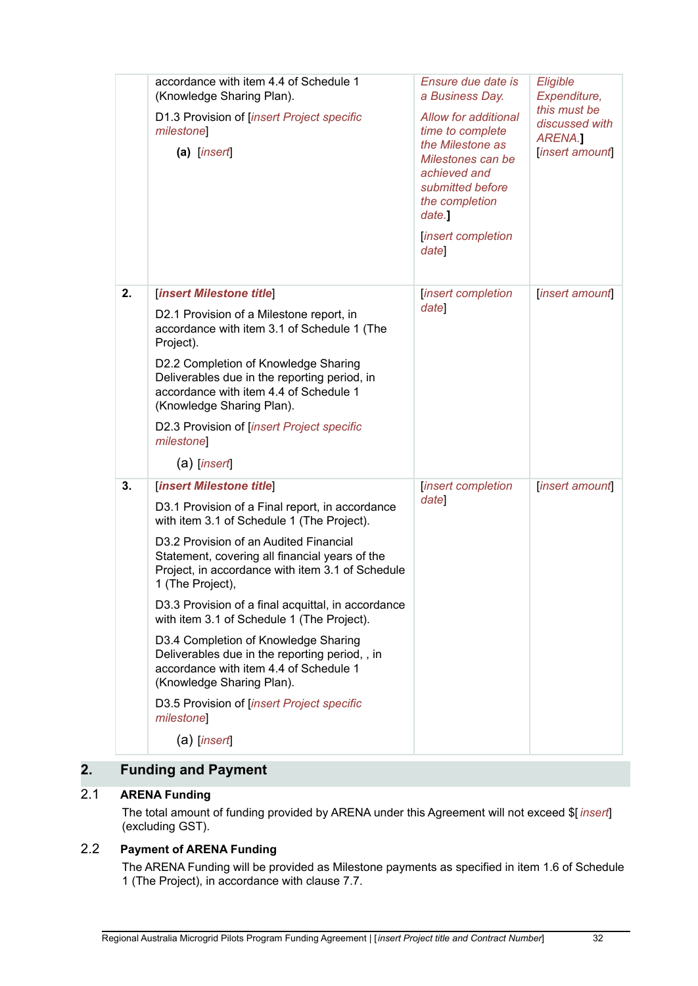|    | accordance with item 4.4 of Schedule 1<br>(Knowledge Sharing Plan).<br>D1.3 Provision of [insert Project specific<br>milestone<br>$(a)$ [insert]                                                                                                                                                                                                                                                                                                                                                                                                                                                                                                | Ensure due date is<br>a Business Day.<br>Allow for additional<br>time to complete<br>the Milestone as<br>Milestones can be<br>achieved and<br>submitted before<br>the completion<br>date.<br>insert completion<br>date | Eligible<br>Expenditure,<br>this must be<br>discussed with<br>ARENA.<br>insert amount |
|----|-------------------------------------------------------------------------------------------------------------------------------------------------------------------------------------------------------------------------------------------------------------------------------------------------------------------------------------------------------------------------------------------------------------------------------------------------------------------------------------------------------------------------------------------------------------------------------------------------------------------------------------------------|------------------------------------------------------------------------------------------------------------------------------------------------------------------------------------------------------------------------|---------------------------------------------------------------------------------------|
| 2. | [insert Milestone title]<br>D2.1 Provision of a Milestone report, in<br>accordance with item 3.1 of Schedule 1 (The<br>Project).<br>D2.2 Completion of Knowledge Sharing<br>Deliverables due in the reporting period, in<br>accordance with item 4.4 of Schedule 1<br>(Knowledge Sharing Plan).<br>D2.3 Provision of [insert Project specific<br>milestone<br>$(a)$ [insert]                                                                                                                                                                                                                                                                    | <i>insert completion</i><br>date                                                                                                                                                                                       | insert amount                                                                         |
| 3. | [insert Milestone title]<br>D3.1 Provision of a Final report, in accordance<br>with item 3.1 of Schedule 1 (The Project).<br>D3.2 Provision of an Audited Financial<br>Statement, covering all financial years of the<br>Project, in accordance with item 3.1 of Schedule<br>1 (The Project),<br>D3.3 Provision of a final acquittal, in accordance<br>with item 3.1 of Schedule 1 (The Project).<br>D3.4 Completion of Knowledge Sharing<br>Deliverables due in the reporting period, , in<br>accordance with item 4.4 of Schedule 1<br>(Knowledge Sharing Plan).<br>D3.5 Provision of [insert Project specific<br>milestone<br>$(a)$ [insert] | <i>insert completion</i><br>date                                                                                                                                                                                       | insert amount                                                                         |

## **2. Funding and Payment**

## 2.1 **ARENA Funding**

The total amount of funding provided by ARENA under this Agreement will not exceed \$[ *insert*] (excluding GST).

## 2.2 **Payment of ARENA Funding**

The ARENA Funding will be provided as Milestone payments as specified in item 1.6 of Schedule 1 (The Project), in accordance with clause 7.7.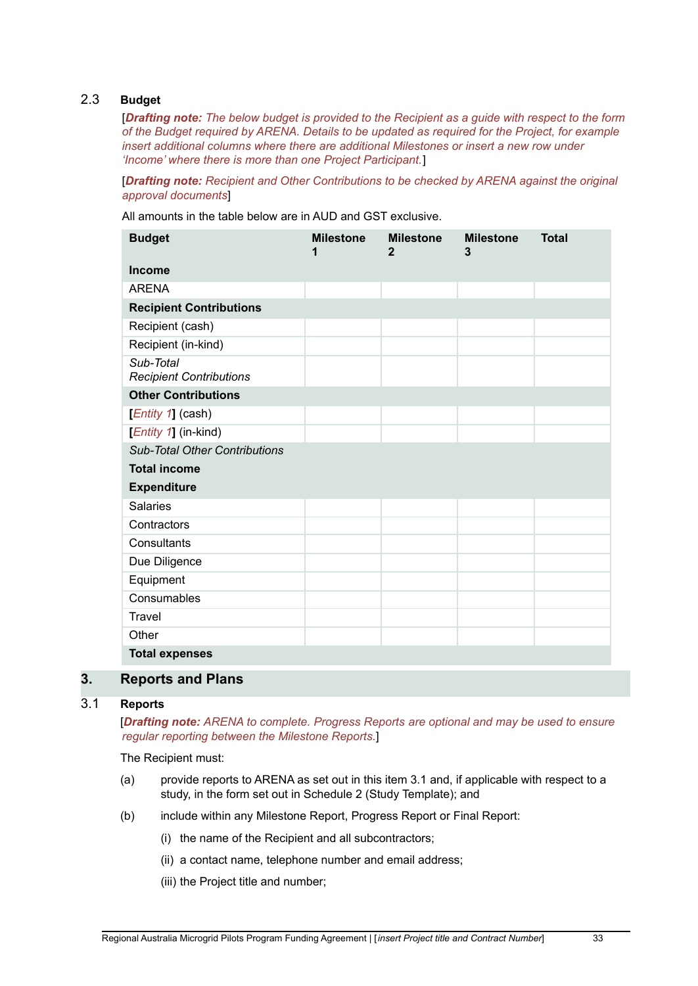## 2.3 **Budget**

[*Drafting note: The below budget is provided to the Recipient as a guide with respect to the form of the Budget required by ARENA. Details to be updated as required for the Project, for example insert additional columns where there are additional Milestones or insert a new row under 'Income' where there is more than one Project Participant.*]

[*Drafting note: Recipient and Other Contributions to be checked by ARENA against the original approval documents*]

All amounts in the table below are in AUD and GST exclusive.

| <b>Budget</b>                               | <b>Milestone</b><br>1 | <b>Milestone</b><br>2 | <b>Milestone</b><br>3 | <b>Total</b> |
|---------------------------------------------|-----------------------|-----------------------|-----------------------|--------------|
| <b>Income</b>                               |                       |                       |                       |              |
| <b>ARENA</b>                                |                       |                       |                       |              |
| <b>Recipient Contributions</b>              |                       |                       |                       |              |
| Recipient (cash)                            |                       |                       |                       |              |
| Recipient (in-kind)                         |                       |                       |                       |              |
| Sub-Total<br><b>Recipient Contributions</b> |                       |                       |                       |              |
| <b>Other Contributions</b>                  |                       |                       |                       |              |
| $[Entity 1]$ (cash)                         |                       |                       |                       |              |
| [ <i>Entity 1</i> ] (in-kind)               |                       |                       |                       |              |
| <b>Sub-Total Other Contributions</b>        |                       |                       |                       |              |
| <b>Total income</b>                         |                       |                       |                       |              |
| <b>Expenditure</b>                          |                       |                       |                       |              |
| <b>Salaries</b>                             |                       |                       |                       |              |
| Contractors                                 |                       |                       |                       |              |
| Consultants                                 |                       |                       |                       |              |
| Due Diligence                               |                       |                       |                       |              |
| Equipment                                   |                       |                       |                       |              |
| Consumables                                 |                       |                       |                       |              |
| <b>Travel</b>                               |                       |                       |                       |              |
| Other                                       |                       |                       |                       |              |
| <b>Total expenses</b>                       |                       |                       |                       |              |

## **3. Reports and Plans**

## 3.1 **Reports**

[*Drafting note: ARENA to complete. Progress Reports are optional and may be used to ensure regular reporting between the Milestone Reports.*]

The Recipient must:

- (a) provide reports to ARENA as set out in this item 3.1 and, if applicable with respect to a study, in the form set out in Schedule 2 (Study Template); and
- (b) include within any Milestone Report, Progress Report or Final Report:
	- (i) the name of the Recipient and all subcontractors;
	- (ii) a contact name, telephone number and email address;
	- (iii) the Project title and number;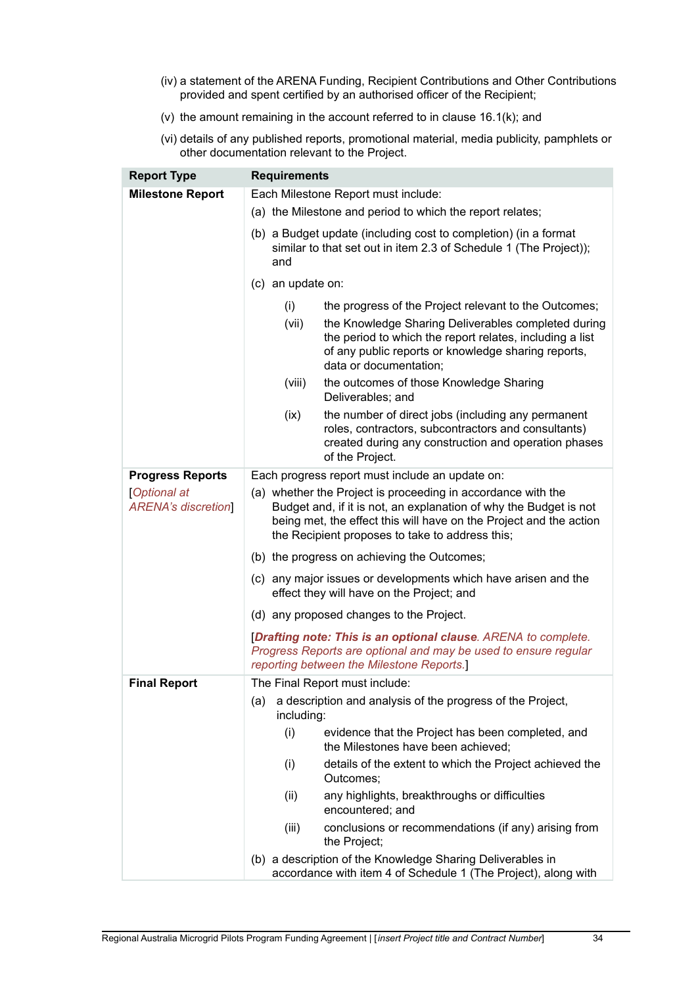- (iv) a statement of the ARENA Funding, Recipient Contributions and Other Contributions provided and spent certified by an authorised officer of the Recipient;
- (v) the amount remaining in the account referred to in clause 16.1(k); and
- (vi) details of any published reports, promotional material, media publicity, pamphlets or other documentation relevant to the Project.

| <b>Report Type</b>                              | <b>Requirements</b>                                                                                                                                                                                                                                        |  |  |  |  |
|-------------------------------------------------|------------------------------------------------------------------------------------------------------------------------------------------------------------------------------------------------------------------------------------------------------------|--|--|--|--|
| <b>Milestone Report</b>                         | Each Milestone Report must include:                                                                                                                                                                                                                        |  |  |  |  |
|                                                 | (a) the Milestone and period to which the report relates;                                                                                                                                                                                                  |  |  |  |  |
|                                                 | (b) a Budget update (including cost to completion) (in a format<br>similar to that set out in item 2.3 of Schedule 1 (The Project));<br>and                                                                                                                |  |  |  |  |
|                                                 | (c) an update on:                                                                                                                                                                                                                                          |  |  |  |  |
|                                                 | the progress of the Project relevant to the Outcomes;<br>(i)                                                                                                                                                                                               |  |  |  |  |
|                                                 | (vii)<br>the Knowledge Sharing Deliverables completed during<br>the period to which the report relates, including a list<br>of any public reports or knowledge sharing reports,<br>data or documentation;                                                  |  |  |  |  |
|                                                 | (viii)<br>the outcomes of those Knowledge Sharing<br>Deliverables; and                                                                                                                                                                                     |  |  |  |  |
|                                                 | the number of direct jobs (including any permanent<br>(ix)<br>roles, contractors, subcontractors and consultants)<br>created during any construction and operation phases<br>of the Project.                                                               |  |  |  |  |
| <b>Progress Reports</b>                         | Each progress report must include an update on:                                                                                                                                                                                                            |  |  |  |  |
| <b>Optional at</b><br><b>ARENA's discretion</b> | (a) whether the Project is proceeding in accordance with the<br>Budget and, if it is not, an explanation of why the Budget is not<br>being met, the effect this will have on the Project and the action<br>the Recipient proposes to take to address this; |  |  |  |  |
|                                                 | (b) the progress on achieving the Outcomes;                                                                                                                                                                                                                |  |  |  |  |
|                                                 | (c) any major issues or developments which have arisen and the<br>effect they will have on the Project; and                                                                                                                                                |  |  |  |  |
|                                                 | (d) any proposed changes to the Project.                                                                                                                                                                                                                   |  |  |  |  |
|                                                 | [Drafting note: This is an optional clause. ARENA to complete.<br>Progress Reports are optional and may be used to ensure regular<br>reporting between the Milestone Reports.]                                                                             |  |  |  |  |
| <b>Final Report</b>                             | The Final Report must include:                                                                                                                                                                                                                             |  |  |  |  |
|                                                 | a description and analysis of the progress of the Project,<br>(a)<br>including:                                                                                                                                                                            |  |  |  |  |
|                                                 | (i)<br>evidence that the Project has been completed, and<br>the Milestones have been achieved;                                                                                                                                                             |  |  |  |  |
|                                                 | details of the extent to which the Project achieved the<br>(i)<br>Outcomes;                                                                                                                                                                                |  |  |  |  |
|                                                 | any highlights, breakthroughs or difficulties<br>(ii)<br>encountered; and                                                                                                                                                                                  |  |  |  |  |
|                                                 | (iii)<br>conclusions or recommendations (if any) arising from<br>the Project;                                                                                                                                                                              |  |  |  |  |
|                                                 | (b) a description of the Knowledge Sharing Deliverables in<br>accordance with item 4 of Schedule 1 (The Project), along with                                                                                                                               |  |  |  |  |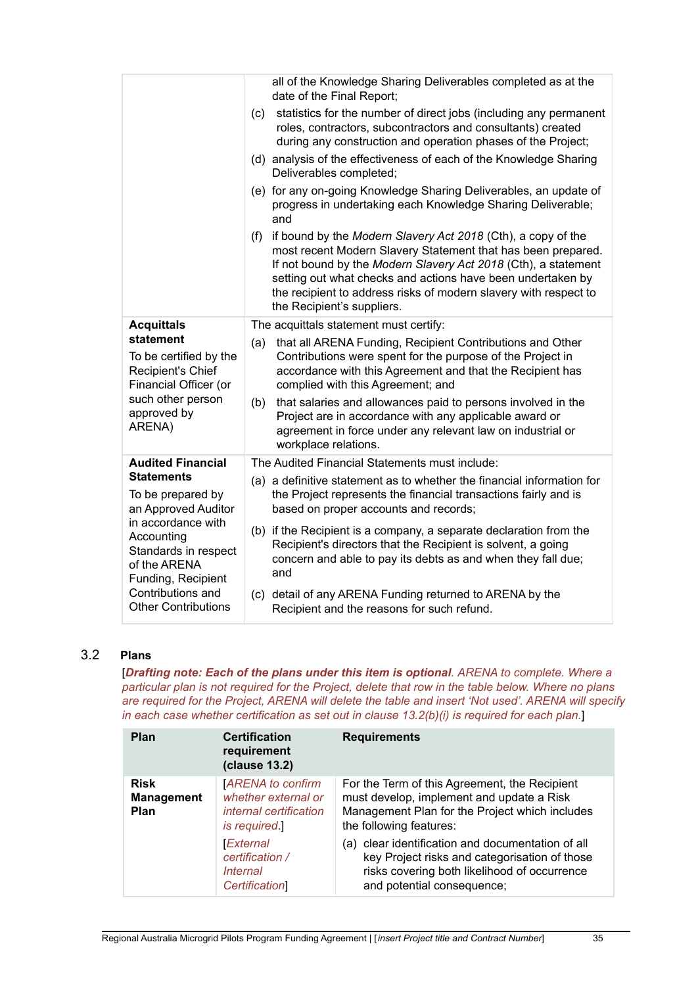|                                                                                                | all of the Knowledge Sharing Deliverables completed as at the<br>date of the Final Report;                                                                                                                                                                                                                                                                             |
|------------------------------------------------------------------------------------------------|------------------------------------------------------------------------------------------------------------------------------------------------------------------------------------------------------------------------------------------------------------------------------------------------------------------------------------------------------------------------|
|                                                                                                | statistics for the number of direct jobs (including any permanent<br>(c)<br>roles, contractors, subcontractors and consultants) created<br>during any construction and operation phases of the Project;                                                                                                                                                                |
|                                                                                                | (d) analysis of the effectiveness of each of the Knowledge Sharing<br>Deliverables completed;                                                                                                                                                                                                                                                                          |
|                                                                                                | (e) for any on-going Knowledge Sharing Deliverables, an update of<br>progress in undertaking each Knowledge Sharing Deliverable;<br>and                                                                                                                                                                                                                                |
|                                                                                                | if bound by the Modern Slavery Act 2018 (Cth), a copy of the<br>(f)<br>most recent Modern Slavery Statement that has been prepared.<br>If not bound by the Modern Slavery Act 2018 (Cth), a statement<br>setting out what checks and actions have been undertaken by<br>the recipient to address risks of modern slavery with respect to<br>the Recipient's suppliers. |
| <b>Acquittals</b>                                                                              | The acquittals statement must certify:                                                                                                                                                                                                                                                                                                                                 |
| statement<br>To be certified by the<br>Recipient's Chief<br>Financial Officer (or              | that all ARENA Funding, Recipient Contributions and Other<br>(a)<br>Contributions were spent for the purpose of the Project in<br>accordance with this Agreement and that the Recipient has<br>complied with this Agreement; and                                                                                                                                       |
| such other person<br>approved by<br>ARENA)                                                     | that salaries and allowances paid to persons involved in the<br>(b)<br>Project are in accordance with any applicable award or<br>agreement in force under any relevant law on industrial or<br>workplace relations.                                                                                                                                                    |
| <b>Audited Financial</b>                                                                       | The Audited Financial Statements must include:                                                                                                                                                                                                                                                                                                                         |
| <b>Statements</b><br>To be prepared by<br>an Approved Auditor                                  | (a) a definitive statement as to whether the financial information for<br>the Project represents the financial transactions fairly and is<br>based on proper accounts and records;                                                                                                                                                                                     |
| in accordance with<br>Accounting<br>Standards in respect<br>of the ARENA<br>Funding, Recipient | (b) if the Recipient is a company, a separate declaration from the<br>Recipient's directors that the Recipient is solvent, a going<br>concern and able to pay its debts as and when they fall due;<br>and                                                                                                                                                              |
| Contributions and<br><b>Other Contributions</b>                                                | (c) detail of any ARENA Funding returned to ARENA by the<br>Recipient and the reasons for such refund.                                                                                                                                                                                                                                                                 |

## 3.2 **Plans**

[*Drafting note: Each of the plans under this item is optional. ARENA to complete. Where a* particular plan is not required for the Project, delete that row in the table below. Where no plans *are required for the Project, ARENA will delete the table and insert 'Not used'. ARENA will specify in each case whether certification as set out in clause 13.2(b)(i) is required for each plan.*]

| Plan                                     | <b>Certification</b><br>requirement<br>(clause 13.2)                                            | <b>Requirements</b>                                                                                                                                                              |
|------------------------------------------|-------------------------------------------------------------------------------------------------|----------------------------------------------------------------------------------------------------------------------------------------------------------------------------------|
| <b>Risk</b><br><b>Management</b><br>Plan | <b>ARENA</b> to confirm<br>whether external or<br><i>internal certification</i><br>is required. | For the Term of this Agreement, the Recipient<br>must develop, implement and update a Risk<br>Management Plan for the Project which includes<br>the following features:          |
|                                          | <b>External</b><br>certification /<br><i>Internal</i><br><b>Certification</b>                   | (a) clear identification and documentation of all<br>key Project risks and categorisation of those<br>risks covering both likelihood of occurrence<br>and potential consequence; |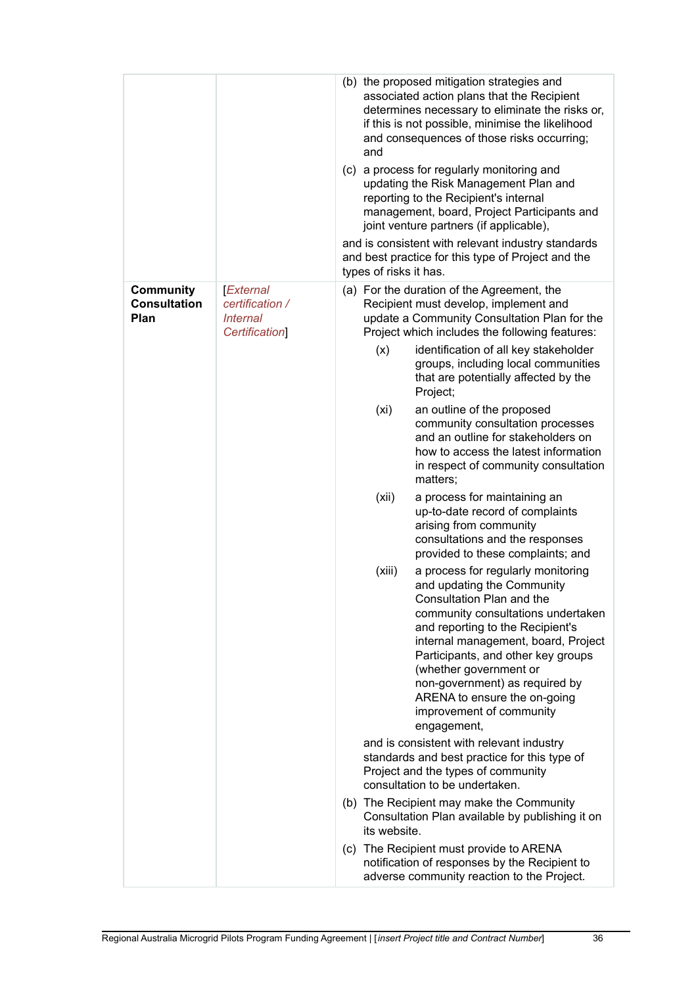|                                                 |                                                                        | (b) the proposed mitigation strategies and<br>associated action plans that the Recipient<br>determines necessary to eliminate the risks or,<br>if this is not possible, minimise the likelihood<br>and consequences of those risks occurring;<br>and<br>(c) a process for regularly monitoring and<br>updating the Risk Management Plan and<br>reporting to the Recipient's internal<br>management, board, Project Participants and<br>joint venture partners (if applicable),<br>and is consistent with relevant industry standards<br>and best practice for this type of Project and the<br>types of risks it has. |  |
|-------------------------------------------------|------------------------------------------------------------------------|----------------------------------------------------------------------------------------------------------------------------------------------------------------------------------------------------------------------------------------------------------------------------------------------------------------------------------------------------------------------------------------------------------------------------------------------------------------------------------------------------------------------------------------------------------------------------------------------------------------------|--|
| <b>Community</b><br><b>Consultation</b><br>Plan | External<br>certification /<br><b>Internal</b><br><b>Certification</b> | (a) For the duration of the Agreement, the<br>Recipient must develop, implement and<br>update a Community Consultation Plan for the<br>Project which includes the following features:                                                                                                                                                                                                                                                                                                                                                                                                                                |  |
|                                                 |                                                                        | identification of all key stakeholder<br>(x)<br>groups, including local communities<br>that are potentially affected by the<br>Project;                                                                                                                                                                                                                                                                                                                                                                                                                                                                              |  |
|                                                 |                                                                        | (xi)<br>an outline of the proposed<br>community consultation processes<br>and an outline for stakeholders on<br>how to access the latest information<br>in respect of community consultation<br>matters;                                                                                                                                                                                                                                                                                                                                                                                                             |  |
|                                                 |                                                                        | (xii)<br>a process for maintaining an<br>up-to-date record of complaints<br>arising from community<br>consultations and the responses<br>provided to these complaints; and                                                                                                                                                                                                                                                                                                                                                                                                                                           |  |
|                                                 |                                                                        | (xiii)<br>a process for regularly monitoring<br>and updating the Community<br>Consultation Plan and the<br>community consultations undertaken<br>and reporting to the Recipient's<br>internal management, board, Project<br>Participants, and other key groups<br>(whether government or<br>non-government) as required by<br>ARENA to ensure the on-going<br>improvement of community<br>engagement,                                                                                                                                                                                                                |  |
|                                                 |                                                                        | and is consistent with relevant industry<br>standards and best practice for this type of<br>Project and the types of community<br>consultation to be undertaken.                                                                                                                                                                                                                                                                                                                                                                                                                                                     |  |
|                                                 |                                                                        | (b) The Recipient may make the Community<br>Consultation Plan available by publishing it on<br>its website.                                                                                                                                                                                                                                                                                                                                                                                                                                                                                                          |  |
|                                                 |                                                                        | (c) The Recipient must provide to ARENA<br>notification of responses by the Recipient to<br>adverse community reaction to the Project.                                                                                                                                                                                                                                                                                                                                                                                                                                                                               |  |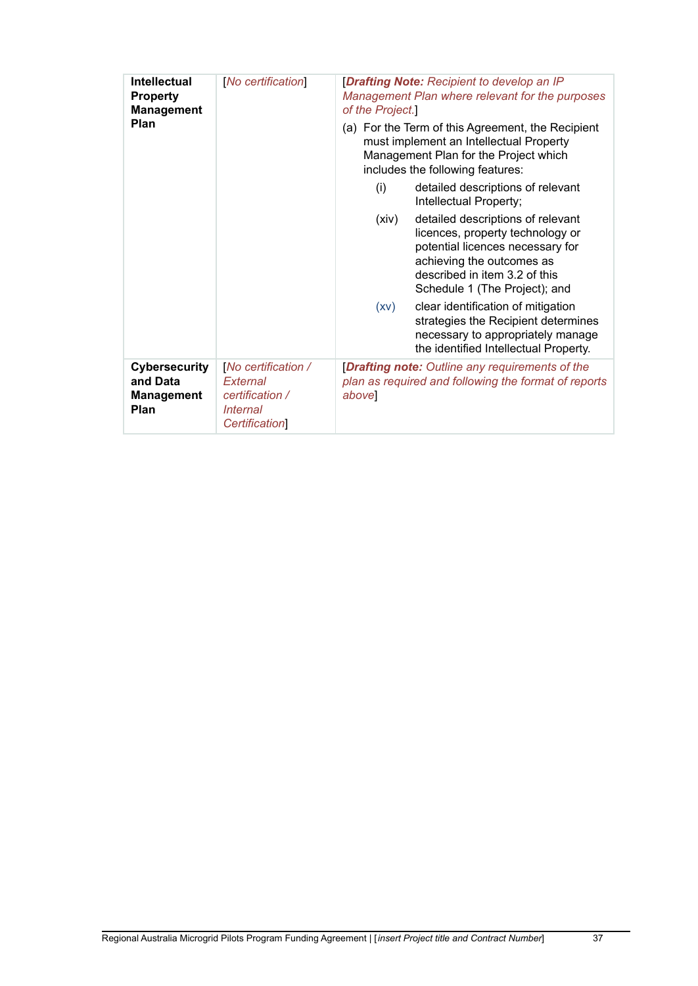| <b>Intellectual</b><br><b>Property</b><br><b>Management</b><br>Plan | [No certification]                                                                                  | [Drafting Note: Recipient to develop an IP<br>Management Plan where relevant for the purposes<br>of the Project.]<br>(a) For the Term of this Agreement, the Recipient |                                                                                                                                                                                                          |  |
|---------------------------------------------------------------------|-----------------------------------------------------------------------------------------------------|------------------------------------------------------------------------------------------------------------------------------------------------------------------------|----------------------------------------------------------------------------------------------------------------------------------------------------------------------------------------------------------|--|
|                                                                     |                                                                                                     | must implement an Intellectual Property<br>Management Plan for the Project which<br>includes the following features:                                                   |                                                                                                                                                                                                          |  |
|                                                                     |                                                                                                     | (i)                                                                                                                                                                    | detailed descriptions of relevant<br>Intellectual Property;                                                                                                                                              |  |
|                                                                     |                                                                                                     | (xiv)                                                                                                                                                                  | detailed descriptions of relevant<br>licences, property technology or<br>potential licences necessary for<br>achieving the outcomes as<br>described in item 3.2 of this<br>Schedule 1 (The Project); and |  |
|                                                                     |                                                                                                     | (XV)                                                                                                                                                                   | clear identification of mitigation<br>strategies the Recipient determines<br>necessary to appropriately manage<br>the identified Intellectual Property.                                                  |  |
| Cybersecurity<br>and Data<br><b>Management</b><br>Plan              | No certification /<br>External<br>certification /<br><i><b>Internal</b></i><br><b>Certification</b> | [Drafting note: Outline any requirements of the<br>plan as required and following the format of reports<br>above                                                       |                                                                                                                                                                                                          |  |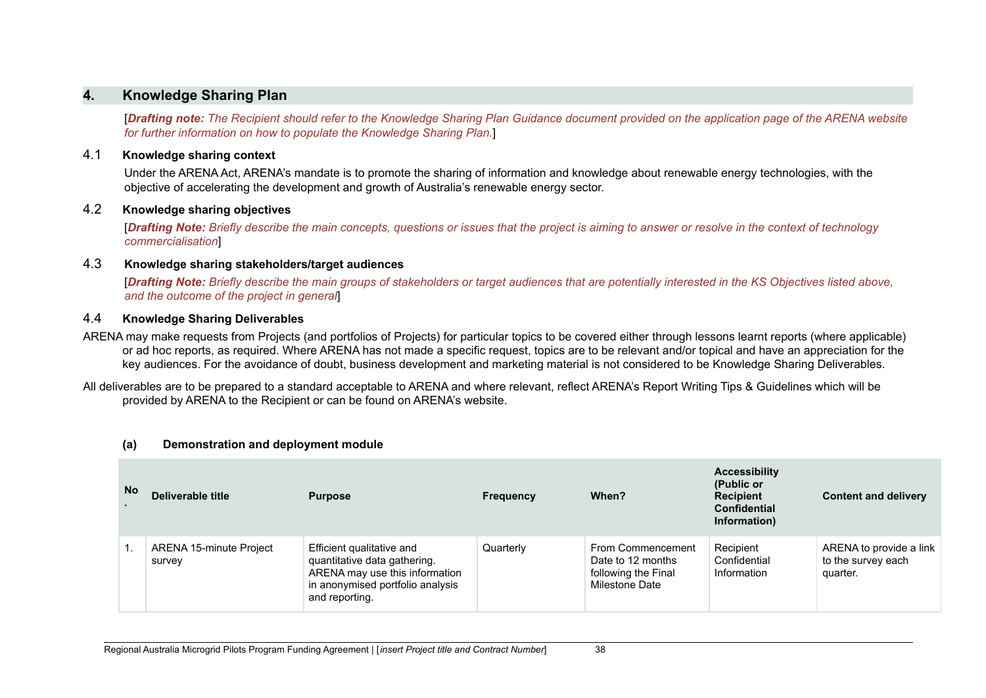## **4. Knowledge Sharing Plan**

**[Drafting note:** The Recipient should refer to the Knowledge Sharing Plan Guidance document provided on the application page of the ARENA website *for further information on how to populate the Knowledge Sharing Plan.*]

#### 4.1 **Knowledge sharing context**

Under the ARENA Act, ARENA's mandate is to promote the sharing of information and knowledge about renewable energy technologies, with the objective of accelerating the development and growth of Australia's renewable energy sector.

#### 4.2 **Knowledge sharing objectives**

[Drafting Note: Briefly describe the main concepts, questions or issues that the project is aiming to answer or resolve in the context of technology *commercialisation*]

#### 4.3 **Knowledge sharing stakeholders/target audiences**

**[Drafting Note:** Briefly describe the main groups of stakeholders or target audiences that are potentially interested in the KS Objectives listed above. *and the outcome of the project in general*]

#### 4.4 **Knowledge Sharing Deliverables**

ARENA may make requests from Projects (and portfolios of Projects) for particular topics to be covered either through lessons learnt reports (where applicable) or ad hoc reports, as required. Where ARENA has not made a specific request, topics are to be relevant and/or topical and have an appreciation for the key audiences. For the avoidance of doubt, business development and marketing material is not considered to be Knowledge Sharing Deliverables.

All deliverables are to be prepared to a standard acceptable to ARENA and where relevant, reflect ARENA's Report Writing Tips & Guidelines which will be provided by ARENA to the Recipient or can be found on ARENA's website.

| <b>No</b> | Deliverable title                 | <b>Purpose</b>                                                                                                                                    | <b>Frequency</b> | When?                                                                           | <b>Accessibility</b><br>(Public or<br><b>Recipient</b><br><b>Confidential</b><br>Information) | <b>Content and delivery</b>                               |
|-----------|-----------------------------------|---------------------------------------------------------------------------------------------------------------------------------------------------|------------------|---------------------------------------------------------------------------------|-----------------------------------------------------------------------------------------------|-----------------------------------------------------------|
|           | ARENA 15-minute Project<br>survey | Efficient qualitative and<br>quantitative data gathering.<br>ARENA may use this information<br>in anonymised portfolio analysis<br>and reporting. | Quarterly        | From Commencement<br>Date to 12 months<br>following the Final<br>Milestone Date | Recipient<br>Confidential<br>Information                                                      | ARENA to provide a link<br>to the survey each<br>quarter. |

#### **(a) Demonstration and deployment module**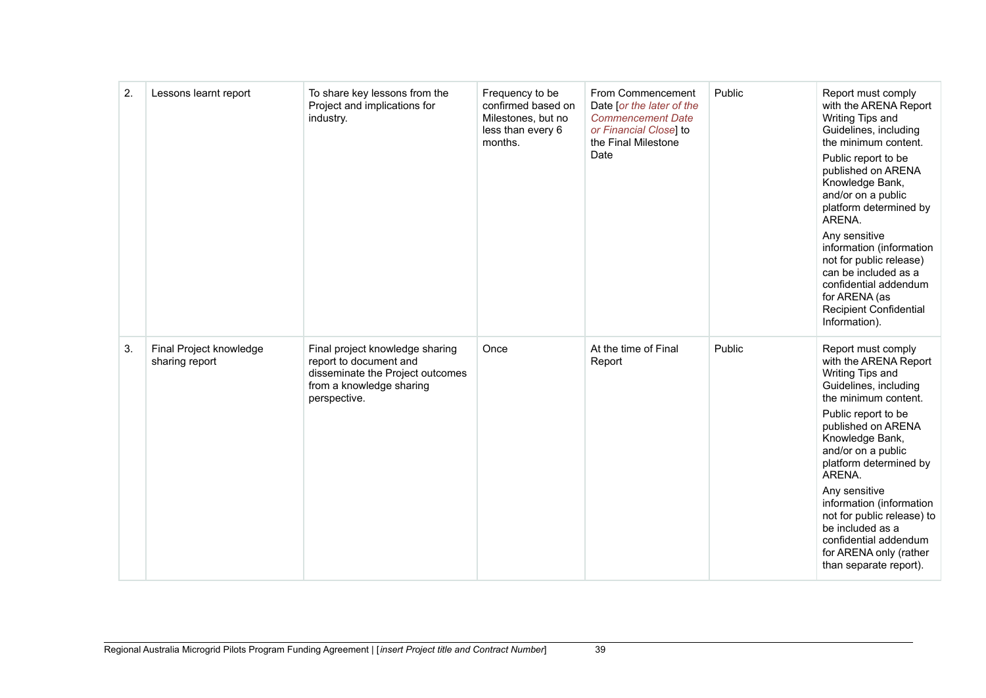| 2. | Lessons learnt report                     | To share key lessons from the<br>Project and implications for<br>industry.                                                                | Frequency to be<br>confirmed based on<br>Milestones, but no<br>less than every 6<br>months. | From Commencement<br>Date [or the later of the<br><b>Commencement Date</b><br>or Financial Close] to<br>the Final Milestone<br>Date | Public | Report must comply<br>with the ARENA Report<br>Writing Tips and<br>Guidelines, including<br>the minimum content.<br>Public report to be<br>published on ARENA<br>Knowledge Bank,<br>and/or on a public<br>platform determined by<br>ARENA.<br>Any sensitive<br>information (information<br>not for public release)<br>can be included as a<br>confidential addendum<br>for ARENA (as<br><b>Recipient Confidential</b><br>Information). |
|----|-------------------------------------------|-------------------------------------------------------------------------------------------------------------------------------------------|---------------------------------------------------------------------------------------------|-------------------------------------------------------------------------------------------------------------------------------------|--------|----------------------------------------------------------------------------------------------------------------------------------------------------------------------------------------------------------------------------------------------------------------------------------------------------------------------------------------------------------------------------------------------------------------------------------------|
| 3. | Final Project knowledge<br>sharing report | Final project knowledge sharing<br>report to document and<br>disseminate the Project outcomes<br>from a knowledge sharing<br>perspective. | Once                                                                                        | At the time of Final<br>Report                                                                                                      | Public | Report must comply<br>with the ARENA Report<br>Writing Tips and<br>Guidelines, including<br>the minimum content.<br>Public report to be<br>published on ARENA<br>Knowledge Bank,<br>and/or on a public<br>platform determined by<br>ARENA.<br>Any sensitive<br>information (information<br>not for public release) to<br>be included as a<br>confidential addendum<br>for ARENA only (rather<br>than separate report).                 |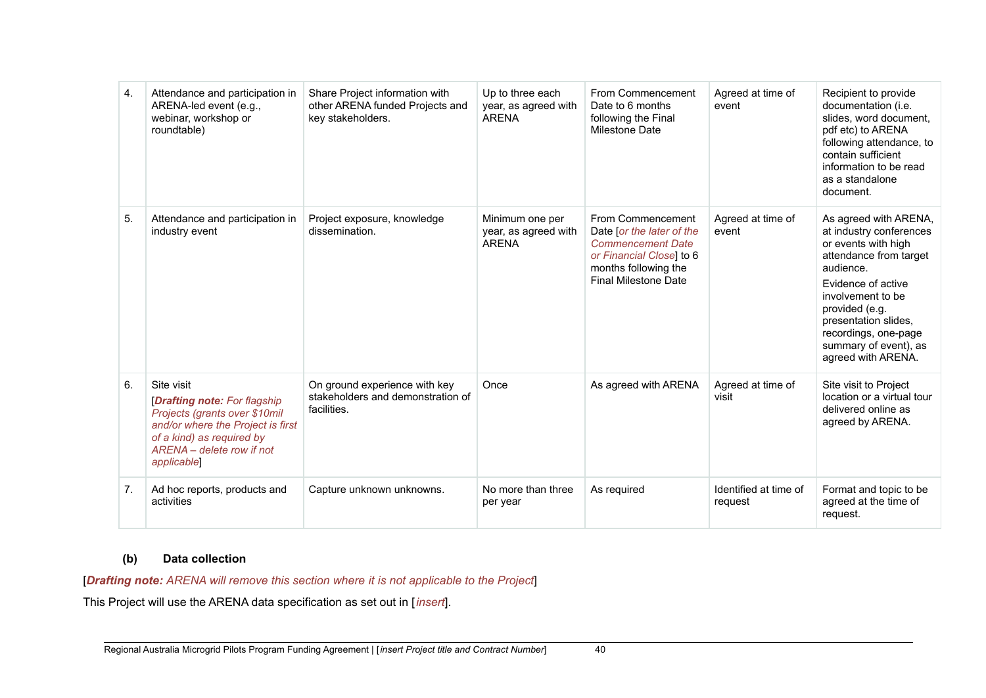| 4. | Attendance and participation in<br>ARENA-led event (e.g.,<br>webinar, workshop or<br>roundtable)                                                                                                 | Share Project information with<br>other ARENA funded Projects and<br>key stakeholders. | Up to three each<br>year, as agreed with<br><b>ARENA</b> | From Commencement<br>Date to 6 months<br>following the Final<br><b>Milestone Date</b>                                                                         | Agreed at time of<br>event       | Recipient to provide<br>documentation (i.e.<br>slides, word document,<br>pdf etc) to ARENA<br>following attendance, to<br>contain sufficient<br>information to be read<br>as a standalone<br>document.                                                                     |
|----|--------------------------------------------------------------------------------------------------------------------------------------------------------------------------------------------------|----------------------------------------------------------------------------------------|----------------------------------------------------------|---------------------------------------------------------------------------------------------------------------------------------------------------------------|----------------------------------|----------------------------------------------------------------------------------------------------------------------------------------------------------------------------------------------------------------------------------------------------------------------------|
| 5. | Attendance and participation in<br>industry event                                                                                                                                                | Project exposure, knowledge<br>dissemination.                                          | Minimum one per<br>year, as agreed with<br><b>ARENA</b>  | From Commencement<br>Date [or the later of the<br><b>Commencement Date</b><br>or Financial Closel to 6<br>months following the<br><b>Final Milestone Date</b> | Agreed at time of<br>event       | As agreed with ARENA,<br>at industry conferences<br>or events with high<br>attendance from target<br>audience.<br>Evidence of active<br>involvement to be<br>provided (e.g.<br>presentation slides,<br>recordings, one-page<br>summary of event), as<br>agreed with ARENA. |
| 6. | Site visit<br><b>[Drafting note: For flagship</b><br>Projects (grants over \$10mil<br>and/or where the Project is first<br>of a kind) as required by<br>ARENA - delete row if not<br>applicable] | On ground experience with key<br>stakeholders and demonstration of<br>facilities.      | Once                                                     | As agreed with ARENA                                                                                                                                          | Agreed at time of<br>visit       | Site visit to Project<br>location or a virtual tour<br>delivered online as<br>agreed by ARENA.                                                                                                                                                                             |
| 7. | Ad hoc reports, products and<br>activities                                                                                                                                                       | Capture unknown unknowns.                                                              | No more than three<br>per year                           | As required                                                                                                                                                   | Identified at time of<br>request | Format and topic to be<br>agreed at the time of<br>request.                                                                                                                                                                                                                |

## **(b) Data collection**

[*Drafting note: ARENA will remove this section where it is not applicable to the Project*]

This Project will use the ARENA data specification as set out in [*insert*].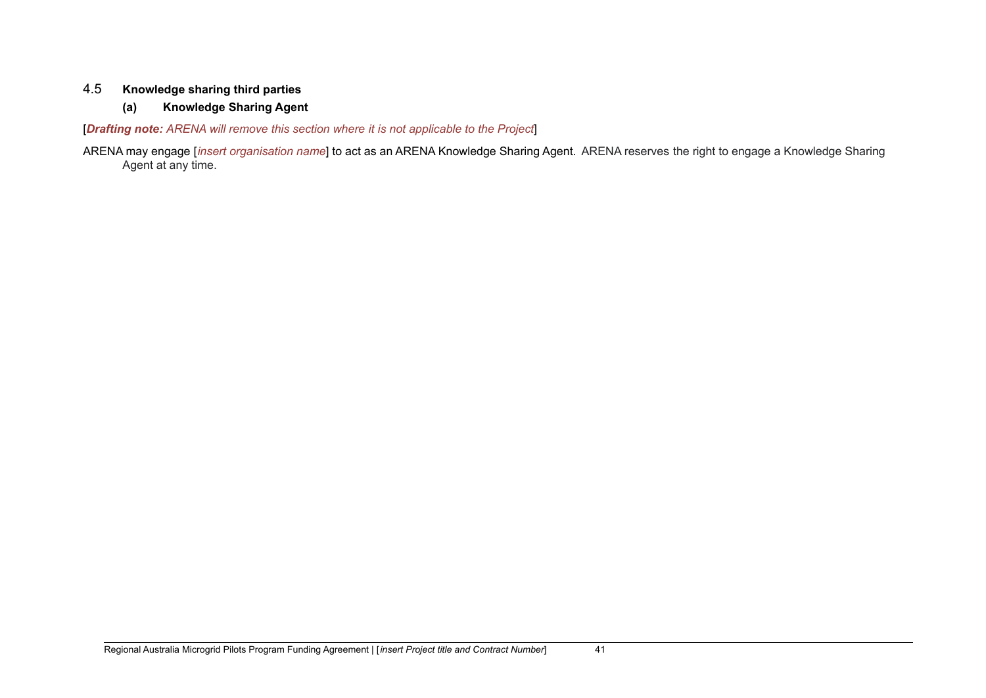## 4.5 **Knowledge sharing third parties**

## **(a) Knowledge Sharing Agent**

[*Drafting note: ARENA will remove this section where it is not applicable to the Project*]

ARENA may engage [*insert organisation name*] to act as an ARENA Knowledge Sharing Agent. ARENA reserves the right to engage a Knowledge Sharing Agent at any time.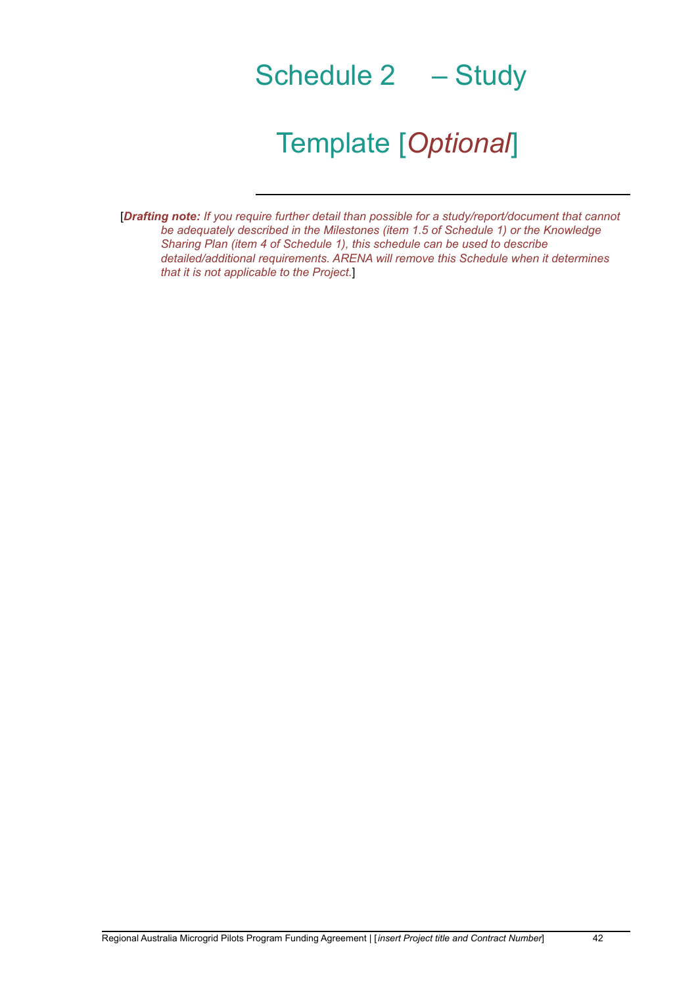# Schedule 2 – Study

## Template [*Optional*]

[*Drafting note: If you require further detail than possible for a study/report/document that cannot be adequately described in the Milestones (item 1.5 of Schedule 1) or the Knowledge Sharing Plan (item 4 of Schedule 1), this schedule can be used to describe detailed/additional requirements. ARENA will remove this Schedule when it determines that it is not applicable to the Project.*]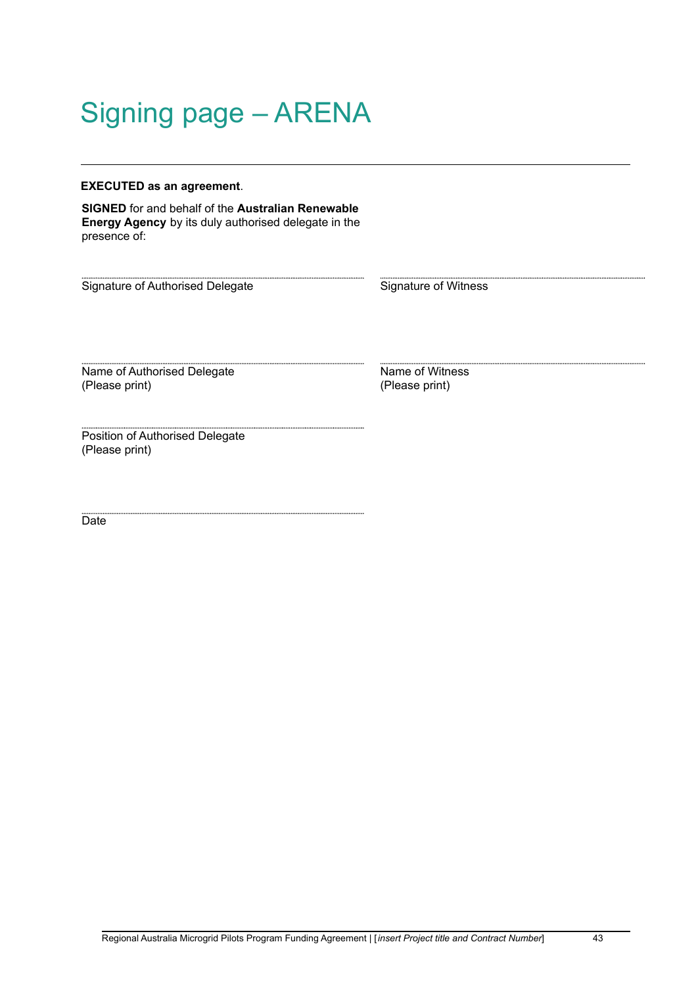# Signing page – ARENA

#### **EXECUTED as an agreement**.

**SIGNED** for and behalf of the **Australian Renewable Energy Agency** by its duly authorised delegate in the presence of:

Signature of Authorised Delegate Signature of Witness

Name of Authorised Delegate (Please print)

Name of Witness (Please print)

Position of Authorised Delegate (Please print)

Date<sup>1</sup>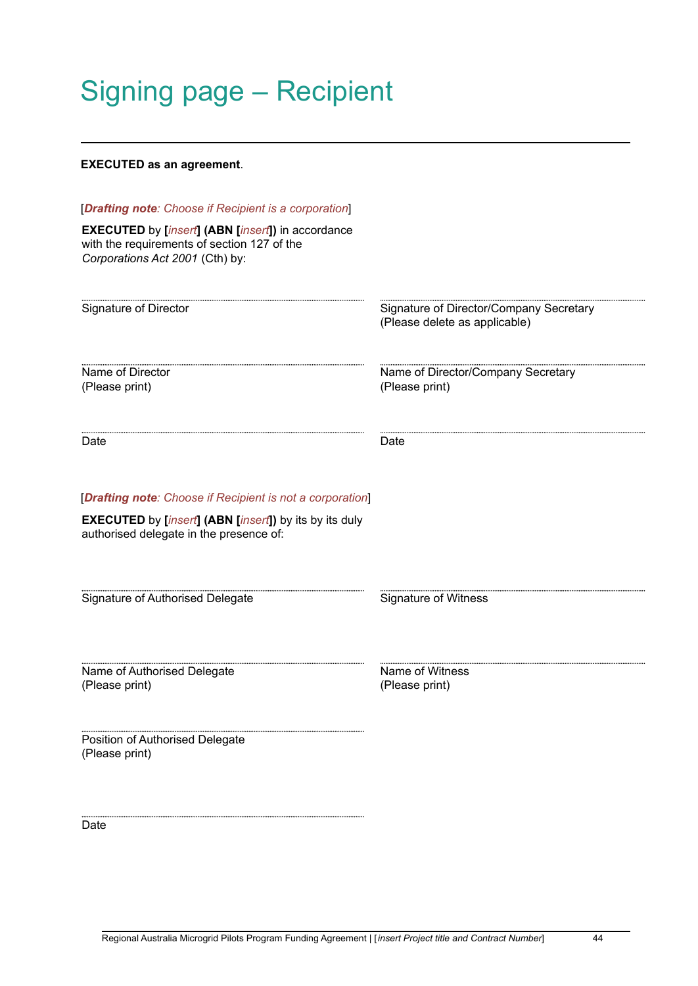# Signing page – Recipient

#### **EXECUTED as an agreement**.

| [Drafting note: Choose if Recipient is a corporation]<br><b>EXECUTED</b> by [insert] (ABN [insert]) in accordance<br>with the requirements of section 127 of the<br>Corporations Act 2001 (Cth) by: |                                                                          |
|-----------------------------------------------------------------------------------------------------------------------------------------------------------------------------------------------------|--------------------------------------------------------------------------|
| Signature of Director                                                                                                                                                                               | Signature of Director/Company Secretary<br>(Please delete as applicable) |
| Name of Director<br>(Please print)                                                                                                                                                                  | Name of Director/Company Secretary<br>(Please print)                     |
| Date                                                                                                                                                                                                | Date                                                                     |
| [Drafting note: Choose if Recipient is not a corporation]<br><b>EXECUTED</b> by <i>[insert]</i> (ABN [insert]) by its by its duly<br>authorised delegate in the presence of:                        |                                                                          |
| Signature of Authorised Delegate                                                                                                                                                                    | <b>Signature of Witness</b>                                              |
| Name of Authorised Delegate<br>(Please print)                                                                                                                                                       | Name of Witness<br>(Please print)                                        |
| Position of Authorised Delegate<br>(Please print)                                                                                                                                                   |                                                                          |

Date<sup></sup>